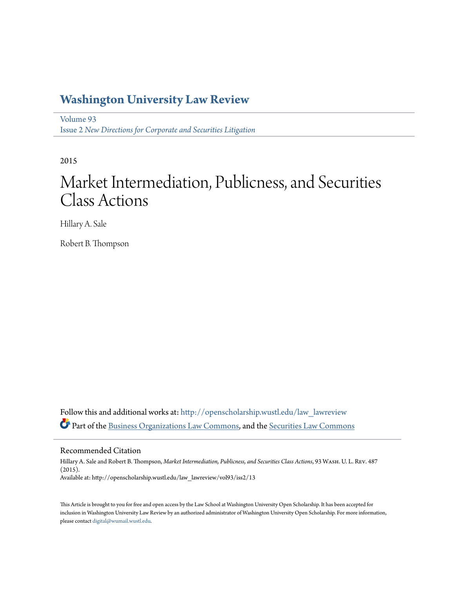# **[Washington University Law Review](http://openscholarship.wustl.edu/law_lawreview?utm_source=openscholarship.wustl.edu%2Flaw_lawreview%2Fvol93%2Fiss2%2F13&utm_medium=PDF&utm_campaign=PDFCoverPages)**

[Volume 93](http://openscholarship.wustl.edu/law_lawreview/vol93?utm_source=openscholarship.wustl.edu%2Flaw_lawreview%2Fvol93%2Fiss2%2F13&utm_medium=PDF&utm_campaign=PDFCoverPages) Issue 2 *[New Directions for Corporate and Securities Litigation](http://openscholarship.wustl.edu/law_lawreview/vol93/iss2?utm_source=openscholarship.wustl.edu%2Flaw_lawreview%2Fvol93%2Fiss2%2F13&utm_medium=PDF&utm_campaign=PDFCoverPages)*

2015

# Market Intermediation, Publicness, and Securities Class Actions

Hillary A. Sale

Robert B. Thompson

Follow this and additional works at: [http://openscholarship.wustl.edu/law\\_lawreview](http://openscholarship.wustl.edu/law_lawreview?utm_source=openscholarship.wustl.edu%2Flaw_lawreview%2Fvol93%2Fiss2%2F13&utm_medium=PDF&utm_campaign=PDFCoverPages) Part of the [Business Organizations Law Commons,](http://network.bepress.com/hgg/discipline/900?utm_source=openscholarship.wustl.edu%2Flaw_lawreview%2Fvol93%2Fiss2%2F13&utm_medium=PDF&utm_campaign=PDFCoverPages) and the [Securities Law Commons](http://network.bepress.com/hgg/discipline/619?utm_source=openscholarship.wustl.edu%2Flaw_lawreview%2Fvol93%2Fiss2%2F13&utm_medium=PDF&utm_campaign=PDFCoverPages)

Recommended Citation

Hillary A. Sale and Robert B. Thompson, *Market Intermediation, Publicness, and Securities Class Actions*, 93 Wash. U. L. Rev. 487 (2015). Available at: http://openscholarship.wustl.edu/law\_lawreview/vol93/iss2/13

This Article is brought to you for free and open access by the Law School at Washington University Open Scholarship. It has been accepted for inclusion in Washington University Law Review by an authorized administrator of Washington University Open Scholarship. For more information, please contact [digital@wumail.wustl.edu.](mailto:digital@wumail.wustl.edu)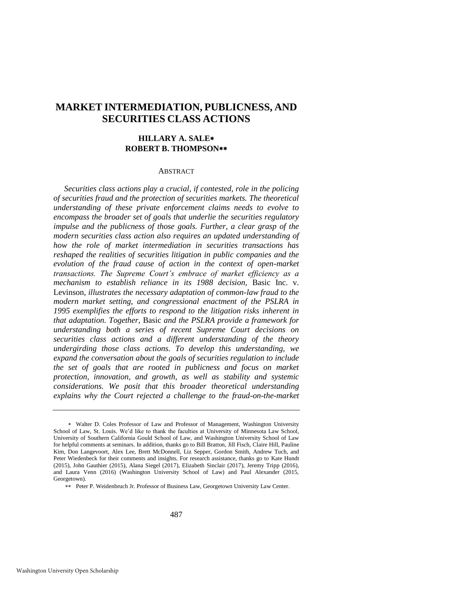# **MARKET INTERMEDIATION, PUBLICNESS, AND SECURITIES CLASS ACTIONS**

# **HILLARY A. SALE ROBERT B. THOMPSON**

#### **ABSTRACT**

*Securities class actions play a crucial, if contested, role in the policing of securities fraud and the protection of securities markets. The theoretical understanding of these private enforcement claims needs to evolve to encompass the broader set of goals that underlie the securities regulatory impulse and the publicness of those goals. Further, a clear grasp of the modern securities class action also requires an updated understanding of how the role of market intermediation in securities transactions has reshaped the realities of securities litigation in public companies and the evolution of the fraud cause of action in the context of open-market transactions. The Supreme Court's embrace of market efficiency as a mechanism to establish reliance in its 1988 decision,* Basic Inc. v. Levinson*, illustrates the necessary adaptation of common-law fraud to the modern market setting, and congressional enactment of the PSLRA in 1995 exemplifies the efforts to respond to the litigation risks inherent in that adaptation. Together,* Basic *and the PSLRA provide a framework for understanding both a series of recent Supreme Court decisions on securities class actions and a different understanding of the theory undergirding those class actions. To develop this understanding, we expand the conversation about the goals of securities regulation to include the set of goals that are rooted in publicness and focus on market protection, innovation, and growth, as well as stability and systemic considerations. We posit that this broader theoretical understanding explains why the Court rejected a challenge to the fraud-on-the-market* 

Walter D. Coles Professor of Law and Professor of Management, Washington University School of Law, St. Louis. We'd like to thank the faculties at University of Minnesota Law School, University of Southern California Gould School of Law, and Washington University School of Law for helpful comments at seminars. In addition, thanks go to Bill Bratton, Jill Fisch, Claire Hill, Pauline Kim, Don Langevoort, Alex Lee, Brett McDonnell, Liz Sepper, Gordon Smith, Andrew Tuch, and Peter Wiedenbeck for their comments and insights. For research assistance, thanks go to Kate Hundt (2015), John Gauthier (2015), Alana Siegel (2017), Elizabeth Sinclair (2017), Jeremy Tripp (2016), and Laura Venn (2016) (Washington University School of Law) and Paul Alexander (2015, Georgetown).

Peter P. Weidenbruch Jr. Professor of Business Law, Georgetown University Law Center.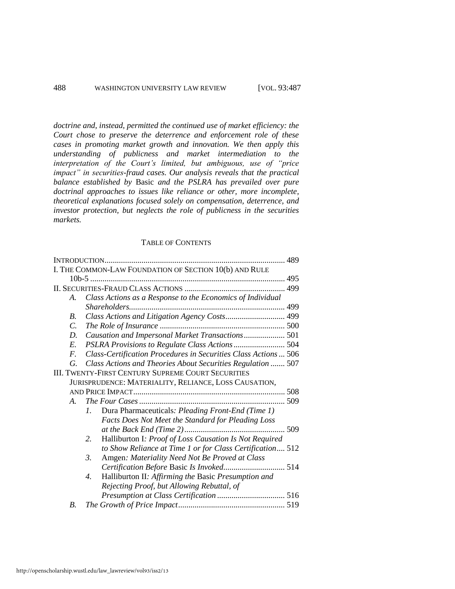*doctrine and, instead, permitted the continued use of market efficiency: the Court chose to preserve the deterrence and enforcement role of these cases in promoting market growth and innovation. We then apply this understanding of publicness and market intermediation to the interpretation of the Court's limited, but ambiguous, use of "price impact" in securities-fraud cases. Our analysis reveals that the practical balance established by* Basic *and the PSLRA has prevailed over pure doctrinal approaches to issues like reliance or other, more incomplete, theoretical explanations focused solely on compensation, deterrence, and investor protection, but neglects the role of publicness in the securities markets.* 

#### TABLE OF CONTENTS

|                 | I. THE COMMON-LAW FOUNDATION OF SECTION 10(b) AND RULE                  |  |  |  |  |  |
|-----------------|-------------------------------------------------------------------------|--|--|--|--|--|
|                 |                                                                         |  |  |  |  |  |
|                 |                                                                         |  |  |  |  |  |
| A.              | Class Actions as a Response to the Economics of Individual              |  |  |  |  |  |
|                 |                                                                         |  |  |  |  |  |
| $B_{\cdot}$     | Class Actions and Litigation Agency Costs 499                           |  |  |  |  |  |
| $\mathcal{C}$ . |                                                                         |  |  |  |  |  |
| D.              | Causation and Impersonal Market Transactions 501                        |  |  |  |  |  |
| E.              |                                                                         |  |  |  |  |  |
| $F_{\cdot}$     | Class-Certification Procedures in Securities Class Actions  506         |  |  |  |  |  |
| G.              | Class Actions and Theories About Securities Regulation  507             |  |  |  |  |  |
|                 | <b>III. TWENTY-FIRST CENTURY SUPREME COURT SECURITIES</b>               |  |  |  |  |  |
|                 | JURISPRUDENCE: MATERIALITY, RELIANCE, LOSS CAUSATION,                   |  |  |  |  |  |
|                 |                                                                         |  |  |  |  |  |
| $A_{-}$         |                                                                         |  |  |  |  |  |
|                 | Dura Pharmaceuticals: Pleading Front-End (Time 1)<br>$l_{\cdot}$        |  |  |  |  |  |
|                 | Facts Does Not Meet the Standard for Pleading Loss                      |  |  |  |  |  |
|                 |                                                                         |  |  |  |  |  |
|                 | Halliburton I: Proof of Loss Causation Is Not Required<br>2.            |  |  |  |  |  |
|                 | to Show Reliance at Time 1 or for Class Certification 512               |  |  |  |  |  |
|                 | Amgen: Materiality Need Not Be Proved at Class<br>3.                    |  |  |  |  |  |
|                 |                                                                         |  |  |  |  |  |
|                 | Halliburton II: Affirming the Basic Presumption and<br>$\overline{4}$ . |  |  |  |  |  |
|                 | Rejecting Proof, but Allowing Rebuttal, of                              |  |  |  |  |  |
|                 |                                                                         |  |  |  |  |  |
| <i>B</i> .      |                                                                         |  |  |  |  |  |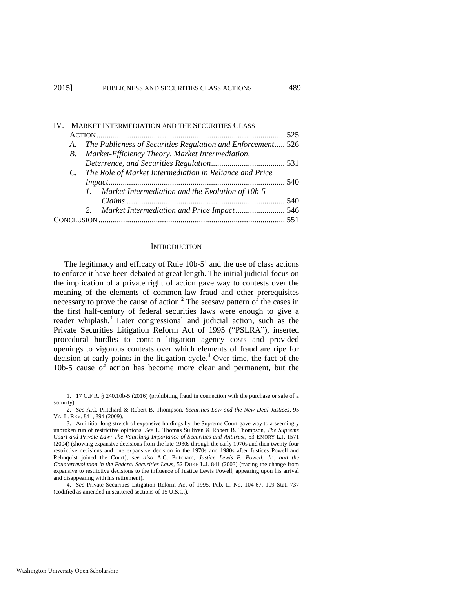| $\mathbf{IV}$ |  | MARKET INTERMEDIATION AND THE SECURITIES CLASS                 |  |
|---------------|--|----------------------------------------------------------------|--|
|               |  |                                                                |  |
|               |  | A. The Publicness of Securities Regulation and Enforcement 526 |  |
|               |  | B. Market-Efficiency Theory, Market Intermediation,            |  |
|               |  |                                                                |  |
|               |  | C. The Role of Market Intermediation in Reliance and Price     |  |
|               |  |                                                                |  |
|               |  | 1. Market Intermediation and the Evolution of 10b-5            |  |
|               |  |                                                                |  |
|               |  |                                                                |  |
|               |  |                                                                |  |

#### **INTRODUCTION**

The legitimacy and efficacy of Rule  $10b-5<sup>1</sup>$  and the use of class actions to enforce it have been debated at great length. The initial judicial focus on the implication of a private right of action gave way to contests over the meaning of the elements of common-law fraud and other prerequisites necessary to prove the cause of action.<sup>2</sup> The seesaw pattern of the cases in the first half-century of federal securities laws were enough to give a reader whiplash.<sup>3</sup> Later congressional and judicial action, such as the Private Securities Litigation Reform Act of 1995 ("PSLRA"), inserted procedural hurdles to contain litigation agency costs and provided openings to vigorous contests over which elements of fraud are ripe for decision at early points in the litigation cycle.<sup>4</sup> Over time, the fact of the 10b-5 cause of action has become more clear and permanent, but the

<sup>1. 17</sup> C.F.R. § 240.10b-5 (2016) (prohibiting fraud in connection with the purchase or sale of a security).

<sup>2.</sup> *See* A.C. Pritchard & Robert B. Thompson, *Securities Law and the New Deal Justices*, 95 VA. L. REV. 841, 894 (2009).

<sup>3.</sup> An initial long stretch of expansive holdings by the Supreme Court gave way to a seemingly unbroken run of restrictive opinions. *See* E. Thomas Sullivan & Robert B. Thompson, *The Supreme Court and Private Law: The Vanishing Importance of Securities and Antitrust*, 53 EMORY L.J. 1571 (2004) (showing expansive decisions from the late 1930s through the early 1970s and then twenty-four restrictive decisions and one expansive decision in the 1970s and 1980s after Justices Powell and Rehnquist joined the Court); *see also* A.C. Pritchard, *Justice Lewis F. Powell, Jr., and the Counterrevolution in the Federal Securities Laws*, 52 DUKE L.J. 841 (2003) (tracing the change from expansive to restrictive decisions to the influence of Justice Lewis Powell, appearing upon his arrival and disappearing with his retirement).

<sup>4.</sup> *See* Private Securities Litigation Reform Act of 1995, Pub. L. No. 104-67, 109 Stat. 737 (codified as amended in scattered sections of 15 U.S.C.).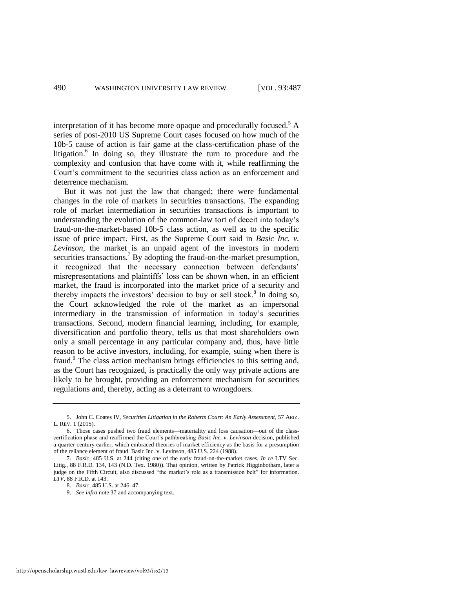interpretation of it has become more opaque and procedurally focused.<sup>5</sup> A series of post-2010 US Supreme Court cases focused on how much of the 10b-5 cause of action is fair game at the class-certification phase of the litigation.<sup>6</sup> In doing so, they illustrate the turn to procedure and the complexity and confusion that have come with it, while reaffirming the Court's commitment to the securities class action as an enforcement and deterrence mechanism.

But it was not just the law that changed; there were fundamental changes in the role of markets in securities transactions. The expanding role of market intermediation in securities transactions is important to understanding the evolution of the common-law tort of deceit into today's fraud-on-the-market-based 10b-5 class action, as well as to the specific issue of price impact. First, as the Supreme Court said in *Basic Inc. v. Levinson*, the market is an unpaid agent of the investors in modern securities transactions.<sup>7</sup> By adopting the fraud-on-the-market presumption, it recognized that the necessary connection between defendants' misrepresentations and plaintiffs' loss can be shown when, in an efficient market, the fraud is incorporated into the market price of a security and thereby impacts the investors' decision to buy or sell stock.<sup>8</sup> In doing so, the Court acknowledged the role of the market as an impersonal intermediary in the transmission of information in today's securities transactions. Second, modern financial learning, including, for example, diversification and portfolio theory, tells us that most shareholders own only a small percentage in any particular company and, thus, have little reason to be active investors, including, for example, suing when there is fraud.<sup>9</sup> The class action mechanism brings efficiencies to this setting and, as the Court has recognized, is practically the only way private actions are likely to be brought, providing an enforcement mechanism for securities regulations and, thereby, acting as a deterrant to wrongdoers.

<sup>5.</sup> John C. Coates IV, *Securities Litigation in the Roberts Court: An Early Assessment*, 57 ARIZ. L. REV. 1 (2015).

<sup>6.</sup> Those cases pushed two fraud elements—materiality and loss causation—out of the classcertification phase and reaffirmed the Court's pathbreaking *Basic Inc. v. Levinson* decision, published a quarter-century earlier, which embraced theories of market efficiency as the basis for a presumption of the reliance element of fraud. Basic Inc. v. Levinson, 485 U.S. 224 (1988).

<sup>7.</sup> *Basic*, 485 U.S. at 244 (citing one of the early fraud-on-the-market cases, *In re* LTV Sec. Litig., 88 F.R.D. 134, 143 (N.D. Tex. 1980)). That opinion, written by Patrick Higginbotham, later a judge on the Fifth Circuit, also discussed "the market's role as a transmission belt" for information. *LTV*, 88 F.R.D. at 143.

<sup>8.</sup> *Basic*, 485 U.S. at 246–47.

<sup>9.</sup> *See infra* not[e 37 a](#page-13-0)nd accompanying text.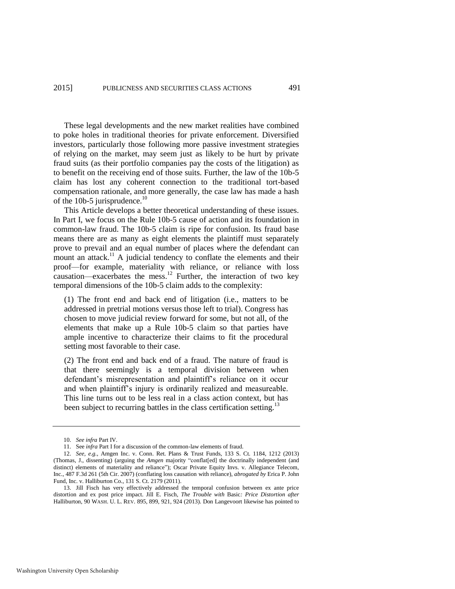These legal developments and the new market realities have combined to poke holes in traditional theories for private enforcement. Diversified investors, particularly those following more passive investment strategies of relying on the market, may seem just as likely to be hurt by private fraud suits (as their portfolio companies pay the costs of the litigation) as to benefit on the receiving end of those suits. Further, the law of the 10b-5 claim has lost any coherent connection to the traditional tort-based compensation rationale, and more generally, the case law has made a hash of the 10b-5 jurisprudence. $^{10}$ 

This Article develops a better theoretical understanding of these issues. In Part I, we focus on the Rule 10b-5 cause of action and its foundation in common-law fraud. The 10b-5 claim is ripe for confusion. Its fraud base means there are as many as eight elements the plaintiff must separately prove to prevail and an equal number of places where the defendant can mount an attack.<sup>11</sup> A judicial tendency to conflate the elements and their proof—for example, materiality with reliance, or reliance with loss causation—exacerbates the mess.<sup>12</sup> Further, the interaction of two key temporal dimensions of the 10b-5 claim adds to the complexity:

(1) The front end and back end of litigation (i.e., matters to be addressed in pretrial motions versus those left to trial). Congress has chosen to move judicial review forward for some, but not all, of the elements that make up a Rule 10b-5 claim so that parties have ample incentive to characterize their claims to fit the procedural setting most favorable to their case.

(2) The front end and back end of a fraud. The nature of fraud is that there seemingly is a temporal division between when defendant's misrepresentation and plaintiff's reliance on it occur and when plaintiff's injury is ordinarily realized and measureable. This line turns out to be less real in a class action context, but has been subject to recurring battles in the class certification setting.<sup>13</sup>

<span id="page-5-0"></span><sup>10.</sup> *See infra* Part IV.

<sup>11.</sup> See *infra* Part I for a discussion of the common-law elements of fraud.

<sup>12.</sup> *See, e.g.*, Amgen Inc. v. Conn. Ret. Plans & Trust Funds, 133 S. Ct. 1184, 1212 (2013) (Thomas, J., dissenting) (arguing the *Amgen* majority "conflat[ed] the doctrinally independent (and distinct) elements of materiality and reliance"); Oscar Private Equity Invs. v. Allegiance Telecom, Inc., 487 F.3d 261 (5th Cir. 2007) (conflating loss causation with reliance), *abrogated by* Erica P. John Fund, Inc. v. Halliburton Co., 131 S. Ct. 2179 (2011).

<sup>13.</sup> Jill Fisch has very effectively addressed the temporal confusion between ex ante price distortion and ex post price impact. Jill E. Fisch, *The Trouble with* Basic*: Price Distortion after*  Halliburton, 90 WASH. U. L. REV. 895, 899, 921, 924 (2013). Don Langevoort likewise has pointed to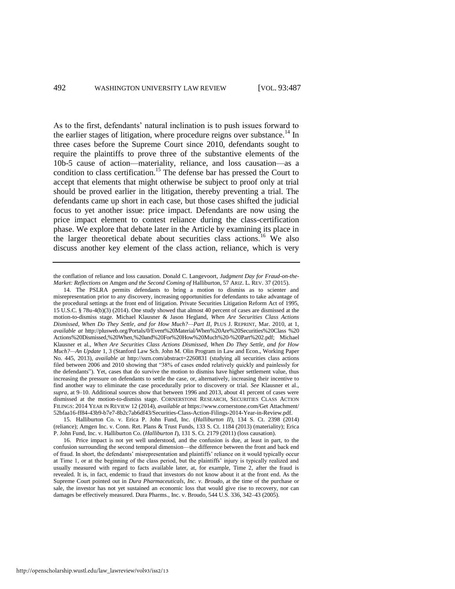As to the first, defendants' natural inclination is to push issues forward to the earlier stages of litigation, where procedure reigns over substance.<sup>14</sup> In three cases before the Supreme Court since 2010, defendants sought to require the plaintiffs to prove three of the substantive elements of the 10b-5 cause of action—materiality, reliance, and loss causation—as a condition to class certification.<sup>15</sup> The defense bar has pressed the Court to accept that elements that might otherwise be subject to proof only at trial should be proved earlier in the litigation, thereby preventing a trial. The defendants came up short in each case, but those cases shifted the judicial focus to yet another issue: price impact. Defendants are now using the price impact element to contest reliance during the class-certification phase. We explore that debate later in the Article by examining its place in the larger theoretical debate about securities class actions.<sup>16</sup> We also discuss another key element of the class action, reliance, which is very

the conflation of reliance and loss causation. Donald C. Langevoort, *Judgment Day for Fraud-on-the-Market: Reflections on* Amgen *and the Second Coming of* Halliburton, 57 ARIZ. L. REV. 37 (2015).

14. The PSLRA permits defendants to bring a motion to dismiss as to scienter and misrepresentation prior to any discovery, increasing opportunities for defendants to take advantage of the procedural settings at the front end of litigation. Private Securities Litigation Reform Act of 1995, 15 U.S.C. § 78u-4(b)(3) (2014). One study showed that almost 40 percent of cases are dismissed at the motion-to-dismiss stage. Michael Klausner & Jason Hegland, *When Are Securities Class Actions Dismissed, When Do They Settle, and for How Much?—Part II*, PLUS J. REPRINT, Mar. 2010, at 1, *available at* [http://plusweb.org/Portals/0/Event%20Material/When%20Are%20Securities%20Class %20](http://plusweb.org/Portals/0/Event%20Material/When%20Are%20Securities%20Class%20Actions%20Dismissed,%20When,%20and%20For%20How%20Much%20-%20Part%202.pdf)  [Actions%20Dismissed,%20When,%20and%20For%20How%20Much%20-%20Part%202.pdf;](http://plusweb.org/Portals/0/Event%20Material/When%20Are%20Securities%20Class%20Actions%20Dismissed,%20When,%20and%20For%20How%20Much%20-%20Part%202.pdf) Michael Klausner et al., *When Are Securities Class Actions Dismissed, When Do They Settle, and for How Much?—An Update* 1, 3 (Stanford Law Sch. John M. Olin Program in Law and Econ., Working Paper No. 445, 2013), *available at* http://ssrn.com/abstract=2260831 (studying all securities class actions filed between 2006 and 2010 showing that "38% of cases ended relatively quickly and painlessly for the defendants"). Yet, cases that do survive the motion to dismiss have higher settlement value, thus increasing the pressure on defendants to settle the case, or, alternatively, increasing their incentive to find another way to eliminate the case procedurally prior to discovery or trial. *See* Klausner et al., *supra*, at 9–10. Additional sources show that between 1996 and 2013, about 41 percent of cases were dismissed at the motion-to-dismiss stage. CORNERSTONE RESEARCH, SECURITIES CLASS ACTION FILINGS: 2014 YEAR IN REVIEW 12 (2014), *available at* https://www.cornerstone.com/Get Attachment/ 52bfaa16-ff84-43b9-b7e7-8b2c7ab6df43/Securities-Class-Action-Filings-2014-Year-in-Review.pdf.

15. Halliburton Co. v. Erica P. John Fund, Inc. (*Halliburton II*), 134 S. Ct. 2398 (2014) (reliance); Amgen Inc. v. Conn. Ret. Plans & Trust Funds, 133 S. Ct. 1184 (2013) (materiality); Erica P. John Fund, Inc. v. Halliburton Co. (*Halliburton I*), 131 S. Ct. 2179 (2011) (loss causation).

16. Price impact is not yet well understood, and the confusion is due, at least in part, to the confusion surrounding the second temporal dimension—the difference between the front and back end of fraud. In short, the defendants' misrepresentation and plaintiffs' reliance on it would typically occur at Time 1, or at the beginning of the class period, but the plaintiffs' injury is typically realized and usually measured with regard to facts available later, at, for example, Time 2, after the fraud is revealed. It is, in fact, endemic to fraud that investors do not know about it at the front end. As the Supreme Court pointed out in *Dura Pharmaceuticals*, *Inc. v. Broudo*, at the time of the purchase or sale, the investor has not yet sustained an economic loss that would give rise to recovery, nor can damages be effectively measured. Dura Pharms., Inc. v. Broudo, 544 U.S. 336, 342–43 (2005).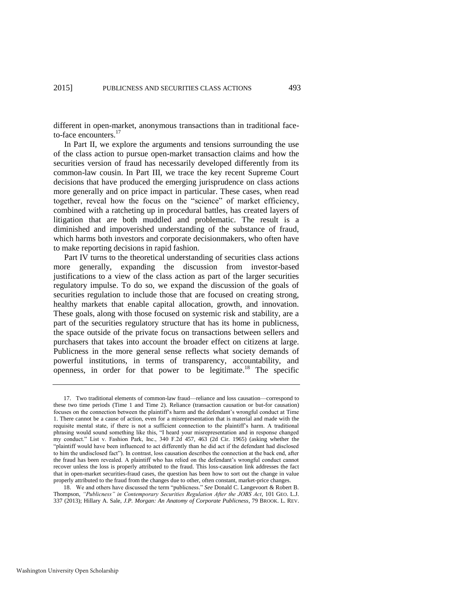different in open-market, anonymous transactions than in traditional faceto-face encounters.<sup>17</sup>

In Part II, we explore the arguments and tensions surrounding the use of the class action to pursue open-market transaction claims and how the securities version of fraud has necessarily developed differently from its common-law cousin. In Part III, we trace the key recent Supreme Court decisions that have produced the emerging jurisprudence on class actions more generally and on price impact in particular. These cases, when read together, reveal how the focus on the "science" of market efficiency, combined with a ratcheting up in procedural battles, has created layers of litigation that are both muddled and problematic. The result is a diminished and impoverished understanding of the substance of fraud, which harms both investors and corporate decisionmakers, who often have to make reporting decisions in rapid fashion.

Part IV turns to the theoretical understanding of securities class actions more generally, expanding the discussion from investor-based justifications to a view of the class action as part of the larger securities regulatory impulse. To do so, we expand the discussion of the goals of securities regulation to include those that are focused on creating strong, healthy markets that enable capital allocation, growth, and innovation. These goals, along with those focused on systemic risk and stability, are a part of the securities regulatory structure that has its home in publicness, the space outside of the private focus on transactions between sellers and purchasers that takes into account the broader effect on citizens at large. Publicness in the more general sense reflects what society demands of powerful institutions, in terms of transparency, accountability, and openness, in order for that power to be legitimate.<sup>18</sup> The specific

<span id="page-7-0"></span><sup>17.</sup> Two traditional elements of common-law fraud—reliance and loss causation—correspond to these two time periods (Time 1 and Time 2). Reliance (transaction causation or but-for causation) focuses on the connection between the plaintiff's harm and the defendant's wrongful conduct at Time 1. There cannot be a cause of action, even for a misrepresentation that is material and made with the requisite mental state, if there is not a sufficient connection to the plaintiff's harm. A traditional phrasing would sound something like this, "I heard your misrepresentation and in response changed my conduct." List v. Fashion Park, Inc., 340 F.2d 457, 463 (2d Cir. 1965) (asking whether the "plaintiff would have been influenced to act differently than he did act if the defendant had disclosed to him the undisclosed fact"). In contrast, loss causation describes the connection at the back end, after the fraud has been revealed. A plaintiff who has relied on the defendant's wrongful conduct cannot recover unless the loss is properly attributed to the fraud. This loss-causation link addresses the fact that in open-market securities-fraud cases, the question has been how to sort out the change in value properly attributed to the fraud from the changes due to other, often constant, market-price changes.

<sup>18.</sup> We and others have discussed the term "publicness." *See* Donald C. Langevoort & Robert B. Thompson, *"Publicness" in Contemporary Securities Regulation After the JOBS Act*, 101 GEO. L.J. 337 (2013); Hillary A. Sale, *J.P. Morgan: An Anatomy of Corporate Publicness*, 79 BROOK. L. REV.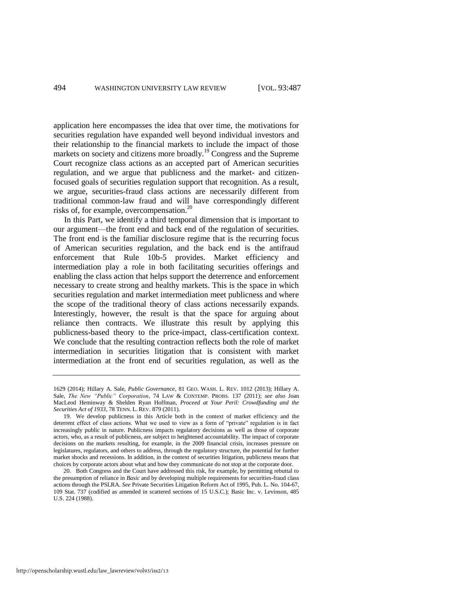<span id="page-8-0"></span>application here encompasses the idea that over time, the motivations for securities regulation have expanded well beyond individual investors and their relationship to the financial markets to include the impact of those markets on society and citizens more broadly.<sup>19</sup> Congress and the Supreme Court recognize class actions as an accepted part of American securities regulation, and we argue that publicness and the market- and citizenfocused goals of securities regulation support that recognition. As a result, we argue, securities-fraud class actions are necessarily different from traditional common-law fraud and will have correspondingly different risks of, for example, overcompensation.<sup>20</sup>

In this Part, we identify a third temporal dimension that is important to our argument—the front end and back end of the regulation of securities. The front end is the familiar disclosure regime that is the recurring focus of American securities regulation, and the back end is the antifraud enforcement that Rule 10b-5 provides. Market efficiency and intermediation play a role in both facilitating securities offerings and enabling the class action that helps support the deterrence and enforcement necessary to create strong and healthy markets. This is the space in which securities regulation and market intermediation meet publicness and where the scope of the traditional theory of class actions necessarily expands. Interestingly, however, the result is that the space for arguing about reliance then contracts. We illustrate this result by applying this publicness-based theory to the price-impact, class-certification context. We conclude that the resulting contraction reflects both the role of market intermediation in securities litigation that is consistent with market intermediation at the front end of securities regulation, as well as the

<sup>1629 (2014);</sup> Hillary A. Sale, *Public Governance*, 81 GEO. WASH. L. REV. 1012 (2013); Hillary A. Sale, *The New "Public" Corporation*, 74 LAW & CONTEMP. PROBS. 137 (2011); *see also* Joan MacLeod Heminway & Shelden Ryan Hoffman, *Proceed at Your Peril: Crowdfunding and the Securities Act of 1933*, 78 TENN. L. REV. 879 (2011).

<sup>19.</sup> We develop publicness in this Article both in the context of market efficiency and the deterrent effect of class actions. What we used to view as a form of "private" regulation is in fact increasingly public in nature. Publicness impacts regulatory decisions as well as those of corporate actors, who, as a result of publicness, are subject to heightened accountability. The impact of corporate decisions on the markets resulting, for example, in the 2009 financial crisis, increases pressure on legislatures, regulators, and others to address, through the regulatory structure, the potential for further market shocks and recessions. In addition, in the context of securities litigation, publicness means that choices by corporate actors about what and how they communicate do not stop at the corporate door.

<sup>20.</sup> Both Congress and the Court have addressed this risk, for example, by permitting rebuttal to the presumption of reliance in *Basic* and by developing multiple requirements for securities-fraud class actions through the PSLRA. *See* Private Securities Litigation Reform Act of 1995, Pub. L. No. 104-67, 109 Stat. 737 (codified as amended in scattered sections of 15 U.S.C.); Basic Inc. v. Levinson, 485 U.S. 224 (1988).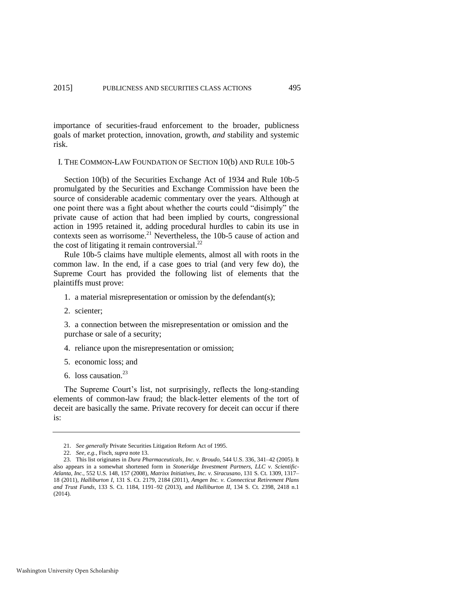importance of securities-fraud enforcement to the broader, publicness goals of market protection, innovation, growth, *and* stability and systemic risk.

#### I. THE COMMON-LAW FOUNDATION OF SECTION 10(b) AND RULE 10b-5

Section 10(b) of the Securities Exchange Act of 1934 and Rule 10b-5 promulgated by the Securities and Exchange Commission have been the source of considerable academic commentary over the years. Although at one point there was a fight about whether the courts could "disimply" the private cause of action that had been implied by courts, congressional action in 1995 retained it, adding procedural hurdles to cabin its use in contexts seen as worrisome.<sup>21</sup> Nevertheless, the 10b-5 cause of action and the cost of litigating it remain controversial. $^{22}$ 

Rule 10b-5 claims have multiple elements, almost all with roots in the common law. In the end, if a case goes to trial (and very few do), the Supreme Court has provided the following list of elements that the plaintiffs must prove:

- 1. a material misrepresentation or omission by the defendant(s);
- 2. scienter;

3. a connection between the misrepresentation or omission and the purchase or sale of a security;

- 4. reliance upon the misrepresentation or omission;
- 5. economic loss; and
- 6. loss causation. $^{23}$

The Supreme Court's list, not surprisingly, reflects the long-standing elements of common-law fraud; the black-letter elements of the tort of deceit are basically the same. Private recovery for deceit can occur if there is:

<sup>21.</sup> *See generally* Private Securities Litigation Reform Act of 1995.

<sup>22.</sup> *See, e.g.*, Fisch, *supra* not[e 13.](#page-5-0)

<sup>23.</sup> This list originates in *Dura Pharmaceuticals, Inc. v. Broudo*, 544 U.S. 336, 341–42 (2005). It also appears in a somewhat shortened form in *Stoneridge Investment Partners, LLC v. Scientific-Atlanta, Inc.*, 552 U.S. 148, 157 (2008), *Matrixx Initiatives, Inc. v. Siracusano*, 131 S. Ct. 1309, 1317– 18 (2011), *Halliburton I*, 131 S. Ct. 2179, 2184 (2011), *Amgen Inc. v. Connecticut Retirement Plans and Trust Funds*, 133 S. Ct. 1184, 1191–92 (2013), and *Halliburton II*, 134 S. Ct. 2398, 2418 n.1 (2014).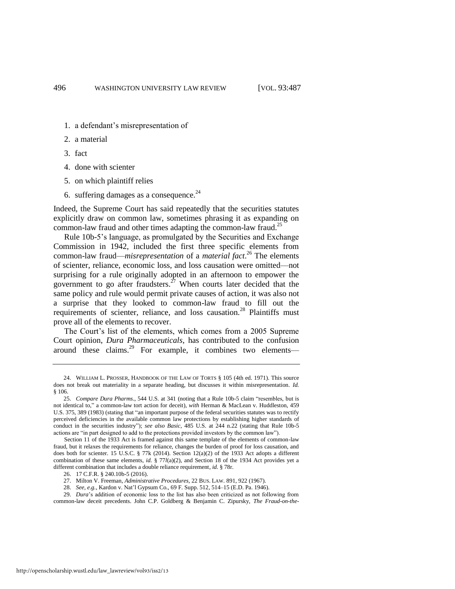- 1. a defendant's misrepresentation of
- 2. a material
- 3. fact
- 4. done with scienter
- 5. on which plaintiff relies
- 6. suffering damages as a consequence. $^{24}$

Indeed, the Supreme Court has said repeatedly that the securities statutes explicitly draw on common law, sometimes phrasing it as expanding on common-law fraud and other times adapting the common-law fraud.<sup>25</sup>

Rule 10b-5's language, as promulgated by the Securities and Exchange Commission in 1942, included the first three specific elements from common-law fraud—*misrepresentation* of a *material fact*. <sup>26</sup> The elements of scienter, reliance, economic loss, and loss causation were omitted—not surprising for a rule originally adopted in an afternoon to empower the government to go after fraudsters.<sup>27</sup> When courts later decided that the same policy and rule would permit private causes of action, it was also not a surprise that they looked to common-law fraud to fill out the requirements of scienter, reliance, and loss causation.<sup>28</sup> Plaintiffs must prove all of the elements to recover.

<span id="page-10-0"></span>The Court's list of the elements, which comes from a 2005 Supreme Court opinion, *Dura Pharmaceuticals*, has contributed to the confusion around these claims.<sup>29</sup> For example, it combines two elements—

28. *See, e.g.*, Kardon v. Nat'l Gypsum Co., 69 F. Supp. 512, 514–15 (E.D. Pa. 1946).

29. *Dura*'s addition of economic loss to the list has also been criticized as not following from common-law deceit precedents. John C.P. Goldberg & Benjamin C. Zipursky, *The Fraud-on-the-*

<sup>24.</sup> WILLIAM L. PROSSER, HANDBOOK OF THE LAW OF TORTS § 105 (4th ed. 1971). This source does not break out materiality in a separate heading, but discusses it within misrepresentation. *Id.* § 106.

<sup>25.</sup> *Compare Dura Pharms*., 544 U.S. at 341 (noting that a Rule 10b-5 claim "resembles, but is not identical to," a common-law tort action for deceit), *with* Herman & MacLean v. Huddleston, 459 U.S. 375, 389 (1983) (stating that "an important purpose of the federal securities statutes was to rectify perceived deficiencies in the available common law protections by establishing higher standards of conduct in the securities industry"); *see also Basic*, 485 U.S. at 244 n.22 (stating that Rule 10b-5 actions are "in part designed to add to the protections provided investors by the common law").

Section 11 of the 1933 Act is framed against this same template of the elements of common-law fraud, but it relaxes the requirements for reliance, changes the burden of proof for loss causation, and does both for scienter. 15 U.S.C. § 77k (2014). Section 12(a)(2) of the 1933 Act adopts a different combination of these same elements, *id.* § 77*l*(a)(2), and Section 18 of the 1934 Act provides yet a different combination that includes a double reliance requirement, *id.* § 78r.

<sup>26. 17</sup> C.F.R. § 240.10b-5 (2016).

<sup>27.</sup> Milton V. Freeman, *Administrative Procedures*, 22 BUS. LAW. 891, 922 (1967).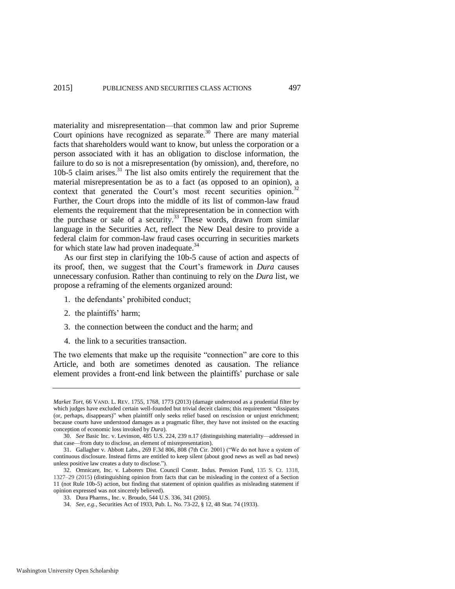materiality and misrepresentation—that common law and prior Supreme Court opinions have recognized as separate.<sup>30</sup> There are many material facts that shareholders would want to know, but unless the corporation or a person associated with it has an obligation to disclose information, the failure to do so is not a misrepresentation (by omission), and, therefore, no 10b-5 claim arises.<sup>31</sup> The list also omits entirely the requirement that the material misrepresentation be as to a fact (as opposed to an opinion), a context that generated the Court's most recent securities opinion.<sup>32</sup> Further, the Court drops into the middle of its list of common-law fraud elements the requirement that the misrepresentation be in connection with the purchase or sale of a security.<sup>33</sup> These words, drawn from similar language in the Securities Act, reflect the New Deal desire to provide a federal claim for common-law fraud cases occurring in securities markets for which state law had proven inadequate.<sup>34</sup>

As our first step in clarifying the 10b-5 cause of action and aspects of its proof, then, we suggest that the Court's framework in *Dura* causes unnecessary confusion. Rather than continuing to rely on the *Dura* list, we propose a reframing of the elements organized around:

- 1. the defendants' prohibited conduct;
- 2. the plaintiffs' harm;
- 3. the connection between the conduct and the harm; and
- 4. the link to a securities transaction.

The two elements that make up the requisite "connection" are core to this Article, and both are sometimes denoted as causation. The reliance element provides a front-end link between the plaintiffs' purchase or sale

*Market Tort*, 66 VAND. L. REV. 1755, 1768, 1773 (2013) (damage understood as a prudential filter by which judges have excluded certain well-founded but trivial deceit claims; this requirement "dissipates (or, perhaps, disappears)" when plaintiff only seeks relief based on rescission or unjust enrichment; because courts have understood damages as a pragmatic filter, they have not insisted on the exacting conception of economic loss invoked by *Dura*).

<sup>30.</sup> *See* Basic Inc. v. Levinson, 485 U.S. 224, 239 n.17 (distinguishing materiality—addressed in that case—from duty to disclose, an element of misrepresentation).

<sup>31.</sup> Gallagher v. Abbott Labs., 269 F.3d 806, 808 (7th Cir. 2001) ("We do not have a system of continuous disclosure. Instead firms are entitled to keep silent (about good news as well as bad news) unless positive law creates a duty to disclose.").

<sup>32.</sup> Omnicare, Inc. v. Laborers Dist. Council Constr. Indus. Pension Fund, 135 S. Ct. 1318, 1327–29 (2015) (distinguishing opinion from facts that can be misleading in the context of a Section 11 (not Rule 10b-5) action, but finding that statement of opinion qualifies as misleading statement if opinion expressed was not sincerely believed).

<sup>33.</sup> Dura Pharms., Inc. v. Broudo, 544 U.S. 336, 341 (2005).

<sup>34.</sup> *See, e.g.*, Securities Act of 1933, Pub. L. No. 73-22, § 12, 48 Stat. 74 (1933).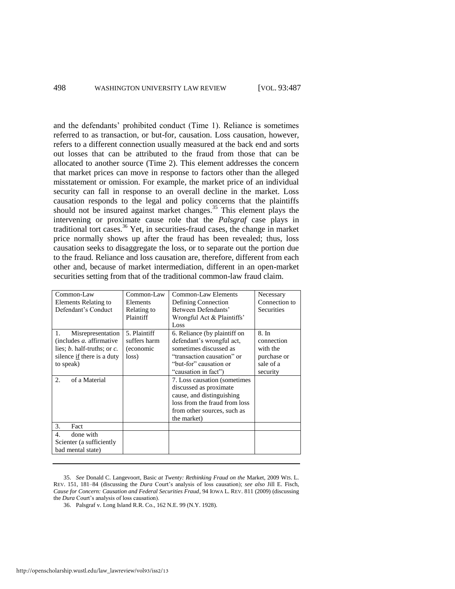and the defendants' prohibited conduct (Time 1). Reliance is sometimes referred to as transaction, or but-for, causation. Loss causation, however, refers to a different connection usually measured at the back end and sorts out losses that can be attributed to the fraud from those that can be allocated to another source (Time 2). This element addresses the concern that market prices can move in response to factors other than the alleged misstatement or omission. For example, the market price of an individual security can fall in response to an overall decline in the market. Loss causation responds to the legal and policy concerns that the plaintiffs should not be insured against market changes.<sup>35</sup> This element plays the intervening or proximate cause role that the *Palsgraf* case plays in traditional tort cases.<sup>36</sup> Yet, in securities-fraud cases, the change in market price normally shows up after the fraud has been revealed; thus, loss causation seeks to disaggregate the loss, or to separate out the portion due to the fraud. Reliance and loss causation are, therefore, different from each other and, because of market intermediation, different in an open-market securities setting from that of the traditional common-law fraud claim.

<span id="page-12-0"></span>

| Common-Law<br>Elements Relating to<br>Defendant's Conduct                                                                                                                 | Common-Law<br>Elements<br>Relating to<br>Plaintiff | Common-Law Elements<br>Defining Connection<br>Between Defendants'<br>Wrongful Act & Plaintiffs'<br>Loss                                                                                                                                                                                                                     | Necessary<br>Connection to<br><b>Securities</b>                         |
|---------------------------------------------------------------------------------------------------------------------------------------------------------------------------|----------------------------------------------------|-----------------------------------------------------------------------------------------------------------------------------------------------------------------------------------------------------------------------------------------------------------------------------------------------------------------------------|-------------------------------------------------------------------------|
| Misrepresentation<br>1.<br>(includes $a$ , affirmative<br>lies; $b$ . half-truths; or $c$ .<br>silence if there is a duty<br>to speak)<br>2 <sub>1</sub><br>of a Material | 5. Plaintiff<br>suffers harm<br>(economic<br>loss) | 6. Reliance (by plaintiff on<br>defendant's wrongful act,<br>sometimes discussed as<br>"transaction causation" or<br>"but-for" causation or<br>"causation in fact")<br>7. Loss causation (sometimes)<br>discussed as proximate<br>cause, and distinguishing<br>loss from the fraud from loss<br>from other sources, such as | 8. In<br>connection<br>with the<br>purchase or<br>sale of a<br>security |
| 3.<br>Fact                                                                                                                                                                |                                                    | the market)                                                                                                                                                                                                                                                                                                                 |                                                                         |
| done with<br>$\mathbf{4}$<br>Scienter (a sufficiently<br>bad mental state)                                                                                                |                                                    |                                                                                                                                                                                                                                                                                                                             |                                                                         |

<sup>35.</sup> *See* Donald C. Langevoort, Basic *at Twenty: Rethinking Fraud on the* Market, 2009 WIS. L. REV. 151, 181*–*84 (discussing the *Dura* Court's analysis of loss causation); *see also* Jill E. Fisch, *Cause for Concern: Causation and Federal Securities Fraud*, 94 IOWA L. REV. 811 (2009) (discussing the *Dura* Court's analysis of loss causation).

<sup>36.</sup> Palsgraf v. Long Island R.R. Co., 162 N.E. 99 (N.Y. 1928).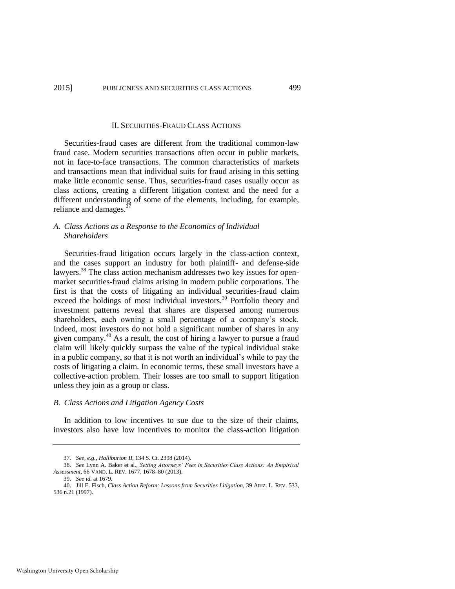#### II. SECURITIES-FRAUD CLASS ACTIONS

Securities-fraud cases are different from the traditional common-law fraud case. Modern securities transactions often occur in public markets, not in face-to-face transactions. The common characteristics of markets and transactions mean that individual suits for fraud arising in this setting make little economic sense. Thus, securities-fraud cases usually occur as class actions, creating a different litigation context and the need for a different understanding of some of the elements, including, for example, reliance and damages.<sup>3</sup>

#### <span id="page-13-0"></span>*A. Class Actions as a Response to the Economics of Individual Shareholders*

Securities-fraud litigation occurs largely in the class-action context, and the cases support an industry for both plaintiff- and defense-side lawyers.<sup>38</sup> The class action mechanism addresses two key issues for openmarket securities-fraud claims arising in modern public corporations. The first is that the costs of litigating an individual securities-fraud claim exceed the holdings of most individual investors.<sup>39</sup> Portfolio theory and investment patterns reveal that shares are dispersed among numerous shareholders, each owning a small percentage of a company's stock. Indeed, most investors do not hold a significant number of shares in any given company.<sup>40</sup> As a result, the cost of hiring a lawyer to pursue a fraud claim will likely quickly surpass the value of the typical individual stake in a public company, so that it is not worth an individual's while to pay the costs of litigating a claim. In economic terms, these small investors have a collective-action problem. Their losses are too small to support litigation unless they join as a group or class.

#### <span id="page-13-1"></span>*B. Class Actions and Litigation Agency Costs*

In addition to low incentives to sue due to the size of their claims, investors also have low incentives to monitor the class-action litigation

<sup>37.</sup> *See, e.g.*, *Halliburton II*, 134 S. Ct. 2398 (2014).

<sup>38.</sup> *See* Lynn A. Baker et al., *Setting Attorneys' Fees in Securities Class Actions: An Empirical Assessment*, 66 VAND. L. REV. 1677, 1678–80 (2013).

<sup>39.</sup> *See id.* at 1679.

<sup>40.</sup> Jill E. Fisch, *Class Action Reform: Lessons from Securities Litigation*, 39 ARIZ. L. REV. 533, 536 n.21 (1997).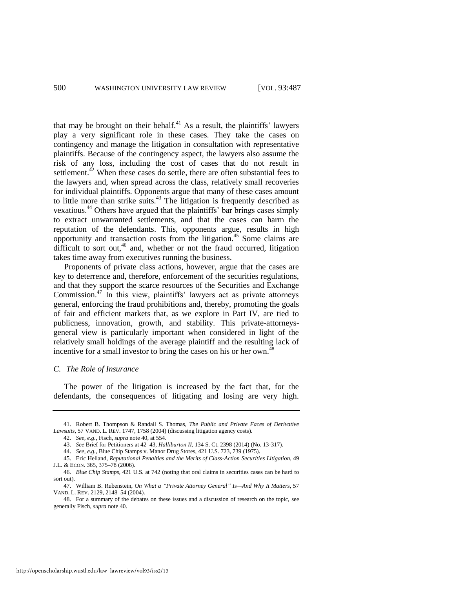<span id="page-14-1"></span>that may be brought on their behalf. $41$  As a result, the plaintiffs' lawyers play a very significant role in these cases. They take the cases on contingency and manage the litigation in consultation with representative plaintiffs. Because of the contingency aspect, the lawyers also assume the risk of any loss, including the cost of cases that do not result in settlement. $^{42}$  When these cases do settle, there are often substantial fees to the lawyers and, when spread across the class, relatively small recoveries for individual plaintiffs. Opponents argue that many of these cases amount to little more than strike suits. $43$  The litigation is frequently described as vexatious.<sup>44</sup> Others have argued that the plaintiffs' bar brings cases simply to extract unwarranted settlements, and that the cases can harm the reputation of the defendants. This, opponents argue, results in high opportunity and transaction costs from the litigation.<sup>45</sup> Some claims are difficult to sort out,<sup>46</sup> and, whether or not the fraud occurred, litigation takes time away from executives running the business.

<span id="page-14-0"></span>Proponents of private class actions, however, argue that the cases are key to deterrence and, therefore, enforcement of the securities regulations, and that they support the scarce resources of the Securities and Exchange Commission.<sup>47</sup> In this view, plaintiffs' lawyers act as private attorneys general, enforcing the fraud prohibitions and, thereby, promoting the goals of fair and efficient markets that, as we explore in Part IV, are tied to publicness, innovation, growth, and stability. This private-attorneysgeneral view is particularly important when considered in light of the relatively small holdings of the average plaintiff and the resulting lack of incentive for a small investor to bring the cases on his or her own.<sup>48</sup>

## <span id="page-14-2"></span>*C. The Role of Insurance*

The power of the litigation is increased by the fact that, for the defendants, the consequences of litigating and losing are very high.

<sup>41.</sup> Robert B. Thompson & Randall S. Thomas, *The Public and Private Faces of Derivative Lawsuits*, 57 VAND. L. REV. 1747, 1758 (2004) (discussing litigation agency costs).

<sup>42.</sup> *See, e.g.*, Fisch, *supra* not[e 40,](#page-13-1) at 554.

<sup>43.</sup> *See* Brief for Petitioners at 42–43, *Halliburton II*, 134 S. Ct. 2398 (2014) (No. 13-317).

<sup>44.</sup> *See, e.g.*, Blue Chip Stamps v. Manor Drug Stores, 421 U.S. 723, 739 (1975).

<sup>45.</sup> Eric Helland, *Reputational Penalties and the Merits of Class-Action Securities Litigation*, 49 J.L. & ECON. 365, 375–78 (2006).

<sup>46.</sup> *Blue Chip Stamps*, 421 U.S. at 742 (noting that oral claims in securities cases can be hard to sort out).

<sup>47.</sup> William B. Rubenstein, *On What a "Private Attorney General" Is—And Why It Matters*, 57 VAND. L. REV. 2129, 2148–54 (2004).

<sup>48.</sup> For a summary of the debates on these issues and a discussion of research on the topic, see generally Fisch, *supra* not[e 40.](#page-13-1)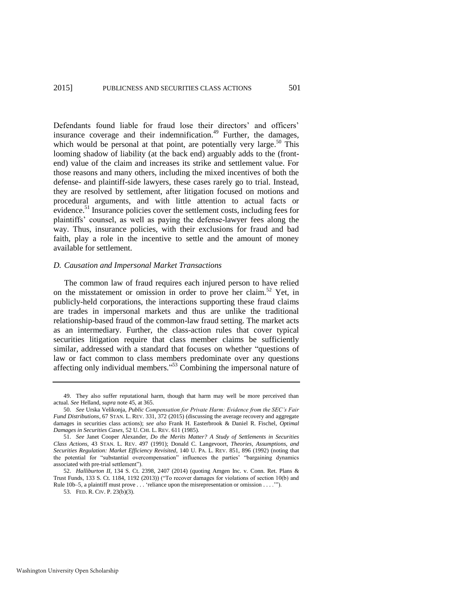<span id="page-15-1"></span>Defendants found liable for fraud lose their directors' and officers' insurance coverage and their indemnification. $49$  Further, the damages, which would be personal at that point, are potentially very large.<sup>50</sup> This looming shadow of liability (at the back end) arguably adds to the (frontend) value of the claim and increases its strike and settlement value. For those reasons and many others, including the mixed incentives of both the defense- and plaintiff-side lawyers, these cases rarely go to trial. Instead, they are resolved by settlement, after litigation focused on motions and procedural arguments, and with little attention to actual facts or evidence.<sup>51</sup> Insurance policies cover the settlement costs, including fees for plaintiffs' counsel, as well as paying the defense-lawyer fees along the way. Thus, insurance policies, with their exclusions for fraud and bad faith, play a role in the incentive to settle and the amount of money available for settlement.

#### <span id="page-15-0"></span>*D. Causation and Impersonal Market Transactions*

The common law of fraud requires each injured person to have relied on the misstatement or omission in order to prove her claim.<sup>52</sup> Yet, in publicly-held corporations, the interactions supporting these fraud claims are trades in impersonal markets and thus are unlike the traditional relationship-based fraud of the common-law fraud setting. The market acts as an intermediary. Further, the class-action rules that cover typical securities litigation require that class member claims be sufficiently similar, addressed with a standard that focuses on whether "questions of law or fact common to class members predominate over any questions affecting only individual members." <sup>53</sup> Combining the impersonal nature of

<sup>49.</sup> They also suffer reputational harm, though that harm may well be more perceived than actual. *See* Helland, *supra* not[e 45,](#page-14-0) at 365.

<sup>50.</sup> *See* Urska Velikonja, *Public Compensation for Private Harm: Evidence from the SEC's Fair Fund Distributions*, 67 STAN. L. REV. 331, 372 (2015) (discussing the average recovery and aggregate damages in securities class actions); *see also* Frank H. Easterbrook & Daniel R. Fischel, *Optimal Damages in Securities Cases*, 52 U. CHI. L. REV. 611 (1985).

<sup>51.</sup> *See* Janet Cooper Alexander, *Do the Merits Matter? A Study of Settlements in Securities Class Actions*, 43 STAN. L. REV. 497 (1991); Donald C. Langevoort, *Theories, Assumptions, and Securities Regulation: Market Efficiency Revisited*, 140 U. PA. L. REV. 851, 896 (1992) (noting that the potential for "substantial overcompensation" influences the parties' "bargaining dynamics associated with pre-trial settlement").

<sup>52.</sup> *Halliburton II*, 134 S. Ct. 2398, 2407 (2014) (quoting Amgen Inc. v. Conn. Ret. Plans & Trust Funds, 133 S. Ct. 1184, 1192 (2013)) ("To recover damages for violations of section 10(b) and Rule 10b–5, a plaintiff must prove . . . 'reliance upon the misrepresentation or omission . . . .'").

<sup>53.</sup> FED. R. CIV. P. 23(b)(3).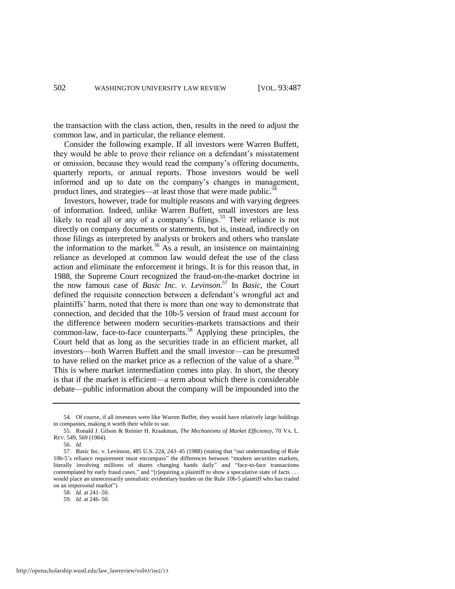the transaction with the class action, then, results in the need to adjust the common law, and in particular, the reliance element.

Consider the following example. If all investors were Warren Buffett, they would be able to prove their reliance on a defendant's misstatement or omission, because they would read the company's offering documents, quarterly reports, or annual reports. Those investors would be well informed and up to date on the company's changes in management, product lines, and strategies—at least those that were made public.<sup>54</sup>

<span id="page-16-0"></span>Investors, however, trade for multiple reasons and with varying degrees of information. Indeed, unlike Warren Buffett, small investors are less likely to read all or any of a company's filings.<sup>55</sup> Their reliance is not directly on company documents or statements, but is, instead, indirectly on those filings as interpreted by analysts or brokers and others who translate the information to the market.<sup>56</sup> As a result, an insistence on maintaining reliance as developed at common law would defeat the use of the class action and eliminate the enforcement it brings. It is for this reason that, in 1988, the Supreme Court recognized the fraud-on-the-market doctrine in the now famous case of *Basic Inc. v. Levinson*. <sup>57</sup> In *Basic*, the Court defined the requisite connection between a defendant's wrongful act and plaintiffs' harm, noted that there is more than one way to demonstrate that connection, and decided that the 10b-5 version of fraud must account for the difference between modern securities-markets transactions and their common-law, face-to-face counterparts.<sup>58</sup> Applying these principles, the Court held that as long as the securities trade in an efficient market, all investors—both Warren Buffett and the small investor—can be presumed to have relied on the market price as a reflection of the value of a share.<sup>59</sup> This is where market intermediation comes into play. In short, the theory is that if the market is efficient—a term about which there is considerable debate—public information about the company will be impounded into the

<sup>54.</sup> Of course, if all investors were like Warren Buffet, they would have relatively large holdings in companies, making it worth their while to sue.

<sup>55.</sup> Ronald J. Gilson & Reinier H. Kraakman, *The Mechanisms of Market Efficiency*, 70 VA. L. REV. 549, 569 (1984).

<sup>56.</sup> *Id.* 

<sup>57.</sup> Basic Inc. v. Levinson, 485 U.S. 224, 243–45 (1988) (stating that "our understanding of Rule 10b-5's reliance requirement must encompass" the differences between "modern securities markets, literally involving millions of shares changing hands daily" and "face-to-face transactions contemplated by early fraud cases," and "[r]equiring a plaintiff to show a speculative state of facts . . . would place an unnecessarily unrealistic evidentiary burden on the Rule 10b-5 plaintiff who has traded on an impersonal market").

<sup>58.</sup> *Id.* at 241–50.

<sup>59.</sup> *Id.* at 246–50.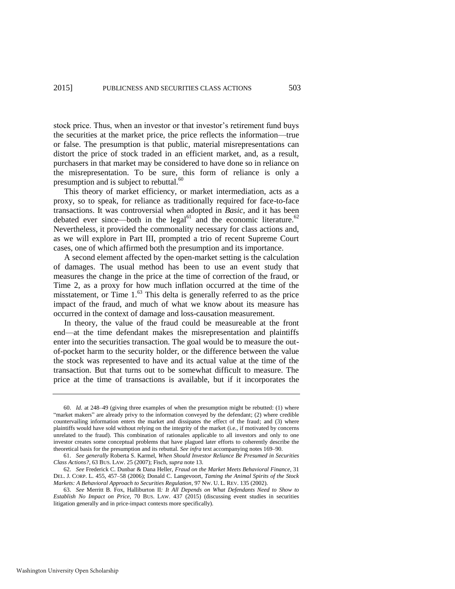stock price. Thus, when an investor or that investor's retirement fund buys the securities at the market price, the price reflects the information—true or false. The presumption is that public, material misrepresentations can distort the price of stock traded in an efficient market, and, as a result, purchasers in that market may be considered to have done so in reliance on the misrepresentation. To be sure, this form of reliance is only a presumption and is subject to rebuttal.<sup>60</sup>

<span id="page-17-0"></span>This theory of market efficiency, or market intermediation, acts as a proxy, so to speak, for reliance as traditionally required for face-to-face transactions. It was controversial when adopted in *Basic*, and it has been debated ever since—both in the legal<sup>61</sup> and the economic literature.<sup>62</sup> Nevertheless, it provided the commonality necessary for class actions and, as we will explore in Part III, prompted a trio of recent Supreme Court cases, one of which affirmed both the presumption and its importance.

A second element affected by the open-market setting is the calculation of damages. The usual method has been to use an event study that measures the change in the price at the time of correction of the fraud, or Time 2, as a proxy for how much inflation occurred at the time of the misstatement, or Time 1.<sup>63</sup> This delta is generally referred to as the price impact of the fraud, and much of what we know about its measure has occurred in the context of damage and loss-causation measurement.

<span id="page-17-1"></span>In theory, the value of the fraud could be measureable at the front end—at the time defendant makes the misrepresentation and plaintiffs enter into the securities transaction. The goal would be to measure the outof-pocket harm to the security holder, or the difference between the value the stock was represented to have and its actual value at the time of the transaction. But that turns out to be somewhat difficult to measure. The price at the time of transactions is available, but if it incorporates the

<sup>60.</sup> *Id.* at 248–49 (giving three examples of when the presumption might be rebutted: (1) where "market makers" are already privy to the information conveyed by the defendant; (2) where credible countervailing information enters the market and dissipates the effect of the fraud; and (3) where plaintiffs would have sold without relying on the integrity of the market (i.e., if motivated by concerns unrelated to the fraud). This combination of rationales applicable to all investors and only to one investor creates some conceptual problems that have plagued later efforts to coherently describe the theoretical basis for the presumption and its rebuttal. *See infra* text accompanying note[s 169–](#page-34-0)90.

<sup>61.</sup> *See generally* Roberta S. Karmel, *When Should Investor Reliance Be Presumed in Securities Class Actions?*, 63 BUS. LAW. 25 (2007); Fisch, *supra* not[e 13.](#page-5-0) 

<sup>62.</sup> *See* Frederick C. Dunbar & Dana Heller, *Fraud on the Market Meets Behavioral Finance*, 31 DEL. J. CORP. L. 455, 457–58 (2006); Donald C. Langevoort, *Taming the Animal Spirits of the Stock Markets: A Behavioral Approach to Securities Regulation*, 97 NW. U. L. REV. 135 (2002).

<sup>63.</sup> *See* Merritt B. Fox, Halliburton II*: It All Depends on What Defendants Need to Show to Establish No Impact on Price*, 70 BUS. LAW. 437 (2015) (discussing event studies in securities litigation generally and in price-impact contexts more specifically).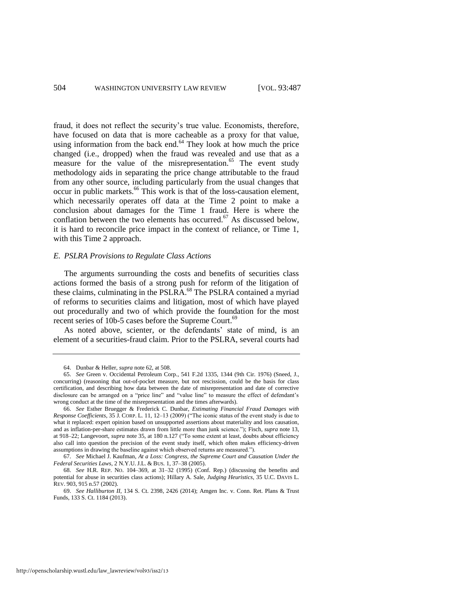fraud, it does not reflect the security's true value. Economists, therefore, have focused on data that is more cacheable as a proxy for that value, using information from the back end. $64$  They look at how much the price changed (i.e., dropped) when the fraud was revealed and use that as a measure for the value of the misrepresentation.<sup>65</sup> The event study methodology aids in separating the price change attributable to the fraud from any other source, including particularly from the usual changes that occur in public markets.<sup>66</sup> This work is that of the loss-causation element, which necessarily operates off data at the Time 2 point to make a conclusion about damages for the Time 1 fraud. Here is where the conflation between the two elements has occurred.<sup>67</sup> As discussed below, it is hard to reconcile price impact in the context of reliance, or Time 1, with this Time 2 approach.

#### *E. PSLRA Provisions to Regulate Class Actions*

The arguments surrounding the costs and benefits of securities class actions formed the basis of a strong push for reform of the litigation of these claims, culminating in the PSLRA.<sup>68</sup> The PSLRA contained a myriad of reforms to securities claims and litigation, most of which have played out procedurally and two of which provide the foundation for the most recent series of 10b-5 cases before the Supreme Court.<sup>69</sup>

As noted above, scienter, or the defendants' state of mind, is an element of a securities-fraud claim. Prior to the PSLRA, several courts had

<sup>64.</sup> Dunbar & Heller, *supra* not[e 62,](#page-17-0) at 508.

<sup>65.</sup> *See* Green v. Occidental Petroleum Corp., 541 F.2d 1335, 1344 (9th Cir. 1976) (Sneed, J., concurring) (reasoning that out-of-pocket measure, but not rescission, could be the basis for class certification, and describing how data between the date of misrepresentation and date of corrective disclosure can be arranged on a "price line" and "value line" to measure the effect of defendant's wrong conduct at the time of the misrepresentation and the times afterwards).

<sup>66.</sup> *See* Esther Bruegger & Frederick C. Dunbar, *Estimating Financial Fraud Damages with Response Coefficients*, 35 J. CORP. L. 11, 12–13 (2009) ("The iconic status of the event study is due to what it replaced: expert opinion based on unsupported assertions about materiality and loss causation, and as inflation-per-share estimates drawn from little more than junk science."); Fisch, *supra* not[e 13,](#page-5-0)  at 918–22; Langevoort, *supra* not[e 35,](#page-12-0) at 180 n.127 ("To some extent at least, doubts about efficiency also call into question the precision of the event study itself, which often makes efficiency-driven assumptions in drawing the baseline against which observed returns are measured.").

<sup>67.</sup> *See* Michael J. Kaufman, *At a Loss: Congress, the Supreme Court and Causation Under the Federal Securities Laws*, 2 N.Y.U. J.L. & BUS. 1, 37–38 (2005).

<sup>68.</sup> *See* H.R. REP. NO. 104–369, at 31–32 (1995) (Conf. Rep.) (discussing the benefits and potential for abuse in securities class actions); Hillary A. Sale, *Judging Heuristics*, 35 U.C. DAVIS L. REV. 903, 915 n.57 (2002).

<sup>69.</sup> *See Halliburton II*, 134 S. Ct. 2398, 2426 (2014); Amgen Inc. v. Conn. Ret. Plans & Trust Funds, 133 S. Ct. 1184 (2013).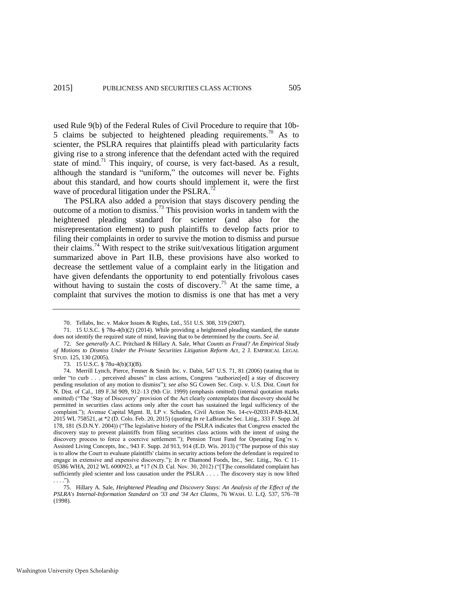used Rule 9(b) of the Federal Rules of Civil Procedure to require that 10b-5 claims be subjected to heightened pleading requirements.<sup>70</sup> As to scienter, the PSLRA requires that plaintiffs plead with particularity facts giving rise to a strong inference that the defendant acted with the required state of mind.<sup>71</sup> This inquiry, of course, is very fact-based. As a result, although the standard is "uniform," the outcomes will never be. Fights about this standard, and how courts should implement it, were the first wave of procedural litigation under the PSLRA. $^{72}$ 

<span id="page-19-1"></span>The PSLRA also added a provision that stays discovery pending the outcome of a motion to dismiss.<sup>73</sup> This provision works in tandem with the heightened pleading standard for scienter (and also for the misrepresentation element) to push plaintiffs to develop facts prior to filing their complaints in order to survive the motion to dismiss and pursue their claims.<sup>74</sup> With respect to the strike suit/vexatious litigation argument summarized above in Part II.B, these provisions have also worked to decrease the settlement value of a complaint early in the litigation and have given defendants the opportunity to end potentially frivolous cases without having to sustain the costs of discovery.<sup>75</sup> At the same time, a complaint that survives the motion to dismiss is one that has met a very

73. 15 U.S.C. § 78u-4(b)(3)(B).

<span id="page-19-0"></span><sup>70.</sup> Tellabs, Inc. v. Makor Issues & Rights, Ltd., 551 U.S. 308, 319 (2007).

<sup>71. 15</sup> U.S.C. § 78u-4(b)(2) (2014). While providing a heightened pleading standard, the statute does not identify the required state of mind, leaving that to be determined by the courts. *See id.*

<sup>72.</sup> *See generally* A.C. Pritchard & Hillary A. Sale, *What Counts as Fraud? An Empirical Study of Motions to Dismiss Under the Private Securities Litigation Reform Act*, 2 J. EMPIRICAL LEGAL STUD. 125, 130 (2005).

<sup>74.</sup> Merrill Lynch, Pierce, Fenner & Smith Inc. v. Dabit, 547 U.S. 71, 81 (2006) (stating that in order "to curb . . . perceived abuses" in class actions, Congress "authorize[ed] a stay of discovery pending resolution of any motion to dismiss"); *see also* SG Cowen Sec. Corp. v. U.S. Dist. Court for N. Dist. of Cal., 189 F.3d 909, 912–13 (9th Cir. 1999) (emphasis omitted) (internal quotation marks omitted) ("The 'Stay of Discovery' provision of the Act clearly contemplates that discovery should be permitted in securities class actions only after the court has sustained the legal sufficiency of the complaint."); Avenue Capital Mgmt. II, LP v. Schaden, Civil Action No. 14-cv-02031-PAB-KLM, 2015 WL 758521, at \*2 (D. Colo. Feb. 20, 2015) (quoting *In re* LaBranche Sec. Litig., 333 F. Supp. 2d 178, 181 (S.D.N.Y. 2004)) ("The legislative history of the PSLRA indicates that Congress enacted the discovery stay to prevent plaintiffs from filing securities class actions with the intent of using the discovery process to force a coercive settlement."); Pension Trust Fund for Operating Eng'rs v. Assisted Living Concepts, Inc., 943 F. Supp. 2d 913, 914 (E.D. Wis. 2013) ("The purpose of this stay is to allow the Court to evaluate plaintiffs' claims in security actions before the defendant is required to engage in extensive and expensive discovery."); *In re* Diamond Foods, Inc., Sec. Litig., No. C 11- 05386 WHA, 2012 WL 6000923, at \*17 (N.D. Cal. Nov. 30, 2012) ("[T]he consolidated complaint has sufficiently pled scienter and loss causation under the PSLRA . . . . The discovery stay is now lifted . . . .").

<sup>75.</sup> Hillary A. Sale, *Heightened Pleading and Discovery Stays: An Analysis of the Effect of the PSLRA's Internal-Information Standard on '33 and '34 Act Claims*, 76 WASH. U. L.Q. 537, 576–78 (1998).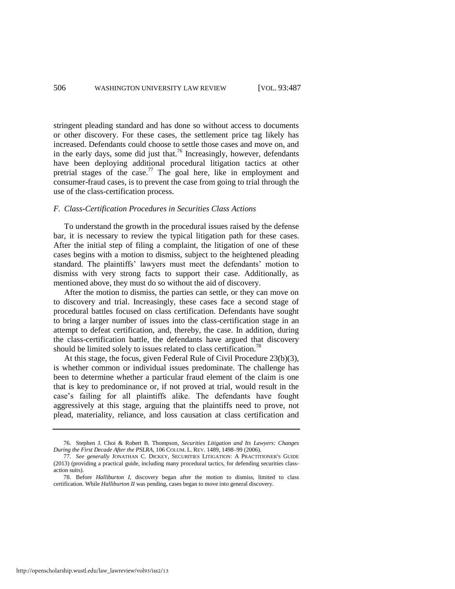<span id="page-20-0"></span>stringent pleading standard and has done so without access to documents or other discovery. For these cases, the settlement price tag likely has increased. Defendants could choose to settle those cases and move on, and in the early days, some did just that.<sup>76</sup> Increasingly, however, defendants have been deploying additional procedural litigation tactics at other pretrial stages of the case.<sup>77</sup> The goal here, like in employment and consumer-fraud cases, is to prevent the case from going to trial through the use of the class-certification process.

#### *F. Class-Certification Procedures in Securities Class Actions*

To understand the growth in the procedural issues raised by the defense bar, it is necessary to review the typical litigation path for these cases. After the initial step of filing a complaint, the litigation of one of these cases begins with a motion to dismiss, subject to the heightened pleading standard. The plaintiffs' lawyers must meet the defendants' motion to dismiss with very strong facts to support their case. Additionally, as mentioned above, they must do so without the aid of discovery.

After the motion to dismiss, the parties can settle, or they can move on to discovery and trial. Increasingly, these cases face a second stage of procedural battles focused on class certification. Defendants have sought to bring a larger number of issues into the class-certification stage in an attempt to defeat certification, and, thereby, the case. In addition, during the class-certification battle, the defendants have argued that discovery should be limited solely to issues related to class certification.<sup>78</sup>

At this stage, the focus, given Federal Rule of Civil Procedure 23(b)(3), is whether common or individual issues predominate. The challenge has been to determine whether a particular fraud element of the claim is one that is key to predominance or, if not proved at trial, would result in the case's failing for all plaintiffs alike. The defendants have fought aggressively at this stage, arguing that the plaintiffs need to prove, not plead, materiality, reliance, and loss causation at class certification and

<sup>76.</sup> Stephen J. Choi & Robert B. Thompson, *Securities Litigation and Its Lawyers: Changes During the First Decade After the PSLRA*, 106 COLUM. L. REV. 1489, 1498–99 (2006).

<sup>77.</sup> *See generally* JONATHAN C. DICKEY, SECURITIES LITIGATION: A PRACTITIONER'S GUIDE (2013) (providing a practical guide, including many procedural tactics, for defending securities classaction suits).

<sup>78.</sup> Before *Halliburton I*, discovery began after the motion to dismiss, limited to class certification. While *Halliburton II* was pending, cases began to move into general discovery.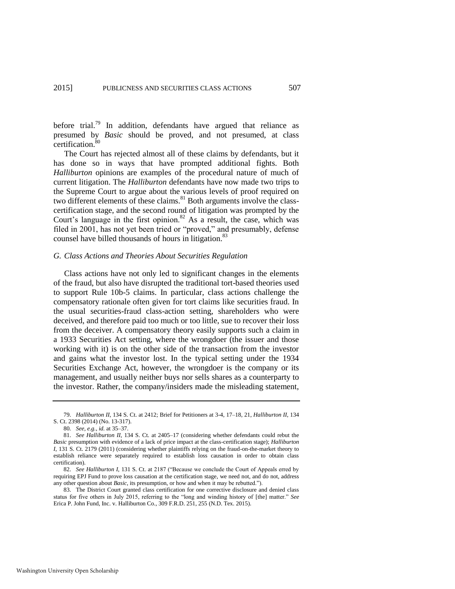before trial.<sup>79</sup> In addition, defendants have argued that reliance as presumed by *Basic* should be proved, and not presumed, at class certification.<sup>80</sup>

The Court has rejected almost all of these claims by defendants, but it has done so in ways that have prompted additional fights. Both *Halliburton* opinions are examples of the procedural nature of much of current litigation. The *Halliburton* defendants have now made two trips to the Supreme Court to argue about the various levels of proof required on two different elements of these claims. $81$  Both arguments involve the classcertification stage, and the second round of litigation was prompted by the Court's language in the first opinion.<sup>82</sup> As a result, the case, which was filed in 2001, has not yet been tried or "proved," and presumably, defense counsel have billed thousands of hours in litigation.<sup>83</sup>

#### *G. Class Actions and Theories About Securities Regulation*

Class actions have not only led to significant changes in the elements of the fraud, but also have disrupted the traditional tort-based theories used to support Rule 10b-5 claims. In particular, class actions challenge the compensatory rationale often given for tort claims like securities fraud. In the usual securities-fraud class-action setting, shareholders who were deceived, and therefore paid too much or too little, sue to recover their loss from the deceiver. A compensatory theory easily supports such a claim in a 1933 Securities Act setting, where the wrongdoer (the issuer and those working with it) is on the other side of the transaction from the investor and gains what the investor lost. In the typical setting under the 1934 Securities Exchange Act, however, the wrongdoer is the company or its management, and usually neither buys nor sells shares as a counterparty to the investor. Rather, the company/insiders made the misleading statement,

Washington University Open Scholarship

<sup>79.</sup> *Halliburton II*, 134 S. Ct. at 2412; Brief for Petitioners at 3-4, 17–18, 21, *Halliburton II*, 134 S. Ct. 2398 (2014) (No. 13-317).

<sup>80</sup>*. See, e.g.*, *id.* at 35–37.

<sup>81.</sup> *See Halliburton II*, 134 S. Ct. at 2405–17 (considering whether defendants could rebut the *Basic* presumption with evidence of a lack of price impact at the class-certification stage); *Halliburton I*, 131 S. Ct. 2179 (2011) (considering whether plaintiffs relying on the fraud-on-the-market theory to establish reliance were separately required to establish loss causation in order to obtain class certification).

<sup>82.</sup> *See Halliburton I*, 131 S. Ct. at 2187 ("Because we conclude the Court of Appeals erred by requiring EPJ Fund to prove loss causation at the certification stage, we need not, and do not, address any other question about *Basic*, its presumption, or how and when it may be rebutted.").

<sup>83.</sup> The District Court granted class certification for one corrective disclosure and denied class status for five others in July 2015, referring to the "long and winding history of [the] matter." *See* Erica P. John Fund, Inc. v. Halliburton Co., 309 F.R.D. 251, 255 (N.D. Tex. 2015).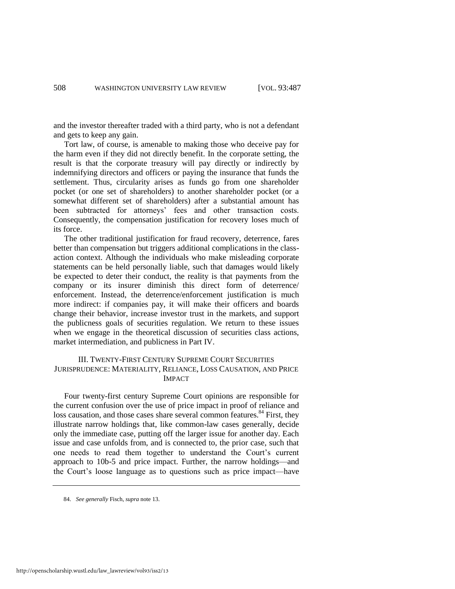and the investor thereafter traded with a third party, who is not a defendant and gets to keep any gain.

Tort law, of course, is amenable to making those who deceive pay for the harm even if they did not directly benefit. In the corporate setting, the result is that the corporate treasury will pay directly or indirectly by indemnifying directors and officers or paying the insurance that funds the settlement. Thus, circularity arises as funds go from one shareholder pocket (or one set of shareholders) to another shareholder pocket (or a somewhat different set of shareholders) after a substantial amount has been subtracted for attorneys' fees and other transaction costs. Consequently, the compensation justification for recovery loses much of its force.

The other traditional justification for fraud recovery, deterrence, fares better than compensation but triggers additional complications in the classaction context. Although the individuals who make misleading corporate statements can be held personally liable, such that damages would likely be expected to deter their conduct, the reality is that payments from the company or its insurer diminish this direct form of deterrence/ enforcement. Instead, the deterrence/enforcement justification is much more indirect: if companies pay, it will make their officers and boards change their behavior, increase investor trust in the markets, and support the publicness goals of securities regulation. We return to these issues when we engage in the theoretical discussion of securities class actions, market intermediation, and publicness in Part IV.

## III. TWENTY-FIRST CENTURY SUPREME COURT SECURITIES JURISPRUDENCE: MATERIALITY, RELIANCE, LOSS CAUSATION, AND PRICE IMPACT

Four twenty-first century Supreme Court opinions are responsible for the current confusion over the use of price impact in proof of reliance and loss causation, and those cases share several common features.<sup>84</sup> First, they illustrate narrow holdings that, like common-law cases generally, decide only the immediate case, putting off the larger issue for another day. Each issue and case unfolds from, and is connected to, the prior case, such that one needs to read them together to understand the Court's current approach to 10b-5 and price impact. Further, the narrow holdings—and the Court's loose language as to questions such as price impact—have

<sup>84.</sup> *See generally* Fisch, *supra* not[e 13.](#page-5-0)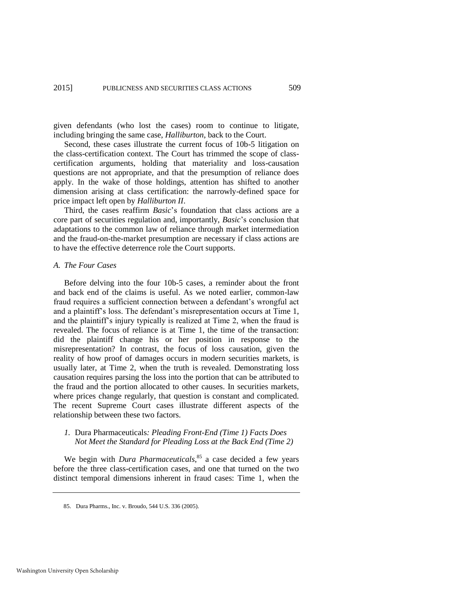given defendants (who lost the cases) room to continue to litigate, including bringing the same case, *Halliburton*, back to the Court.

Second, these cases illustrate the current focus of 10b-5 litigation on the class-certification context. The Court has trimmed the scope of classcertification arguments, holding that materiality and loss-causation questions are not appropriate, and that the presumption of reliance does apply. In the wake of those holdings, attention has shifted to another dimension arising at class certification: the narrowly-defined space for price impact left open by *Halliburton II*.

Third, the cases reaffirm *Basic*'s foundation that class actions are a core part of securities regulation and, importantly, *Basic*'s conclusion that adaptations to the common law of reliance through market intermediation and the fraud-on-the-market presumption are necessary if class actions are to have the effective deterrence role the Court supports.

#### *A. The Four Cases*

Before delving into the four 10b-5 cases, a reminder about the front and back end of the claims is useful. As we noted earlier, common-law fraud requires a sufficient connection between a defendant's wrongful act and a plaintiff's loss. The defendant's misrepresentation occurs at Time 1, and the plaintiff's injury typically is realized at Time 2, when the fraud is revealed. The focus of reliance is at Time 1, the time of the transaction: did the plaintiff change his or her position in response to the misrepresentation? In contrast, the focus of loss causation, given the reality of how proof of damages occurs in modern securities markets, is usually later, at Time 2, when the truth is revealed. Demonstrating loss causation requires parsing the loss into the portion that can be attributed to the fraud and the portion allocated to other causes. In securities markets, where prices change regularly, that question is constant and complicated. The recent Supreme Court cases illustrate different aspects of the relationship between these two factors.

# *1.* Dura Pharmaceuticals*: Pleading Front-End (Time 1) Facts Does Not Meet the Standard for Pleading Loss at the Back End (Time 2)*

We begin with *Dura Pharmaceuticals*,<sup>85</sup> a case decided a few years before the three class-certification cases, and one that turned on the two distinct temporal dimensions inherent in fraud cases: Time 1, when the

Washington University Open Scholarship

<sup>85.</sup> Dura Pharms., Inc. v. Broudo, 544 U.S. 336 (2005).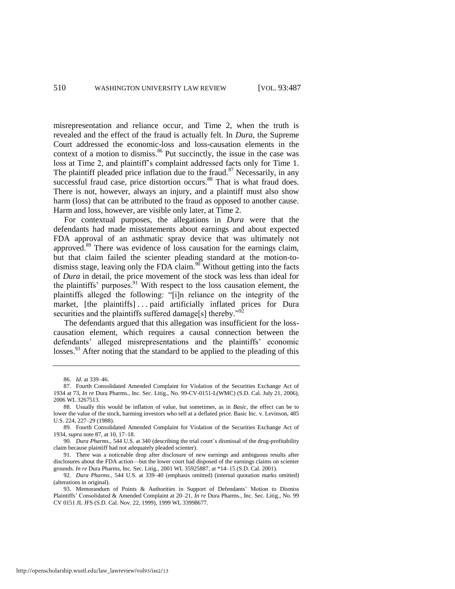<span id="page-24-0"></span>misrepresentation and reliance occur, and Time 2, when the truth is revealed and the effect of the fraud is actually felt. In *Dura*, the Supreme Court addressed the economic-loss and loss-causation elements in the context of a motion to dismiss.<sup>86</sup> Put succinctly, the issue in the case was loss at Time 2, and plaintiff's complaint addressed facts only for Time 1. The plaintiff pleaded price inflation due to the fraud.<sup>87</sup> Necessarily, in any successful fraud case, price distortion occurs.<sup>88</sup> That is what fraud does. There is not, however, always an injury, and a plaintiff must also show harm (loss) that can be attributed to the fraud as opposed to another cause. Harm and loss, however, are visible only later, at Time 2.

For contextual purposes, the allegations in *Dura* were that the defendants had made misstatements about earnings and about expected FDA approval of an asthmatic spray device that was ultimately not approved.<sup>89</sup> There was evidence of loss causation for the earnings claim, but that claim failed the scienter pleading standard at the motion-todismiss stage, leaving only the FDA claim. $90$  Without getting into the facts of *Dura* in detail, the price movement of the stock was less than ideal for the plaintiffs' purposes.<sup>91</sup> With respect to the loss causation element, the plaintiffs alleged the following: "[i]n reliance on the integrity of the market, [the plaintiffs] ... paid artificially inflated prices for Dura securities and the plaintiffs suffered damage[s] thereby."<sup>92</sup>

The defendants argued that this allegation was insufficient for the losscausation element, which requires a causal connection between the defendants' alleged misrepresentations and the plaintiffs' economic losses.<sup>93</sup> After noting that the standard to be applied to the pleading of this

<sup>86.</sup> *Id.* at 339–46.

<sup>87.</sup> Fourth Consolidated Amended Complaint for Violation of the Securities Exchange Act of 1934 at 73, *In re* Dura Pharms., Inc. Sec. Litig., No. 99-CV-0151-L(WMC) (S.D. Cal. July 21, 2006), 2006 WL 3267513.

<sup>88.</sup> Usually this would be inflation of value, but sometimes, as in *Basic*, the effect can be to lower the value of the stock, harming investors who sell at a deflated price. Basic Inc. v. Levinson, 485 U.S. 224, 227–29 (1988).

<sup>89.</sup> Fourth Consolidated Amended Complaint for Violation of the Securities Exchange Act of 1934, *supra* not[e 87,](#page-24-0) at 10, 17–18.

<sup>90.</sup> *Dura Pharms.*, 544 U.S. at 340 (describing the trial court's dismissal of the drug-profitability claim because plaintiff had not adequately pleaded scienter).

<sup>91.</sup> There was a noticeable drop after disclosure of new earnings and ambiguous results after disclosures about the FDA action—but the lower court had disposed of the earnings claims on scienter grounds. *In re* Dura Pharms, Inc. Sec. Litig., 2001 WL 35925887, at \*14–15 (S.D. Cal. 2001).

<sup>92.</sup> *Dura Pharms.*, 544 U.S. at 339–40 (emphasis omitted) (internal quotation marks omitted) (alterations in original).

<sup>93.</sup> Memorandum of Points & Authorities in Support of Defendants' Motion to Dismiss Plaintiffs' Consolidated & Amended Complaint at 20–21, *In re* Dura Pharms., Inc. Sec. Litig., No. 99 CV 0151 JL JFS (S.D. Cal. Nov. 22, 1999), 1999 WL 33998677.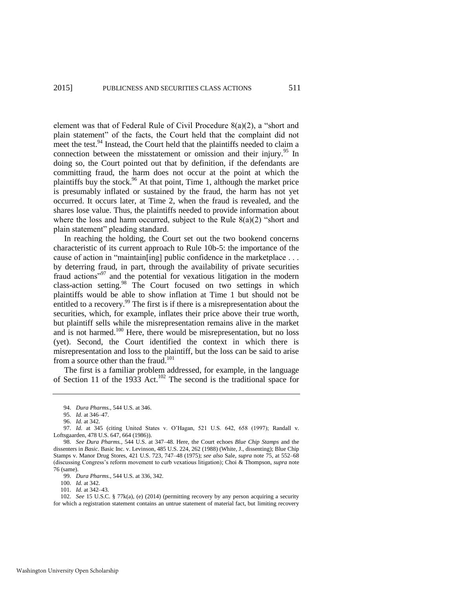element was that of Federal Rule of Civil Procedure 8(a)(2), a "short and plain statement" of the facts, the Court held that the complaint did not meet the test.<sup>94</sup> Instead, the Court held that the plaintiffs needed to claim a connection between the misstatement or omission and their injury.<sup>95</sup> In doing so, the Court pointed out that by definition, if the defendants are committing fraud, the harm does not occur at the point at which the plaintiffs buy the stock.<sup>96</sup> At that point, Time 1, although the market price is presumably inflated or sustained by the fraud, the harm has not yet occurred. It occurs later, at Time 2, when the fraud is revealed, and the shares lose value. Thus, the plaintiffs needed to provide information about where the loss and harm occurred, subject to the Rule  $8(a)(2)$  "short and plain statement" pleading standard.

In reaching the holding, the Court set out the two bookend concerns characteristic of its current approach to Rule 10b-5: the importance of the cause of action in "maintain[ing] public confidence in the marketplace ... by deterring fraud, in part, through the availability of private securities fraud actions"<sup>97</sup> and the potential for vexatious litigation in the modern class-action setting.<sup>98</sup> The Court focused on two settings in which plaintiffs would be able to show inflation at Time 1 but should not be entitled to a recovery.<sup>99</sup> The first is if there is a misrepresentation about the securities, which, for example, inflates their price above their true worth, but plaintiff sells while the misrepresentation remains alive in the market and is not harmed. $100$  Here, there would be misrepresentation, but no loss (yet). Second, the Court identified the context in which there is misrepresentation and loss to the plaintiff, but the loss can be said to arise from a source other than the fraud.<sup>101</sup>

The first is a familiar problem addressed, for example, in the language of Section 11 of the 1933 Act.<sup>102</sup> The second is the traditional space for

<sup>94.</sup> *Dura Pharms.*, 544 U.S. at 346.

<sup>95.</sup> *Id.* at 346–47.

<sup>96.</sup> *Id.* at 342.

<sup>97.</sup> *Id.* at 345 (citing United States v. O'Hagan, 521 U.S. 642, 658 (1997); Randall v. Loftsgaarden, 478 U.S. 647, 664 (1986)).

<sup>98.</sup> *See Dura Pharms.*, 544 U.S. at 347–48. Here, the Court echoes *Blue Chip Stamps* and the dissenters in *Basic*. Basic Inc. v. Levinson, 485 U.S. 224, 262 (1988) (White, J., dissenting); Blue Chip Stamps v. Manor Drug Stores, 421 U.S. 723, 747–48 (1975); *see also* Sale, *supra* note [75,](#page-19-0) at 552–68 (discussing Congress's reform movement to curb vexatious litigation); Choi & Thompson, *supra* note [76](#page-20-0) (same).

<sup>99.</sup> *Dura Pharms.*, 544 U.S. at 336, 342.

<sup>100.</sup> *Id.* at 342.

<sup>101.</sup> *Id.* at 342–43.

<sup>102.</sup> *See* 15 U.S.C. § 77k(a), (e) (2014) (permitting recovery by any person acquiring a security for which a registration statement contains an untrue statement of material fact, but limiting recovery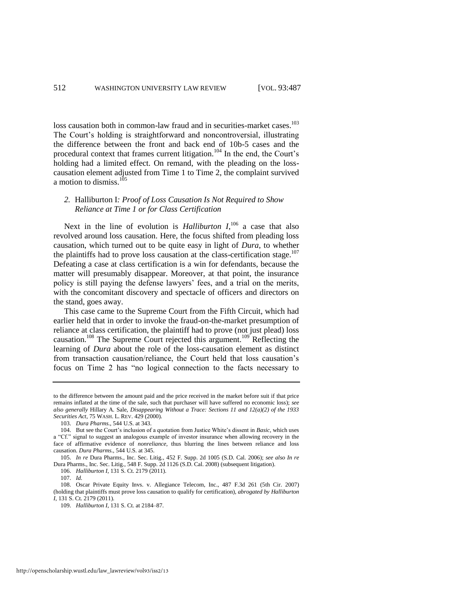loss causation both in common-law fraud and in securities-market cases.<sup>103</sup> The Court's holding is straightforward and noncontroversial, illustrating the difference between the front and back end of 10b-5 cases and the procedural context that frames current litigation.<sup>104</sup> In the end, the Court's holding had a limited effect. On remand, with the pleading on the losscausation element adjusted from Time 1 to Time 2, the complaint survived a motion to dismiss.<sup>105</sup>

# <span id="page-26-0"></span>*2.* Halliburton I*: Proof of Loss Causation Is Not Required to Show Reliance at Time 1 or for Class Certification*

Next in the line of evolution is *Halliburton*  $I<sub>1</sub><sup>106</sup>$  a case that also revolved around loss causation. Here, the focus shifted from pleading loss causation, which turned out to be quite easy in light of *Dura*, to whether the plaintiffs had to prove loss causation at the class-certification stage.<sup>107</sup> Defeating a case at class certification is a win for defendants, because the matter will presumably disappear. Moreover, at that point, the insurance policy is still paying the defense lawyers' fees, and a trial on the merits, with the concomitant discovery and spectacle of officers and directors on the stand, goes away.

This case came to the Supreme Court from the Fifth Circuit, which had earlier held that in order to invoke the fraud-on-the-market presumption of reliance at class certification, the plaintiff had to prove (not just plead) loss causation.<sup>108</sup> The Supreme Court rejected this argument.<sup>109</sup> Reflecting the learning of *Dura* about the role of the loss-causation element as distinct from transaction causation/reliance, the Court held that loss causation's focus on Time 2 has "no logical connection to the facts necessary to

to the difference between the amount paid and the price received in the market before suit if that price remains inflated at the time of the sale, such that purchaser will have suffered no economic loss); *see also generally* Hillary A. Sale, *Disappearing Without a Trace: Sections 11 and 12(a)(2) of the 1933 Securities Act*, 75 WASH. L. REV. 429 (2000).

<sup>103.</sup> *Dura Pharms.*, 544 U.S. at 343.

<sup>104.</sup> But see the Court's inclusion of a quotation from Justice White's dissent in *Basic*, which uses a "Cf." signal to suggest an analogous example of investor insurance when allowing recovery in the face of affirmative evidence of *nonreliance*, thus blurring the lines between reliance and loss causation. *Dura Pharms.*, 544 U.S. at 345.

<sup>105.</sup> *In re* Dura Pharms., Inc. Sec. Litig., 452 F. Supp. 2d 1005 (S.D. Cal. 2006); *see also In re* Dura Pharms., Inc. Sec. Litig., 548 F. Supp. 2d 1126 (S.D. Cal. 2008) (subsequent litigation).

<sup>106.</sup> *Halliburton I*, 131 S. Ct. 2179 (2011).

<sup>107.</sup> *Id.*

<sup>108.</sup> Oscar Private Equity Invs. v. Allegiance Telecom, Inc., 487 F.3d 261 (5th Cir. 2007) (holding that plaintiffs must prove loss causation to qualify for certification), *abrogated by Halliburton I*, 131 S. Ct. 2179 (2011).

<sup>109.</sup> *Halliburton I*, 131 S. Ct. at 2184–87.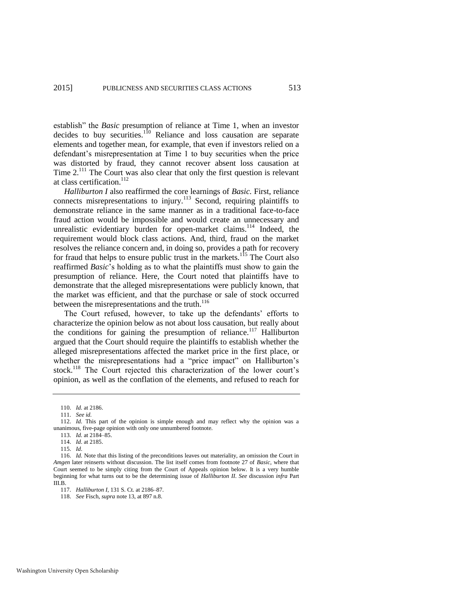establish" the *Basic* presumption of reliance at Time 1, when an investor decides to buy securities.<sup>110</sup> Reliance and loss causation are separate elements and together mean, for example, that even if investors relied on a defendant's misrepresentation at Time 1 to buy securities when the price was distorted by fraud, they cannot recover absent loss causation at Time  $2^{111}$  The Court was also clear that only the first question is relevant at class certification. $112$ 

*Halliburton I* also reaffirmed the core learnings of *Basic.* First, reliance connects misrepresentations to injury.<sup>113</sup> Second, requiring plaintiffs to demonstrate reliance in the same manner as in a traditional face-to-face fraud action would be impossible and would create an unnecessary and unrealistic evidentiary burden for open-market claims.<sup>114</sup> Indeed, the requirement would block class actions. And, third, fraud on the market resolves the reliance concern and, in doing so, provides a path for recovery for fraud that helps to ensure public trust in the markets.<sup>115</sup> The Court also reaffirmed *Basic*'s holding as to what the plaintiffs must show to gain the presumption of reliance. Here, the Court noted that plaintiffs have to demonstrate that the alleged misrepresentations were publicly known, that the market was efficient, and that the purchase or sale of stock occurred between the misrepresentations and the truth.<sup>116</sup>

The Court refused, however, to take up the defendants' efforts to characterize the opinion below as not about loss causation, but really about the conditions for gaining the presumption of reliance.<sup>117</sup> Halliburton argued that the Court should require the plaintiffs to establish whether the alleged misrepresentations affected the market price in the first place, or whether the misrepresentations had a "price impact" on Halliburton's stock.<sup>118</sup> The Court rejected this characterization of the lower court's opinion, as well as the conflation of the elements, and refused to reach for

<sup>110.</sup> *Id.* at 2186.

<sup>111.</sup> *See id.*

<sup>112.</sup> *Id.* This part of the opinion is simple enough and may reflect why the opinion was a unanimous, five-page opinion with only one unnumbered footnote.

<sup>113.</sup> *Id.* at 2184–85.

<sup>114.</sup> *Id*. at 2185.

<sup>115.</sup> *Id*.

<sup>116.</sup> *Id.* Note that this listing of the preconditions leaves out materiality, an omission the Court in *Amgen* later reinserts without discussion. The list itself comes from footnote 27 of *Basic*, where that Court seemed to be simply citing from the Court of Appeals opinion below. It is a very humble beginning for what turns out to be the determining issue of *Halliburton II*. *See* discussion *infra* Part III.B.

<sup>117.</sup> *Halliburton I*, 131 S. Ct. at 2186–87.

<sup>118.</sup> *See* Fisch, *supra* not[e 13,](#page-5-0) at 897 n.8.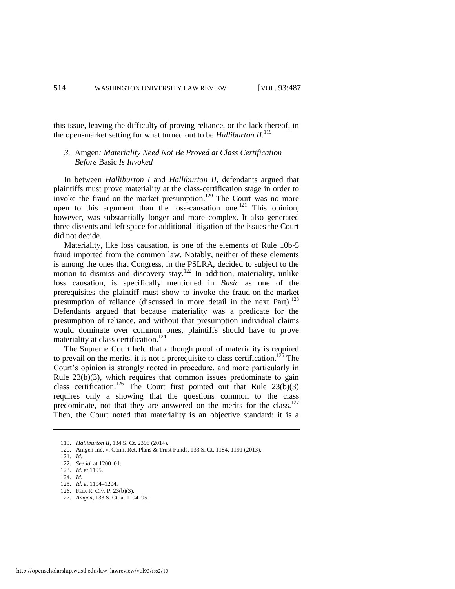this issue, leaving the difficulty of proving reliance, or the lack thereof, in the open-market setting for what turned out to be *Halliburton II*. 119

# <span id="page-28-0"></span>*3.* Amgen*: Materiality Need Not Be Proved at Class Certification Before* Basic *Is Invoked*

In between *Halliburton I* and *Halliburton II*, defendants argued that plaintiffs must prove materiality at the class-certification stage in order to invoke the fraud-on-the-market presumption.<sup>120</sup> The Court was no more open to this argument than the loss-causation one.<sup>121</sup> This opinion, however, was substantially longer and more complex. It also generated three dissents and left space for additional litigation of the issues the Court did not decide.

Materiality, like loss causation, is one of the elements of Rule 10b-5 fraud imported from the common law. Notably, neither of these elements is among the ones that Congress, in the PSLRA, decided to subject to the motion to dismiss and discovery stay.<sup>122</sup> In addition, materiality, unlike loss causation, is specifically mentioned in *Basic* as one of the prerequisites the plaintiff must show to invoke the fraud-on-the-market presumption of reliance (discussed in more detail in the next Part).<sup>123</sup> Defendants argued that because materiality was a predicate for the presumption of reliance, and without that presumption individual claims would dominate over common ones, plaintiffs should have to prove materiality at class certification.<sup>124</sup>

The Supreme Court held that although proof of materiality is required to prevail on the merits, it is not a prerequisite to class certification.<sup>125</sup> The Court's opinion is strongly rooted in procedure, and more particularly in Rule  $23(b)(3)$ , which requires that common issues predominate to gain class certification.<sup>126</sup> The Court first pointed out that Rule  $23(b)(3)$ requires only a showing that the questions common to the class predominate, not that they are answered on the merits for the class.<sup>127</sup> Then, the Court noted that materiality is an objective standard: it is a

<sup>119.</sup> *Halliburton II*, 134 S. Ct. 2398 (2014).

<sup>120.</sup> Amgen Inc. v. Conn. Ret. Plans & Trust Funds, 133 S. Ct. 1184, 1191 (2013).

<sup>121.</sup> *Id.*

<sup>122.</sup> *See id.* at 1200–01.

<sup>123.</sup> *Id.* at 1195.

<sup>124.</sup> *Id.*

<sup>125.</sup> *Id.* at 1194–1204.

<sup>126.</sup> FED. R. CIV. P. 23(b)(3).

<sup>127.</sup> *Amgen*, 133 S. Ct. at 1194–95.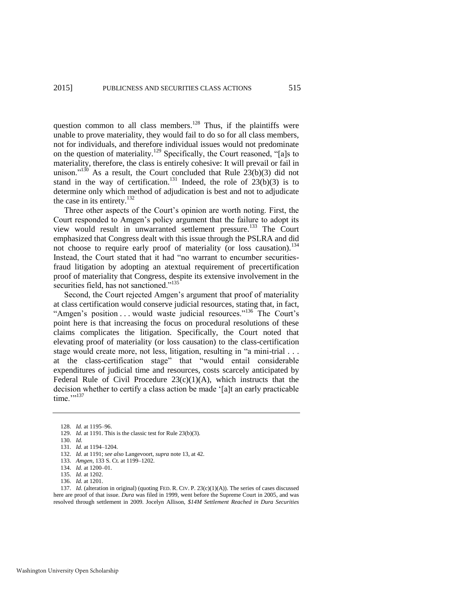question common to all class members.<sup>128</sup> Thus, if the plaintiffs were unable to prove materiality, they would fail to do so for all class members, not for individuals, and therefore individual issues would not predominate on the question of materiality.<sup>129</sup> Specifically, the Court reasoned, "[a]s to materiality, therefore, the class is entirely cohesive: It will prevail or fail in unison."<sup>130</sup> As a result, the Court concluded that Rule  $23(b)(3)$  did not stand in the way of certification.<sup>131</sup> Indeed, the role of  $23(b)(3)$  is to determine only which method of adjudication is best and not to adjudicate the case in its entirety.<sup>132</sup>

Three other aspects of the Court's opinion are worth noting. First, the Court responded to Amgen's policy argument that the failure to adopt its view would result in unwarranted settlement pressure.<sup>133</sup> The Court emphasized that Congress dealt with this issue through the PSLRA and did not choose to require early proof of materiality (or loss causation).<sup>134</sup> Instead, the Court stated that it had "no warrant to encumber securitiesfraud litigation by adopting an atextual requirement of precertification proof of materiality that Congress, despite its extensive involvement in the securities field, has not sanctioned."<sup>135</sup>

Second, the Court rejected Amgen's argument that proof of materiality at class certification would conserve judicial resources, stating that, in fact, "Amgen's position . . . would waste judicial resources."<sup>136</sup> The Court's point here is that increasing the focus on procedural resolutions of these claims complicates the litigation. Specifically, the Court noted that elevating proof of materiality (or loss causation) to the class-certification stage would create more, not less, litigation, resulting in "a mini-trial . . . at the class-certification stage" that "would entail considerable expenditures of judicial time and resources, costs scarcely anticipated by Federal Rule of Civil Procedure  $23(c)(1)(A)$ , which instructs that the decision whether to certify a class action be made '[a]t an early practicable time."<sup>137</sup>

137. *Id.* (alteration in original) (quoting FED. R. CIV. P. 23(c)(1)(A)). The series of cases discussed here are proof of that issue. *Dura* was filed in 1999, went before the Supreme Court in 2005, and was resolved through settlement in 2009. Jocelyn Allison, *\$14M Settlement Reached in Dura Securities* 

<sup>128.</sup> *Id.* at 1195–96.

<sup>129.</sup> *Id.* at 1191. This is the classic test for Rule 23(b)(3).

<sup>130.</sup> *Id.*

<sup>131.</sup> *Id.* at 1194–1204.

<sup>132.</sup> *Id.* at 1191; *see also* Langevoort, *supra* not[e 13,](#page-5-0) at 42.

<sup>133.</sup> *Amgen*, 133 S. Ct. at 1199–1202.

<sup>134.</sup> *Id.* at 1200–01.

<sup>135.</sup> *Id.* at 1202.

<sup>136.</sup> *Id.* at 1201.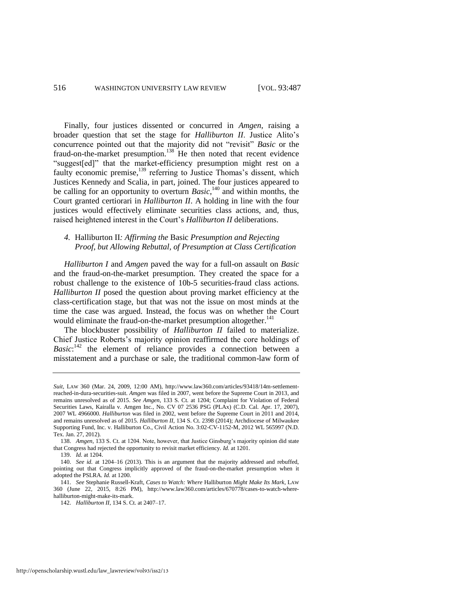Finally, four justices dissented or concurred in *Amgen*, raising a broader question that set the stage for *Halliburton II*. Justice Alito's concurrence pointed out that the majority did not "revisit" *Basic* or the fraud-on-the-market presumption.<sup>138</sup> He then noted that recent evidence "suggest[ed]" that the market-efficiency presumption might rest on a faulty economic premise,<sup>139</sup> referring to Justice Thomas's dissent, which Justices Kennedy and Scalia, in part, joined. The four justices appeared to be calling for an opportunity to overturn *Basic*,<sup>140</sup> and within months, the Court granted certiorari in *Halliburton II*. A holding in line with the four justices would effectively eliminate securities class actions, and, thus, raised heightened interest in the Court's *Halliburton II* deliberations.

# *4.* Halliburton II*: Affirming the* Basic *Presumption and Rejecting Proof, but Allowing Rebuttal, of Presumption at Class Certification*

*Halliburton I* and *Amgen* paved the way for a full-on assault on *Basic* and the fraud-on-the-market presumption. They created the space for a robust challenge to the existence of 10b-5 securities-fraud class actions. *Halliburton II* posed the question about proving market efficiency at the class-certification stage, but that was not the issue on most minds at the time the case was argued. Instead, the focus was on whether the Court would eliminate the fraud-on-the-market presumption altogether.<sup>141</sup>

<span id="page-30-0"></span>The blockbuster possibility of *Halliburton II* failed to materialize. Chief Justice Roberts's majority opinion reaffirmed the core holdings of Basic:<sup>142</sup> the element of reliance provides a connection between a misstatement and a purchase or sale, the traditional common-law form of

*Suit*, LAW 360 (Mar. 24, 2009, 12:00 AM), http://www.law360.com/articles/93418/14m-settlementreached-in-dura-securities-suit. *Amgen* was filed in 2007, went before the Supreme Court in 2013, and remains unresolved as of 2015. *See Amgen*, 133 S. Ct. at 1204; Complaint for Violation of Federal Securities Laws, Kairalla v. Amgen Inc., No. CV 07 2536 PSG (PLAx) (C.D. Cal. Apr. 17, 2007), 2007 WL 4966000. *Halliburton* was filed in 2002, went before the Supreme Court in 2011 and 2014, and remains unresolved as of 2015. *Halliburton II*, 134 S. Ct. 2398 (2014); Archdiocese of Milwaukee Supporting Fund, Inc. v. Halliburton Co., Civil Action No. 3:02-CV-1152-M, 2012 WL 565997 (N.D. Tex. Jan. 27, 2012).

<sup>138.</sup> *Amgen*, 133 S. Ct. at 1204. Note, however, that Justice Ginsburg's majority opinion did state that Congress had rejected the opportunity to revisit market efficiency. *Id.* at 1201.

<sup>139.</sup> *Id.* at 1204.

<sup>140.</sup> *See id.* at 1204–16 (2013). This is an argument that the majority addressed and rebuffed, pointing out that Congress implicitly approved of the fraud-on-the-market presumption when it adopted the PSLRA. *Id.* at 1200.

<sup>141.</sup> *See* Stephanie Russell-Kraft, *Cases to Watch: Where* Halliburton *Might Make Its Mark*, LAW 360 (June 22, 2015, 8:26 PM), http://www.law360.com/articles/670778/cases-to-watch-wherehalliburton-might-make-its-mark.

<sup>142.</sup> *Halliburton II*, 134 S. Ct. at 2407–17.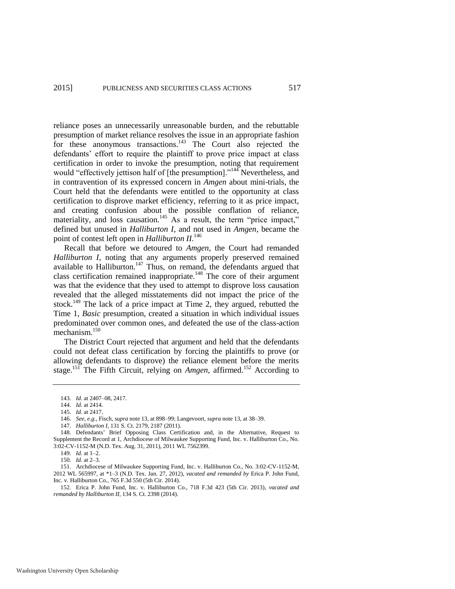reliance poses an unnecessarily unreasonable burden, and the rebuttable presumption of market reliance resolves the issue in an appropriate fashion for these anonymous transactions.<sup>143</sup> The Court also rejected the defendants' effort to require the plaintiff to prove price impact at class certification in order to invoke the presumption, noting that requirement would "effectively jettison half of [the presumption]."<sup>144</sup> Nevertheless, and in contravention of its expressed concern in *Amgen* about mini-trials, the Court held that the defendants were entitled to the opportunity at class certification to disprove market efficiency, referring to it as price impact, and creating confusion about the possible conflation of reliance, materiality, and loss causation.<sup>145</sup> As a result, the term "price impact," defined but unused in *Halliburton I*, and not used in *Amgen*, became the point of contest left open in *Halliburton II*. 146

<span id="page-31-0"></span>Recall that before we detoured to *Amgen*, the Court had remanded *Halliburton I*, noting that any arguments properly preserved remained available to Halliburton.<sup>147</sup> Thus, on remand, the defendants argued that class certification remained inappropriate.<sup>148</sup> The core of their argument was that the evidence that they used to attempt to disprove loss causation revealed that the alleged misstatements did not impact the price of the stock.<sup>149</sup> The lack of a price impact at Time 2, they argued, rebutted the Time 1, *Basic* presumption, created a situation in which individual issues predominated over common ones, and defeated the use of the class-action mechanism.<sup>150</sup>

The District Court rejected that argument and held that the defendants could not defeat class certification by forcing the plaintiffs to prove (or allowing defendants to disprove) the reliance element before the merits stage.<sup>151</sup> The Fifth Circuit, relying on *Amgen*, affirmed.<sup>152</sup> According to

152. Erica P. John Fund, Inc. v. Halliburton Co., 718 F.3d 423 (5th Cir. 2013), *vacated and remanded by Halliburton II*, 134 S. Ct. 2398 (2014).

<sup>143.</sup> *Id.* at 2407–08, 2417.

<sup>144.</sup> *Id.* at 2414.

<sup>145.</sup> *Id.* at 2417.

<sup>146.</sup> *See, e.g.*, Fisch, *supra* not[e 13,](#page-5-0) at 898–99; Langevoort, *supra* not[e 13,](#page-5-0) at 38–39.

<sup>147.</sup> *Halliburton I*, 131 S. Ct. 2179, 2187 (2011).

<sup>148.</sup> Defendants' Brief Opposing Class Certification and, in the Alternative, Request to Supplement the Record at 1, Archdiocese of Milwaukee Supporting Fund, Inc. v. Halliburton Co., No. 3:02-CV-1152-M (N.D. Tex. Aug. 31, 2011), 2011 WL 7562399.

<sup>149.</sup> *Id.* at 1–2.

<sup>150.</sup> *Id.* at 2–3.

<sup>151.</sup> Archdiocese of Milwaukee Supporting Fund, Inc. v. Halliburton Co., No. 3:02-CV-1152-M, 2012 WL 565997, at \*1–3 (N.D. Tex. Jan. 27, 2012), *vacated and remanded by* Erica P. John Fund, Inc. v. Halliburton Co., 765 F.3d 550 (5th Cir. 2014).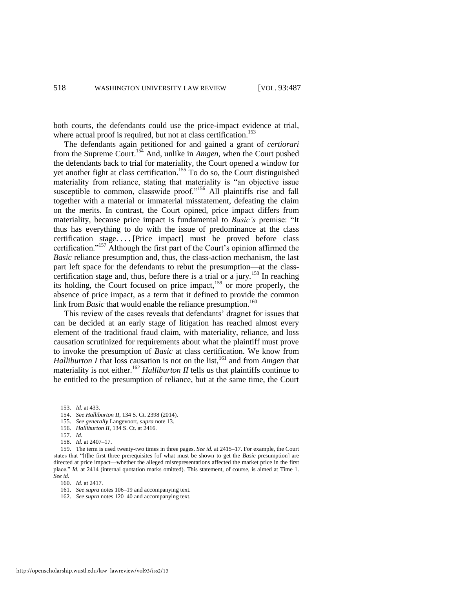both courts, the defendants could use the price-impact evidence at trial, where actual proof is required, but not at class certification.<sup>153</sup>

The defendants again petitioned for and gained a grant of *certiorari* from the Supreme Court.<sup>154</sup> And, unlike in *Amgen*, when the Court pushed the defendants back to trial for materiality, the Court opened a window for yet another fight at class certification.<sup>155</sup> To do so, the Court distinguished materiality from reliance, stating that materiality is "an objective issue susceptible to common, classwide proof."<sup>156</sup> All plaintiffs rise and fall together with a material or immaterial misstatement, defeating the claim on the merits. In contrast, the Court opined, price impact differs from materiality, because price impact is fundamental to *Basic's* premise: "It thus has everything to do with the issue of predominance at the class certification stage. . . . [Price impact] must be proved before class certification."<sup>157</sup> Although the first part of the Court's opinion affirmed the *Basic* reliance presumption and, thus, the class-action mechanism, the last part left space for the defendants to rebut the presumption—at the classcertification stage and, thus, before there is a trial or a jury.<sup>158</sup> In reaching its holding, the Court focused on price impact,<sup>159</sup> or more properly, the absence of price impact, as a term that it defined to provide the common link from *Basic* that would enable the reliance presumption.<sup>160</sup>

<span id="page-32-1"></span><span id="page-32-0"></span>This review of the cases reveals that defendants' dragnet for issues that can be decided at an early stage of litigation has reached almost every element of the traditional fraud claim, with materiality, reliance, and loss causation scrutinized for requirements about what the plaintiff must prove to invoke the presumption of *Basic* at class certification. We know from *Halliburton I* that loss causation is not on the list,<sup>161</sup> and from *Amgen* that materiality is not either.<sup>162</sup> *Halliburton II* tells us that plaintiffs continue to be entitled to the presumption of reliance, but at the same time, the Court

159. The term is used twenty-two times in three pages. *See id.* at 2415–17. For example, the Court states that "[t]he first three prerequisites [of what must be shown to get the *Basic* presumption] are directed at price impact—whether the alleged misrepresentations affected the market price in the first place." *Id.* at 2414 (internal quotation marks omitted). This statement, of course, is aimed at Time 1. *See id.*

160. *Id.* at 2417.

161. *See supra* note[s 106–](#page-26-0)19 and accompanying text.

<sup>153.</sup> *Id.* at 433.

<sup>154.</sup> *See Halliburton II*, 134 S. Ct. 2398 (2014).

<sup>155.</sup> *See generally* Langevoort, *supra* not[e 13.](#page-5-0) 

<sup>156.</sup> *Halliburton II*, 134 S. Ct. at 2416.

<sup>157.</sup> *Id.* 

<sup>158.</sup> *Id.* at 2407–17.

<sup>162.</sup> *See supra* note[s 120–](#page-28-0)40 and accompanying text.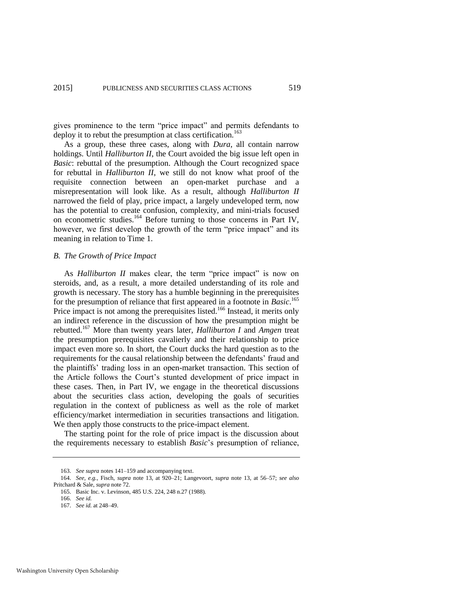gives prominence to the term "price impact" and permits defendants to deploy it to rebut the presumption at class certification.<sup>163</sup>

As a group, these three cases, along with *Dura*, all contain narrow holdings. Until *Halliburton II*, the Court avoided the big issue left open in *Basic*: rebuttal of the presumption. Although the Court recognized space for rebuttal in *Halliburton II*, we still do not know what proof of the requisite connection between an open-market purchase and a misrepresentation will look like. As a result, although *Halliburton II* narrowed the field of play, price impact, a largely undeveloped term, now has the potential to create confusion, complexity, and mini-trials focused on econometric studies.<sup>164</sup> Before turning to those concerns in Part IV, however, we first develop the growth of the term "price impact" and its meaning in relation to Time 1.

#### *B. The Growth of Price Impact*

As *Halliburton II* makes clear, the term "price impact" is now on steroids, and, as a result, a more detailed understanding of its role and growth is necessary. The story has a humble beginning in the prerequisites for the presumption of reliance that first appeared in a footnote in *Basic*. 165 Price impact is not among the prerequisites listed.<sup>166</sup> Instead, it merits only an indirect reference in the discussion of how the presumption might be rebutted.<sup>167</sup> More than twenty years later, *Halliburton I* and *Amgen* treat the presumption prerequisites cavalierly and their relationship to price impact even more so. In short, the Court ducks the hard question as to the requirements for the causal relationship between the defendants' fraud and the plaintiffs' trading loss in an open-market transaction. This section of the Article follows the Court's stunted development of price impact in these cases. Then, in Part IV, we engage in the theoretical discussions about the securities class action, developing the goals of securities regulation in the context of publicness as well as the role of market efficiency/market intermediation in securities transactions and litigation. We then apply those constructs to the price-impact element.

The starting point for the role of price impact is the discussion about the requirements necessary to establish *Basic*'s presumption of reliance,

<sup>163.</sup> *See supra* note[s 141](#page-30-0)[–159 a](#page-32-0)nd accompanying text.

<sup>164.</sup> *See, e.g.*, Fisch, *supra* note [13,](#page-5-0) at 920–21; Langevoort, *supra* note [13,](#page-5-0) at 56–57; *see also* Pritchard & Sale, *supra* not[e 72.](#page-19-1) 

<sup>165.</sup> Basic Inc. v. Levinson, 485 U.S. 224, 248 n.27 (1988).

<sup>166.</sup> *See id.*

<sup>167.</sup> *See id.* at 248–49.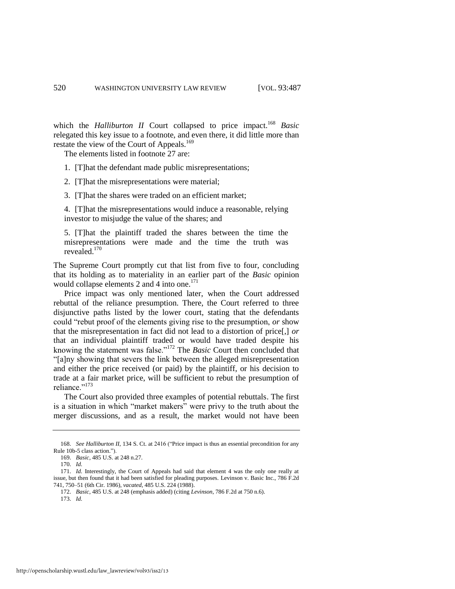which the *Halliburton II* Court collapsed to price impact.<sup>168</sup> *Basic* relegated this key issue to a footnote, and even there, it did little more than restate the view of the Court of Appeals.<sup>169</sup>

<span id="page-34-0"></span>The elements listed in footnote 27 are:

1. [T]hat the defendant made public misrepresentations;

2. [T]hat the misrepresentations were material;

3. [T]hat the shares were traded on an efficient market;

4. [T]hat the misrepresentations would induce a reasonable, relying investor to misjudge the value of the shares; and

5. [T]hat the plaintiff traded the shares between the time the misrepresentations were made and the time the truth was revealed.<sup>170</sup>

The Supreme Court promptly cut that list from five to four, concluding that its holding as to materiality in an earlier part of the *Basic* opinion would collapse elements 2 and 4 into one. $171$ 

Price impact was only mentioned later, when the Court addressed rebuttal of the reliance presumption. There, the Court referred to three disjunctive paths listed by the lower court, stating that the defendants could "rebut proof of the elements giving rise to the presumption, *or* show that the misrepresentation in fact did not lead to a distortion of price[,] *or* that an individual plaintiff traded or would have traded despite his knowing the statement was false."<sup>172</sup> The *Basic* Court then concluded that "[a]ny showing that severs the link between the alleged misrepresentation and either the price received (or paid) by the plaintiff, or his decision to trade at a fair market price, will be sufficient to rebut the presumption of reliance."<sup>173</sup>

The Court also provided three examples of potential rebuttals. The first is a situation in which "market makers" were privy to the truth about the merger discussions, and as a result, the market would not have been

173. *Id.*

<sup>168.</sup> *See Halliburton II*, 134 S. Ct. at 2416 ("Price impact is thus an essential precondition for any Rule 10b-5 class action.").

<sup>169.</sup> *Basic*, 485 U.S. at 248 n.27.

<sup>170.</sup> *Id.* 

<sup>171.</sup> *Id.* Interestingly, the Court of Appeals had said that element 4 was the only one really at issue, but then found that it had been satisfied for pleading purposes. Levinson v. Basic Inc., 786 F.2d 741, 750–51 (6th Cir. 1986), *vacated*, 485 U.S. 224 (1988).

<sup>172.</sup> *Basic*, 485 U.S. at 248 (emphasis added) (citing *Levinson*, 786 F.2d at 750 n.6).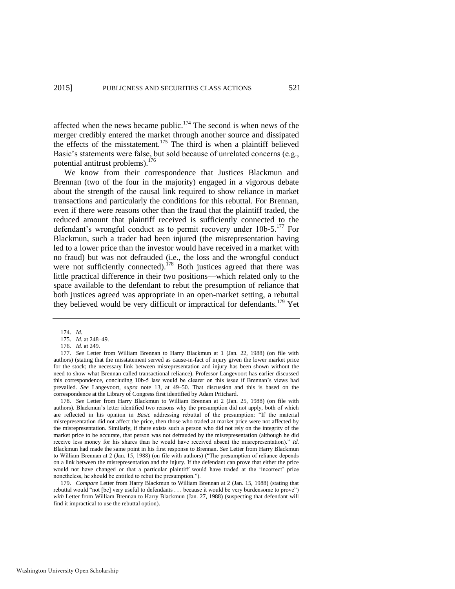affected when the news became public.<sup>174</sup> The second is when news of the merger credibly entered the market through another source and dissipated the effects of the misstatement.<sup>175</sup> The third is when a plaintiff believed Basic's statements were false, but sold because of unrelated concerns (e.g., potential antitrust problems).<sup>176</sup>

We know from their correspondence that Justices Blackmun and Brennan (two of the four in the majority) engaged in a vigorous debate about the strength of the causal link required to show reliance in market transactions and particularly the conditions for this rebuttal. For Brennan, even if there were reasons other than the fraud that the plaintiff traded, the reduced amount that plaintiff received is sufficiently connected to the defendant's wrongful conduct as to permit recovery under 10b-5.<sup>177</sup> For Blackmun, such a trader had been injured (the misrepresentation having led to a lower price than the investor would have received in a market with no fraud) but was not defrauded (i.e., the loss and the wrongful conduct were not sufficiently connected).<sup>178</sup> Both justices agreed that there was little practical difference in their two positions—which related only to the space available to the defendant to rebut the presumption of reliance that both justices agreed was appropriate in an open-market setting, a rebuttal they believed would be very difficult or impractical for defendants.<sup>179</sup> Yet

177. *See* Letter from William Brennan to Harry Blackmun at 1 (Jan. 22, 1988) (on file with authors) (stating that the misstatement served as cause-in-fact of injury given the lower market price for the stock; the necessary link between misrepresentation and injury has been shown without the need to show what Brennan called transactional reliance). Professor Langevoort has earlier discussed this correspondence, concluding 10b-5 law would be clearer on this issue if Brennan's views had prevailed. *See* Langevoort, *supra* note [13,](#page-5-0) at 49–50. That discussion and this is based on the correspondence at the Library of Congress first identified by Adam Pritchard.

178. *See* Letter from Harry Blackmun to William Brennan at 2 (Jan. 25, 1988) (on file with authors). Blackmun's letter identified two reasons why the presumption did not apply, both of which are reflected in his opinion in *Basic* addressing rebuttal of the presumption: "If the material misrepresentation did not affect the price, then those who traded at market price were not affected by the misrepresentation. Similarly, if there exists such a person who did not rely on the integrity of the market price to be accurate, that person was not defrauded by the misrepresentation (although he did receive less money for his shares than he would have received absent the misrepresentation)." *Id.* Blackmun had made the same point in his first response to Brennan. *See* Letter from Harry Blackmun to William Brennan at 2 (Jan. 15, 1988) (on file with authors) ("The presumption of reliance depends on a link between the misrepresentation and the injury. If the defendant can prove that either the price would not have changed or that a particular plaintiff would have traded at the 'incorrect' price nonetheless, he should be entitled to rebut the presumption.").

179. *Compare* Letter from Harry Blackmun to William Brennan at 2 (Jan. 15, 1988) (stating that rebuttal would "not [be] very useful to defendants . . . because it would be very burdensome to prove") *with* Letter from William Brennan to Harry Blackmun (Jan. 27, 1988) (suspecting that defendant will find it impractical to use the rebuttal option).

<sup>174.</sup> *Id.* 

<sup>175.</sup> *Id.* at 248–49.

<sup>176.</sup> *Id.* at 249.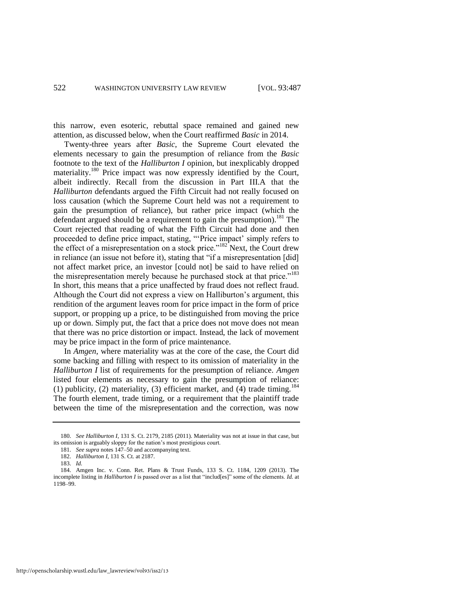this narrow, even esoteric, rebuttal space remained and gained new attention, as discussed below, when the Court reaffirmed *Basic* in 2014.

Twenty-three years after *Basic*, the Supreme Court elevated the elements necessary to gain the presumption of reliance from the *Basic*  footnote to the text of the *Halliburton I* opinion, but inexplicably dropped materiality.<sup>180</sup> Price impact was now expressly identified by the Court, albeit indirectly. Recall from the discussion in Part III.A that the *Halliburton* defendants argued the Fifth Circuit had not really focused on loss causation (which the Supreme Court held was not a requirement to gain the presumption of reliance), but rather price impact (which the defendant argued should be a requirement to gain the presumption).<sup>181</sup> The Court rejected that reading of what the Fifth Circuit had done and then proceeded to define price impact, stating, "'Price impact' simply refers to the effect of a misrepresentation on a stock price."<sup>182</sup> Next, the Court drew in reliance (an issue not before it), stating that "if a misrepresentation [did] not affect market price, an investor [could not] be said to have relied on the misrepresentation merely because he purchased stock at that price."<sup>183</sup> In short, this means that a price unaffected by fraud does not reflect fraud. Although the Court did not express a view on Halliburton's argument, this rendition of the argument leaves room for price impact in the form of price support, or propping up a price, to be distinguished from moving the price up or down. Simply put, the fact that a price does not move does not mean that there was no price distortion or impact. Instead, the lack of movement may be price impact in the form of price maintenance.

In *Amgen*, where materiality was at the core of the case, the Court did some backing and filling with respect to its omission of materiality in the *Halliburton I* list of requirements for the presumption of reliance. *Amgen* listed four elements as necessary to gain the presumption of reliance: (1) publicity, (2) materiality, (3) efficient market, and  $(4)$  trade timing.<sup>184</sup> The fourth element, trade timing, or a requirement that the plaintiff trade between the time of the misrepresentation and the correction, was now

<sup>180.</sup> *See Halliburton I*, 131 S. Ct. 2179, 2185 (2011). Materiality was not at issue in that case, but its omission is arguably sloppy for the nation's most prestigious court.

<sup>181.</sup> *See supra* note[s 147–](#page-31-0)50 and accompanying text.

<sup>182.</sup> *Halliburton I*, 131 S. Ct. at 2187.

<sup>183.</sup> *Id.*

<sup>184.</sup> Amgen Inc. v. Conn. Ret. Plans & Trust Funds, 133 S. Ct. 1184, 1209 (2013). The incomplete listing in *Halliburton I* is passed over as a list that "includ[es]" some of the elements. *Id.* at 1198–99.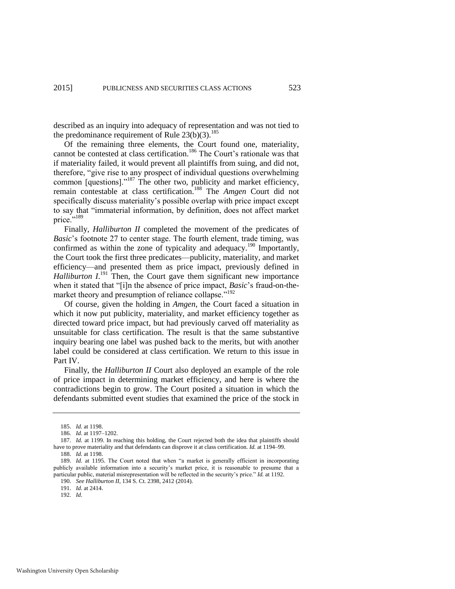described as an inquiry into adequacy of representation and was not tied to the predominance requirement of Rule  $23(b)(3)$ .<sup>185</sup>

Of the remaining three elements, the Court found one, materiality, cannot be contested at class certification.<sup>186</sup> The Court's rationale was that if materiality failed, it would prevent all plaintiffs from suing, and did not, therefore, "give rise to any prospect of individual questions overwhelming common [questions]."<sup>187</sup> The other two, publicity and market efficiency, remain contestable at class certification.<sup>188</sup> The *Amgen* Court did not specifically discuss materiality's possible overlap with price impact except to say that "immaterial information, by definition, does not affect market price."<sup>189</sup>

Finally, *Halliburton II* completed the movement of the predicates of *Basic*'s footnote 27 to center stage. The fourth element, trade timing, was confirmed as within the zone of typicality and adequacy.<sup>190</sup> Importantly, the Court took the first three predicates—publicity, materiality, and market efficiency—and presented them as price impact, previously defined in Halliburton I.<sup>191</sup> Then, the Court gave them significant new importance when it stated that "[i]n the absence of price impact, *Basic*'s fraud-on-themarket theory and presumption of reliance collapse."<sup>192</sup>

Of course, given the holding in *Amgen*, the Court faced a situation in which it now put publicity, materiality, and market efficiency together as directed toward price impact, but had previously carved off materiality as unsuitable for class certification. The result is that the same substantive inquiry bearing one label was pushed back to the merits, but with another label could be considered at class certification. We return to this issue in Part IV.

Finally, the *Halliburton II* Court also deployed an example of the role of price impact in determining market efficiency, and here is where the contradictions begin to grow. The Court posited a situation in which the defendants submitted event studies that examined the price of the stock in

<sup>185.</sup> *Id.* at 1198.

<sup>186.</sup> *Id.* at 1197–1202.

<sup>187.</sup> *Id.* at 1199. In reaching this holding, the Court rejected both the idea that plaintiffs should have to prove materiality and that defendants can disprove it at class certification. *Id.* at 1194–99.

<sup>188.</sup> *Id.* at 1198.

<sup>189.</sup> *Id.* at 1195. The Court noted that when "a market is generally efficient in incorporating publicly available information into a security's market price, it is reasonable to presume that a particular public, material misrepresentation will be reflected in the security's price." *Id.* at 1192.

<sup>190.</sup> *See Halliburton II*, 134 S. Ct. 2398, 2412 (2014).

<sup>191.</sup> *Id.* at 2414.

<sup>192.</sup> *Id.*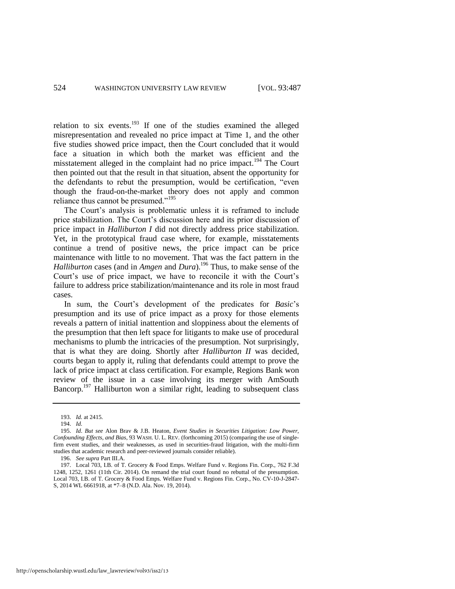relation to six events. $193$  If one of the studies examined the alleged misrepresentation and revealed no price impact at Time 1, and the other five studies showed price impact, then the Court concluded that it would face a situation in which both the market was efficient and the misstatement alleged in the complaint had no price impact.<sup>194</sup> The Court then pointed out that the result in that situation, absent the opportunity for the defendants to rebut the presumption, would be certification, "even though the fraud-on-the-market theory does not apply and common reliance thus cannot be presumed."<sup>195</sup>

The Court's analysis is problematic unless it is reframed to include price stabilization. The Court's discussion here and its prior discussion of price impact in *Halliburton I* did not directly address price stabilization. Yet, in the prototypical fraud case where, for example, misstatements continue a trend of positive news, the price impact can be price maintenance with little to no movement. That was the fact pattern in the *Halliburton* cases (and in *Amgen* and *Dura*).<sup>196</sup> Thus, to make sense of the Court's use of price impact, we have to reconcile it with the Court's failure to address price stabilization/maintenance and its role in most fraud cases.

In sum, the Court's development of the predicates for *Basic*'s presumption and its use of price impact as a proxy for those elements reveals a pattern of initial inattention and sloppiness about the elements of the presumption that then left space for litigants to make use of procedural mechanisms to plumb the intricacies of the presumption. Not surprisingly, that is what they are doing. Shortly after *Halliburton II* was decided, courts began to apply it, ruling that defendants could attempt to prove the lack of price impact at class certification. For example, Regions Bank won review of the issue in a case involving its merger with AmSouth Bancorp.<sup>197</sup> Halliburton won a similar right, leading to subsequent class

<sup>193.</sup> *Id.* at 2415*.*

<sup>194.</sup> *Id.* 

<sup>195.</sup> *Id*. *But see* Alon Brav & J.B. Heaton, *Event Studies in Securities Litigation: Low Power, Confounding Effects, and Bias*, 93 WASH. U. L. REV. (forthcoming 2015) (comparing the use of singlefirm event studies, and their weaknesses, as used in securities-fraud litigation, with the multi-firm studies that academic research and peer-reviewed journals consider reliable).

<sup>196.</sup> *See supra* Part III.A.

<sup>197.</sup> Local 703, I.B. of T. Grocery & Food Emps. Welfare Fund v. Regions Fin. Corp., 762 F.3d 1248, 1252, 1261 (11th Cir. 2014). On remand the trial court found no rebuttal of the presumption. Local 703, I.B. of T. Grocery & Food Emps. Welfare Fund v. Regions Fin. Corp., No. CV-10-J-2847- S, 2014 WL 6661918, at \*7–8 (N.D. Ala. Nov. 19, 2014).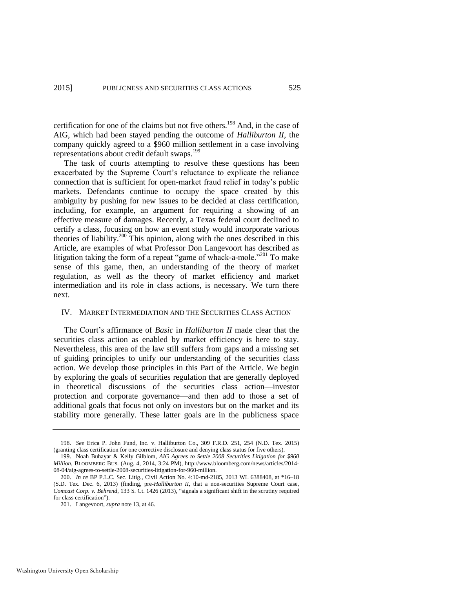certification for one of the claims but not five others.<sup>198</sup> And, in the case of AIG, which had been stayed pending the outcome of *Halliburton II*, the company quickly agreed to a \$960 million settlement in a case involving representations about credit default swaps.<sup>199</sup>

The task of courts attempting to resolve these questions has been exacerbated by the Supreme Court's reluctance to explicate the reliance connection that is sufficient for open-market fraud relief in today's public markets. Defendants continue to occupy the space created by this ambiguity by pushing for new issues to be decided at class certification, including, for example, an argument for requiring a showing of an effective measure of damages. Recently, a Texas federal court declined to certify a class, focusing on how an event study would incorporate various theories of liability.<sup>200</sup> This opinion, along with the ones described in this Article, are examples of what Professor Don Langevoort has described as litigation taking the form of a repeat "game of whack-a-mole."<sup>201</sup> To make sense of this game, then, an understanding of the theory of market regulation, as well as the theory of market efficiency and market intermediation and its role in class actions, is necessary. We turn there next.

#### IV. MARKET INTERMEDIATION AND THE SECURITIES CLASS ACTION

The Court's affirmance of *Basic* in *Halliburton II* made clear that the securities class action as enabled by market efficiency is here to stay. Nevertheless, this area of the law still suffers from gaps and a missing set of guiding principles to unify our understanding of the securities class action. We develop those principles in this Part of the Article. We begin by exploring the goals of securities regulation that are generally deployed in theoretical discussions of the securities class action—investor protection and corporate governance—and then add to those a set of additional goals that focus not only on investors but on the market and its stability more generally. These latter goals are in the publicness space

<sup>198.</sup> *See* Erica P. John Fund, Inc. v. Halliburton Co., 309 F.R.D. 251, 254 (N.D. Tex. 2015) (granting class certification for one corrective disclosure and denying class status for five others).

<sup>199.</sup> Noah Buhayar & Kelly Gilblom, *AIG Agrees to Settle 2008 Securities Litigation for \$960 Million*, BLOOMBERG BUS. (Aug. 4, 2014, 3:24 PM), http://www.bloomberg.com/news/articles/2014- 08-04/aig-agrees-to-settle-2008-securities-litigation-for-960-million.

<sup>200.</sup> *In re* BP P.L.C. Sec. Litig., Civil Action No. 4:10-md-2185, 2013 WL 6388408, at \*16–18 (S.D. Tex. Dec. 6, 2013) (finding, pre-*Halliburton II*, that a non-securities Supreme Court case, *Comcast Corp. v. Behrend*, 133 S. Ct. 1426 (2013), "signals a significant shift in the scrutiny required for class certification").

<sup>201.</sup> Langevoort, *supra* not[e 13,](#page-5-0) at 46.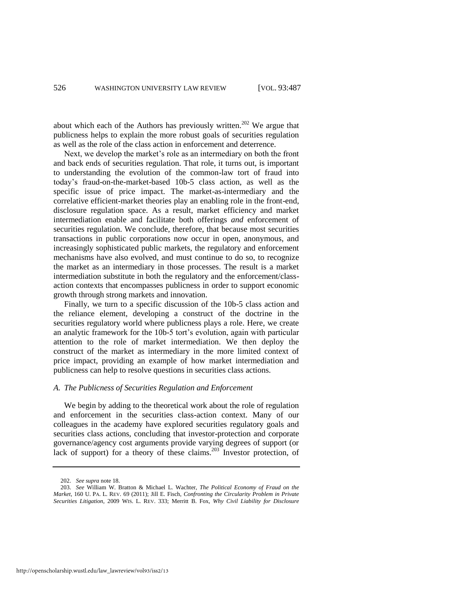about which each of the Authors has previously written.<sup>202</sup> We argue that publicness helps to explain the more robust goals of securities regulation as well as the role of the class action in enforcement and deterrence.

Next, we develop the market's role as an intermediary on both the front and back ends of securities regulation. That role, it turns out, is important to understanding the evolution of the common-law tort of fraud into today's fraud-on-the-market-based 10b-5 class action, as well as the specific issue of price impact. The market-as-intermediary and the correlative efficient-market theories play an enabling role in the front-end, disclosure regulation space. As a result, market efficiency and market intermediation enable and facilitate both offerings *and* enforcement of securities regulation. We conclude, therefore, that because most securities transactions in public corporations now occur in open, anonymous, and increasingly sophisticated public markets, the regulatory and enforcement mechanisms have also evolved, and must continue to do so, to recognize the market as an intermediary in those processes. The result is a market intermediation substitute in both the regulatory and the enforcement/classaction contexts that encompasses publicness in order to support economic growth through strong markets and innovation.

Finally, we turn to a specific discussion of the 10b-5 class action and the reliance element, developing a construct of the doctrine in the securities regulatory world where publicness plays a role. Here, we create an analytic framework for the 10b-5 tort's evolution, again with particular attention to the role of market intermediation. We then deploy the construct of the market as intermediary in the more limited context of price impact, providing an example of how market intermediation and publicness can help to resolve questions in securities class actions.

## *A. The Publicness of Securities Regulation and Enforcement*

We begin by adding to the theoretical work about the role of regulation and enforcement in the securities class-action context. Many of our colleagues in the academy have explored securities regulatory goals and securities class actions, concluding that investor-protection and corporate governance/agency cost arguments provide varying degrees of support (or lack of support) for a theory of these claims.<sup>203</sup> Investor protection, of

<span id="page-40-0"></span><sup>202.</sup> *See supra* not[e 18.](#page-7-0) 

<sup>203.</sup> *See* William W. Bratton & Michael L. Wachter, *The Political Economy of Fraud on the Market*, 160 U. PA. L. REV. 69 (2011); Jill E. Fisch, *Confronting the Circularity Problem in Private Securities Litigation*, 2009 WIS. L. REV. 333; Merritt B. Fox, *Why Civil Liability for Disclosure*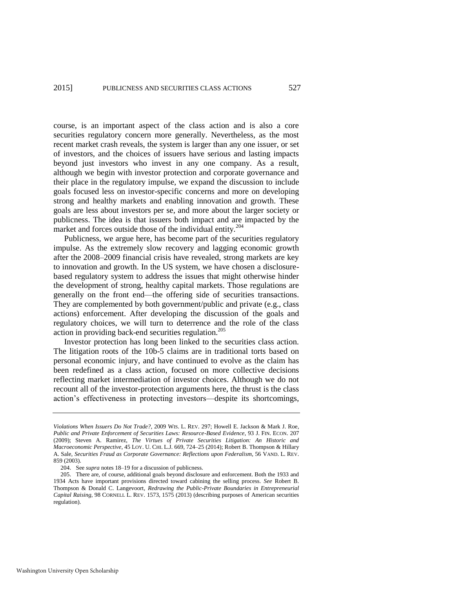course, is an important aspect of the class action and is also a core securities regulatory concern more generally. Nevertheless, as the most recent market crash reveals, the system is larger than any one issuer, or set of investors, and the choices of issuers have serious and lasting impacts beyond just investors who invest in any one company. As a result, although we begin with investor protection and corporate governance and their place in the regulatory impulse, we expand the discussion to include goals focused less on investor-specific concerns and more on developing strong and healthy markets and enabling innovation and growth. These goals are less about investors per se, and more about the larger society or publicness. The idea is that issuers both impact and are impacted by the market and forces outside those of the individual entity.<sup>204</sup>

Publicness, we argue here, has become part of the securities regulatory impulse. As the extremely slow recovery and lagging economic growth after the 2008–2009 financial crisis have revealed, strong markets are key to innovation and growth. In the US system, we have chosen a disclosurebased regulatory system to address the issues that might otherwise hinder the development of strong, healthy capital markets. Those regulations are generally on the front end—the offering side of securities transactions. They are complemented by both government/public and private (e.g., class actions) enforcement. After developing the discussion of the goals and regulatory choices, we will turn to deterrence and the role of the class action in providing back-end securities regulation.<sup>205</sup>

<span id="page-41-0"></span>Investor protection has long been linked to the securities class action. The litigation roots of the 10b-5 claims are in traditional torts based on personal economic injury, and have continued to evolve as the claim has been redefined as a class action, focused on more collective decisions reflecting market intermediation of investor choices. Although we do not recount all of the investor-protection arguments here, the thrust is the class action's effectiveness in protecting investors—despite its shortcomings,

*Violations When Issuers Do Not Trade?*, 2009 WIS. L. REV. 297; Howell E. Jackson & Mark J. Roe, *Public and Private Enforcement of Securities Laws: Resource-Based Evidence*, 93 J. FIN. ECON. 207 (2009); Steven A. Ramirez, *The Virtues of Private Securities Litigation: An Historic and Macroeconomic Perspective*, 45 LOY. U. CHI. L.J. 669, 724–25 (2014); Robert B. Thompson & Hillary A. Sale, *Securities Fraud as Corporate Governance: Reflections upon Federalism*, 56 VAND. L. REV. 859 (2003).

<sup>204.</sup> See *supra* note[s 18–](#page-7-0)[19](#page-8-0) for a discussion of publicness.

<sup>205.</sup> There are, of course, additional goals beyond disclosure and enforcement. Both the 1933 and 1934 Acts have important provisions directed toward cabining the selling process. *See* Robert B. Thompson & Donald C. Langevoort, *Redrawing the Public-Private Boundaries in Entrepreneurial Capital Raising*, 98 CORNELL L. REV. 1573, 1575 (2013) (describing purposes of American securities regulation).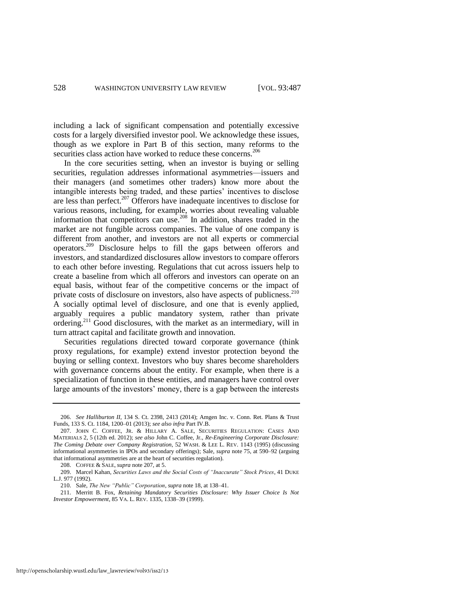including a lack of significant compensation and potentially excessive costs for a largely diversified investor pool. We acknowledge these issues, though as we explore in Part B of this section, many reforms to the securities class action have worked to reduce these concerns.<sup>206</sup>

<span id="page-42-0"></span>In the core securities setting, when an investor is buying or selling securities, regulation addresses informational asymmetries—issuers and their managers (and sometimes other traders) know more about the intangible interests being traded, and these parties' incentives to disclose are less than perfect.<sup>207</sup> Offerors have inadequate incentives to disclose for various reasons, including, for example, worries about revealing valuable information that competitors can use.<sup>208</sup> In addition, shares traded in the market are not fungible across companies. The value of one company is different from another, and investors are not all experts or commercial operators.<sup>209</sup> Disclosure helps to fill the gaps between offerors and investors, and standardized disclosures allow investors to compare offerors to each other before investing. Regulations that cut across issuers help to create a baseline from which all offerors and investors can operate on an equal basis, without fear of the competitive concerns or the impact of private costs of disclosure on investors, also have aspects of publicness.<sup>210</sup> A socially optimal level of disclosure, and one that is evenly applied, arguably requires a public mandatory system, rather than private ordering.<sup>211</sup> Good disclosures, with the market as an intermediary, will in turn attract capital and facilitate growth and innovation.

Securities regulations directed toward corporate governance (think proxy regulations, for example) extend investor protection beyond the buying or selling context. Investors who buy shares become shareholders with governance concerns about the entity. For example, when there is a specialization of function in these entities, and managers have control over large amounts of the investors' money, there is a gap between the interests

<sup>206.</sup> *See Halliburton II*, 134 S. Ct. 2398, 2413 (2014); Amgen Inc. v. Conn. Ret. Plans & Trust Funds, 133 S. Ct. 1184, 1200–01 (2013); *see also infra* Part IV.B.

<sup>207.</sup> JOHN C. COFFEE, JR. & HILLARY A. SALE, SECURITIES REGULATION: CASES AND MATERIALS 2, 5 (12th ed. 2012); *see also* John C. Coffee, Jr., *Re-Engineering Corporate Disclosure: The Coming Debate over Company Registration*, 52 WASH. & LEE L. REV. 1143 (1995) (discussing informational asymmetries in IPOs and secondary offerings); Sale, *supra* note [75,](#page-19-0) at 590–92 (arguing that informational asymmetries are at the heart of securities regulation).

<sup>208.</sup> COFFEE & SALE, *supra* not[e 207,](#page-42-0) at 5.

<sup>209.</sup> Marcel Kahan, *Securities Laws and the Social Costs of "Inaccurate" Stock Prices*, 41 DUKE L.J. 977 (1992).

<sup>210.</sup> Sale, *The New "Public" Corporation*, *supra* not[e 18,](#page-7-0) at 138–41.

<sup>211.</sup> Merritt B. Fox, *Retaining Mandatory Securities Disclosure: Why Issuer Choice Is Not Investor Empowerment*, 85 VA. L. REV. 1335, 1338–39 (1999).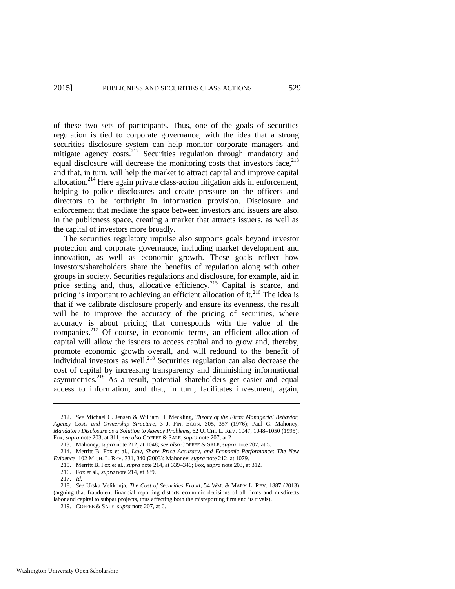<span id="page-43-1"></span><span id="page-43-0"></span>of these two sets of participants. Thus, one of the goals of securities regulation is tied to corporate governance, with the idea that a strong securities disclosure system can help monitor corporate managers and mitigate agency costs.<sup>212</sup> Securities regulation through mandatory and equal disclosure will decrease the monitoring costs that investors face,  $213$ and that, in turn, will help the market to attract capital and improve capital allocation.<sup>214</sup> Here again private class-action litigation aids in enforcement, helping to police disclosures and create pressure on the officers and directors to be forthright in information provision. Disclosure and enforcement that mediate the space between investors and issuers are also, in the publicness space, creating a market that attracts issuers, as well as the capital of investors more broadly.

The securities regulatory impulse also supports goals beyond investor protection and corporate governance, including market development and innovation, as well as economic growth. These goals reflect how investors/shareholders share the benefits of regulation along with other groups in society. Securities regulations and disclosure, for example, aid in price setting and, thus, allocative efficiency.<sup>215</sup> Capital is scarce, and pricing is important to achieving an efficient allocation of it.<sup>216</sup> The idea is that if we calibrate disclosure properly and ensure its evenness, the result will be to improve the accuracy of the pricing of securities, where accuracy is about pricing that corresponds with the value of the companies.<sup>217</sup> Of course, in economic terms, an efficient allocation of capital will allow the issuers to access capital and to grow and, thereby, promote economic growth overall, and will redound to the benefit of individual investors as well.<sup>218</sup> Securities regulation can also decrease the cost of capital by increasing transparency and diminishing informational asymmetries.<sup>219</sup> As a result, potential shareholders get easier and equal access to information, and that, in turn, facilitates investment, again,

<span id="page-43-2"></span><sup>212.</sup> *See* Michael C. Jensen & William H. Meckling, *Theory of the Firm: Managerial Behavior, Agency Costs and Ownership Structure*, 3 J. FIN. ECON. 305, 357 (1976); Paul G. Mahoney, *Mandatory Disclosure as a Solution to Agency Problems*, 62 U. CHI. L. REV. 1047, 1048–1050 (1995); Fox, *supra* not[e 203,](#page-40-0) at 311; *see also* COFFEE & SALE, *supra* not[e 207,](#page-42-0) at 2.

<sup>213.</sup> Mahoney, *supra* not[e 212,](#page-43-0) at 1048; *see also* COFFEE & SALE, *supra* not[e 207,](#page-42-0) at 5.

<sup>214.</sup> Merritt B. Fox et al., *Law, Share Price Accuracy, and Economic Performance: The New Evidence*, 102 MICH. L. REV. 331, 340 (2003); Mahoney, *supra* not[e 212,](#page-43-0) at 1079.

<sup>215.</sup> Merritt B. Fox et al., *supra* not[e 214,](#page-43-1) at 339–340; Fox, *supra* not[e 203,](#page-40-0) at 312.

<sup>216.</sup> Fox et al., *supra* not[e 214,](#page-43-1) at 339.

<sup>217.</sup> *Id.* 

<sup>218.</sup> *See* Urska Velikonja, *The Cost of Securities Fraud*, 54 WM. & MARY L. REV. 1887 (2013) (arguing that fraudulent financial reporting distorts economic decisions of all firms and misdirects labor and capital to subpar projects, thus affecting both the misreporting firm and its rivals).

<sup>219.</sup> COFFEE & SALE, *supra* not[e 207,](#page-42-0) at 6.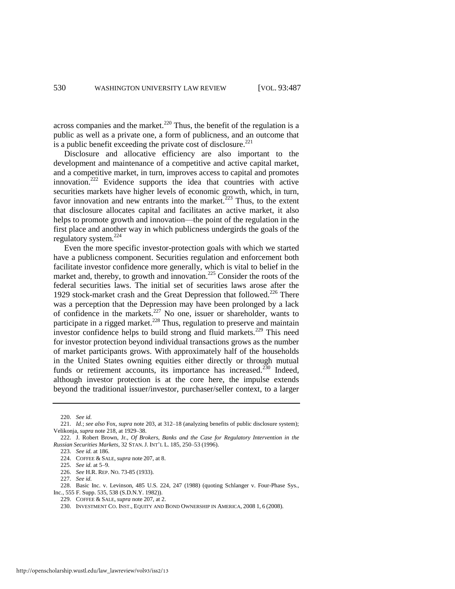across companies and the market.<sup>220</sup> Thus, the benefit of the regulation is a public as well as a private one, a form of publicness, and an outcome that is a public benefit exceeding the private cost of disclosure. $^{221}$ 

Disclosure and allocative efficiency are also important to the development and maintenance of a competitive and active capital market, and a competitive market, in turn, improves access to capital and promotes innovation.<sup>222</sup> Evidence supports the idea that countries with active securities markets have higher levels of economic growth, which, in turn, favor innovation and new entrants into the market.<sup>223</sup> Thus, to the extent that disclosure allocates capital and facilitates an active market, it also helps to promote growth and innovation—the point of the regulation in the first place and another way in which publicness undergirds the goals of the regulatory system. $^{224}$ 

Even the more specific investor-protection goals with which we started have a publicness component. Securities regulation and enforcement both facilitate investor confidence more generally, which is vital to belief in the market and, thereby, to growth and innovation.<sup>225</sup> Consider the roots of the federal securities laws. The initial set of securities laws arose after the 1929 stock-market crash and the Great Depression that followed.<sup>226</sup> There was a perception that the Depression may have been prolonged by a lack of confidence in the markets.<sup>227</sup> No one, issuer or shareholder, wants to participate in a rigged market. $228$  Thus, regulation to preserve and maintain investor confidence helps to build strong and fluid markets.<sup>229</sup> This need for investor protection beyond individual transactions grows as the number of market participants grows. With approximately half of the households in the United States owning equities either directly or through mutual funds or retirement accounts, its importance has increased.<sup>230</sup> Indeed, although investor protection is at the core here, the impulse extends beyond the traditional issuer/investor, purchaser/seller context, to a larger

<sup>220.</sup> *See id.*

<sup>221.</sup> *Id.*; *see also* Fox, *supra* not[e 203,](#page-40-0) at 312–18 (analyzing benefits of public disclosure system); Velikonja, *supra* not[e 218,](#page-43-2) at 1929–38.

<sup>222.</sup> J. Robert Brown, Jr., *Of Brokers, Banks and the Case for Regulatory Intervention in the Russian Securities Markets*, 32 STAN. J. INT'L L. 185, 250–53 (1996).

<sup>223.</sup> *See id.* at 186.

<sup>224.</sup> COFFEE & SALE, *supra* note [207,](#page-42-0) at 8.

<sup>225.</sup> *See id.* at 5–9.

<sup>226.</sup> *See* H.R. REP. NO. 73-85 (1933).

<sup>227.</sup> *See id.*

<sup>228.</sup> Basic Inc. v. Levinson, 485 U.S. 224, 247 (1988) (quoting Schlanger v. Four-Phase Sys., Inc., 555 F. Supp. 535, 538 (S.D.N.Y. 1982)).

<sup>229.</sup> COFFEE & SALE, *supra* not[e 207,](#page-42-0) at 2.

<sup>230.</sup> INVESTMENT CO. INST., EQUITY AND BOND OWNERSHIP IN AMERICA, 2008 1, 6 (2008).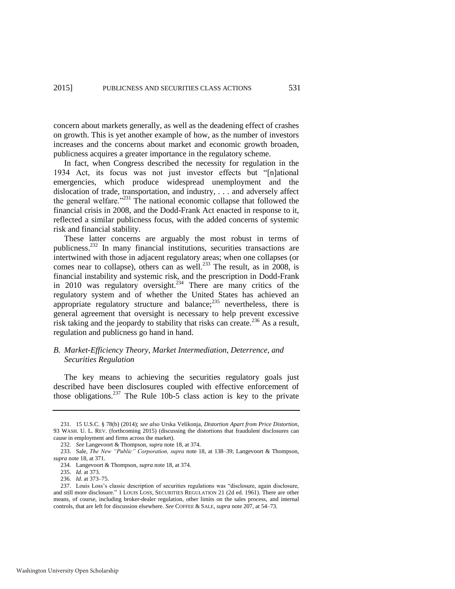concern about markets generally, as well as the deadening effect of crashes on growth. This is yet another example of how, as the number of investors increases and the concerns about market and economic growth broaden, publicness acquires a greater importance in the regulatory scheme.

In fact, when Congress described the necessity for regulation in the 1934 Act, its focus was not just investor effects but "[n]ational emergencies, which produce widespread unemployment and the dislocation of trade, transportation, and industry, . . . and adversely affect the general welfare."<sup>231</sup> The national economic collapse that followed the financial crisis in 2008, and the Dodd-Frank Act enacted in response to it, reflected a similar publicness focus, with the added concerns of systemic risk and financial stability.

These latter concerns are arguably the most robust in terms of publicness.<sup>232</sup> In many financial institutions, securities transactions are intertwined with those in adjacent regulatory areas; when one collapses (or comes near to collapse), others can as well.<sup>233</sup> The result, as in  $2008$ , is financial instability and systemic risk, and the prescription in Dodd-Frank in 2010 was regulatory oversight.<sup>234</sup> There are many critics of the regulatory system and of whether the United States has achieved an appropriate regulatory structure and balance; $^{235}$  nevertheless, there is general agreement that oversight is necessary to help prevent excessive risk taking and the jeopardy to stability that risks can create.<sup>236</sup> As a result, regulation and publicness go hand in hand.

#### *B. Market-Efficiency Theory, Market Intermediation, Deterrence, and Securities Regulation*

The key means to achieving the securities regulatory goals just described have been disclosures coupled with effective enforcement of those obligations.<sup>237</sup> The Rule 10b-5 class action is key to the private

<sup>231. 15</sup> U.S.C. § 78(b) (2014); *see also* Urska Velikonja, *Distortion Apart from Price Distortion*, 93 WASH. U. L. REV. (forthcoming 2015) (discussing the distortions that fraudulent disclosures can cause in employment and firms across the market).

<sup>232.</sup> *See* Langevoort & Thompson, *supra* not[e 18,](#page-7-0) at 374.

<sup>233.</sup> Sale, *The New "Public" Corporation, supra* note [18,](#page-7-0) at 138–39; Langevoort & Thompson, *supra* not[e 18,](#page-7-0) at 371.

<sup>234.</sup> Langevoort & Thompson, *supra* not[e 18,](#page-7-0) at 374.

<sup>235.</sup> *Id.* at 373.

<sup>236.</sup> *Id.* at 373–75.

<sup>237.</sup> Louis Loss's classic description of securities regulations was "disclosure, again disclosure, and still more disclosure." 1 LOUIS LOSS, SECURITIES REGULATION 21 (2d ed. 1961). There are other means, of course, including broker-dealer regulation, other limits on the sales process, and internal controls, that are left for discussion elsewhere. *See* COFFEE & SALE, *supra* not[e 207,](#page-42-0) at 54–73.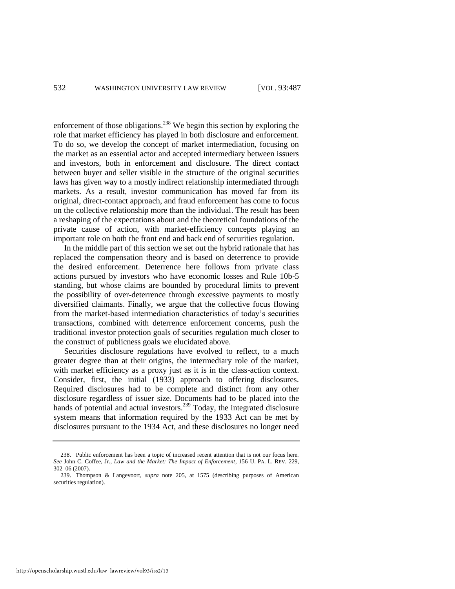enforcement of those obligations.<sup>238</sup> We begin this section by exploring the role that market efficiency has played in both disclosure and enforcement. To do so, we develop the concept of market intermediation, focusing on the market as an essential actor and accepted intermediary between issuers and investors, both in enforcement and disclosure. The direct contact between buyer and seller visible in the structure of the original securities laws has given way to a mostly indirect relationship intermediated through markets. As a result, investor communication has moved far from its original, direct-contact approach, and fraud enforcement has come to focus on the collective relationship more than the individual. The result has been a reshaping of the expectations about and the theoretical foundations of the private cause of action, with market-efficiency concepts playing an important role on both the front end and back end of securities regulation.

In the middle part of this section we set out the hybrid rationale that has replaced the compensation theory and is based on deterrence to provide the desired enforcement. Deterrence here follows from private class actions pursued by investors who have economic losses and Rule 10b-5 standing, but whose claims are bounded by procedural limits to prevent the possibility of over-deterrence through excessive payments to mostly diversified claimants. Finally, we argue that the collective focus flowing from the market-based intermediation characteristics of today's securities transactions, combined with deterrence enforcement concerns, push the traditional investor protection goals of securities regulation much closer to the construct of publicness goals we elucidated above.

Securities disclosure regulations have evolved to reflect, to a much greater degree than at their origins, the intermediary role of the market, with market efficiency as a proxy just as it is in the class-action context. Consider, first, the initial (1933) approach to offering disclosures. Required disclosures had to be complete and distinct from any other disclosure regardless of issuer size. Documents had to be placed into the hands of potential and actual investors.<sup>239</sup> Today, the integrated disclosure system means that information required by the 1933 Act can be met by disclosures pursuant to the 1934 Act, and these disclosures no longer need

<sup>238.</sup> Public enforcement has been a topic of increased recent attention that is not our focus here. *See* John C. Coffee, Jr., *Law and the Market: The Impact of Enforcement*, 156 U. PA. L. REV. 229, 302–06 (2007).

<sup>239.</sup> Thompson & Langevoort, *supra* note [205,](#page-41-0) at 1575 (describing purposes of American securities regulation).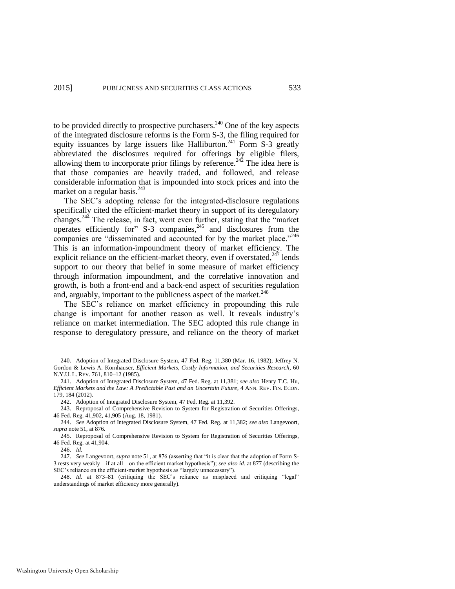to be provided directly to prospective purchasers.<sup>240</sup> One of the key aspects of the integrated disclosure reforms is the Form S-3, the filing required for equity issuances by large issuers like Halliburton.<sup>241</sup> Form S-3 greatly abbreviated the disclosures required for offerings by eligible filers, allowing them to incorporate prior filings by reference.<sup>242</sup> The idea here is that those companies are heavily traded, and followed, and release considerable information that is impounded into stock prices and into the market on a regular basis.<sup>243</sup>

The SEC's adopting release for the integrated-disclosure regulations specifically cited the efficient-market theory in support of its deregulatory changes.<sup>244</sup> The release, in fact, went even further, stating that the "market operates efficiently for" S-3 companies,<sup>245</sup> and disclosures from the companies are "disseminated and accounted for by the market place."<sup>246</sup> This is an information-impoundment theory of market efficiency. The explicit reliance on the efficient-market theory, even if overstated, $247$  lends support to our theory that belief in some measure of market efficiency through information impoundment, and the correlative innovation and growth, is both a front-end and a back-end aspect of securities regulation and, arguably, important to the publicness aspect of the market.<sup>248</sup>

The SEC's reliance on market efficiency in propounding this rule change is important for another reason as well. It reveals industry's reliance on market intermediation. The SEC adopted this rule change in response to deregulatory pressure, and reliance on the theory of market

<sup>240.</sup> Adoption of Integrated Disclosure System, 47 Fed. Reg. 11,380 (Mar. 16, 1982); Jeffrey N. Gordon & Lewis A. Kornhauser, *Efficient Markets, Costly Information, and Securities Research*, 60 N.Y.U. L. REV. 761, 810–12 (1985).

<sup>241.</sup> Adoption of Integrated Disclosure System, 47 Fed. Reg. at 11,381; *see also* Henry T.C. Hu, *Efficient Markets and the Law: A Predictable Past and an Uncertain Future*, 4 ANN. REV. FIN. ECON. 179, 184 (2012).

<sup>242.</sup> Adoption of Integrated Disclosure System, 47 Fed. Reg. at 11,392.

<sup>243.</sup> Reproposal of Comprehensive Revision to System for Registration of Securities Offerings, 46 Fed. Reg. 41,902, 41,905 (Aug. 18, 1981).

<sup>244.</sup> *See* Adoption of Integrated Disclosure System, 47 Fed. Reg. at 11,382; *see also* Langevoort, *supra* not[e 51,](#page-15-0) at 876.

<sup>245.</sup> Reproposal of Comprehensive Revision to System for Registration of Securities Offerings, 46 Fed. Reg. at 41,904.

<sup>246.</sup> *Id.* 

<sup>247.</sup> *See* Langevoort, *supra* not[e 51,](#page-15-0) at 876 (asserting that "it is clear that the adoption of Form S-3 rests very weakly—if at all—on the efficient market hypothesis"); *see also id.* at 877 (describing the SEC's reliance on the efficient-market hypothesis as "largely unnecessary").

<sup>248.</sup> *Id*. at 873–81 (critiquing the SEC's reliance as misplaced and critiquing "legal" understandings of market efficiency more generally).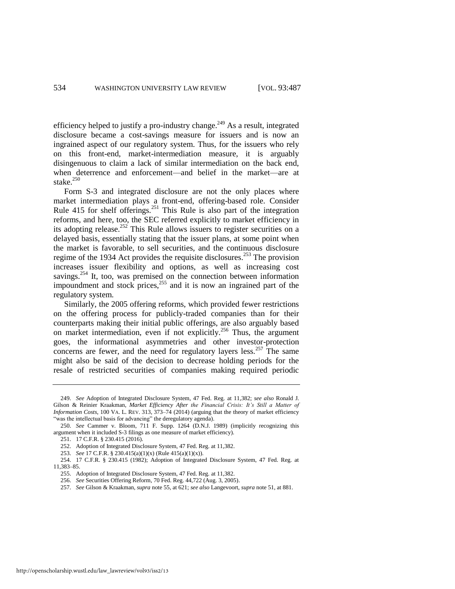<span id="page-48-0"></span>efficiency helped to justify a pro-industry change.<sup>249</sup> As a result, integrated disclosure became a cost-savings measure for issuers and is now an ingrained aspect of our regulatory system. Thus, for the issuers who rely on this front-end, market-intermediation measure, it is arguably disingenuous to claim a lack of similar intermediation on the back end, when deterrence and enforcement—and belief in the market—are at stake. $250$ 

Form S-3 and integrated disclosure are not the only places where market intermediation plays a front-end, offering-based role. Consider Rule 415 for shelf offerings.<sup>251</sup> This Rule is also part of the integration reforms, and here, too, the SEC referred explicitly to market efficiency in its adopting release.<sup>252</sup> This Rule allows issuers to register securities on a delayed basis, essentially stating that the issuer plans, at some point when the market is favorable, to sell securities, and the continuous disclosure regime of the 1934 Act provides the requisite disclosures.<sup>253</sup> The provision increases issuer flexibility and options, as well as increasing cost savings.<sup>254</sup> It, too, was premised on the connection between information impoundment and stock prices,<sup>255</sup> and it is now an ingrained part of the regulatory system.

Similarly, the 2005 offering reforms, which provided fewer restrictions on the offering process for publicly-traded companies than for their counterparts making their initial public offerings, are also arguably based on market intermediation, even if not explicitly.<sup>256</sup> Thus, the argument goes, the informational asymmetries and other investor-protection concerns are fewer, and the need for regulatory layers less.<sup>257</sup> The same might also be said of the decision to decrease holding periods for the resale of restricted securities of companies making required periodic

<sup>249.</sup> *See* Adoption of Integrated Disclosure System, 47 Fed. Reg. at 11,382; *see also* Ronald J. Gilson & Reinier Kraakman, *Market Efficiency After the Financial Crisis: It's Still a Matter of Information Costs*, 100 VA. L. REV. 313, 373–74 (2014) (arguing that the theory of market efficiency "was the intellectual basis for advancing" the deregulatory agenda).

<sup>250.</sup> *See* Cammer v. Bloom, 711 F. Supp. 1264 (D.N.J. 1989) (implicitly recognizing this argument when it included S-3 filings as one measure of market efficiency).

<sup>251. 17</sup> C.F.R. § 230.415 (2016).

<sup>252.</sup> Adoption of Integrated Disclosure System, 47 Fed. Reg. at 11,382.

<sup>253.</sup> *See* 17 C.F.R. § 230.415(a)(1)(x) (Rule 415(a)(1)(x)).

<sup>254. 17</sup> C.F.R. § 230.415 (1982); Adoption of Integrated Disclosure System, 47 Fed. Reg. at 11,383–85.

<sup>255.</sup> Adoption of Integrated Disclosure System, 47 Fed. Reg. at 11,382.

<sup>256.</sup> *See* Securities Offering Reform, 70 Fed. Reg. 44,722 (Aug. 3, 2005).

<sup>257.</sup> *See* Gilson & Kraakman, *supra* not[e 55,](#page-16-0) at 621; *see also* Langevoort, *supra* not[e 51,](#page-15-0) at 881.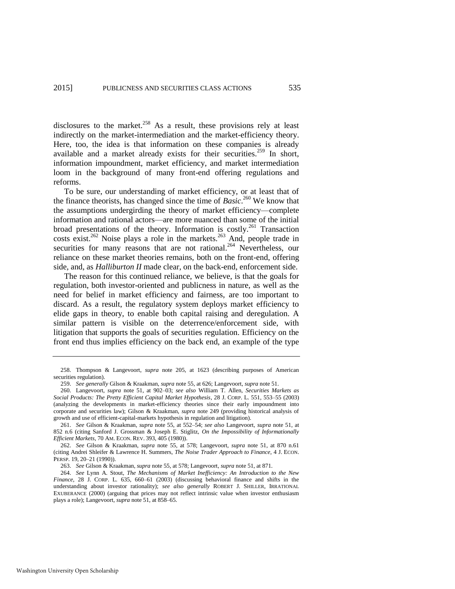disclosures to the market. $258$  As a result, these provisions rely at least indirectly on the market-intermediation and the market-efficiency theory. Here, too, the idea is that information on these companies is already available and a market already exists for their securities.<sup>259</sup> In short, information impoundment, market efficiency, and market intermediation loom in the background of many front-end offering regulations and reforms.

<span id="page-49-0"></span>To be sure, our understanding of market efficiency, or at least that of the finance theorists, has changed since the time of *Basic*. <sup>260</sup> We know that the assumptions undergirding the theory of market efficiency—complete information and rational actors—are more nuanced than some of the initial broad presentations of the theory. Information is costly.<sup>261</sup> Transaction costs exist.<sup>262</sup> Noise plays a role in the markets.<sup>263</sup> And, people trade in securities for many reasons that are not rational.<sup>264</sup> Nevertheless, our reliance on these market theories remains, both on the front-end, offering side, and, as *Halliburton II* made clear, on the back-end, enforcement side.

The reason for this continued reliance, we believe, is that the goals for regulation, both investor-oriented and publicness in nature, as well as the need for belief in market efficiency and fairness, are too important to discard. As a result, the regulatory system deploys market efficiency to elide gaps in theory, to enable both capital raising and deregulation. A similar pattern is visible on the deterrence/enforcement side, with litigation that supports the goals of securities regulation. Efficiency on the front end thus implies efficiency on the back end, an example of the type

<sup>258.</sup> Thompson & Langevoort, *supra* note [205,](#page-41-0) at 1623 (describing purposes of American securities regulation).

<sup>259.</sup> *See generally* Gilson & Kraakman, *supra* not[e 55,](#page-16-0) at 626; Langevoort, *supra* not[e 51.](#page-15-0) 

<sup>260.</sup> Langevoort, *supra* note [51,](#page-15-0) at 902–03; *see also* William T. Allen, *Securities Markets as Social Products: The Pretty Efficient Capital Market Hypothesis*, 28 J. CORP. L. 551, 553–55 (2003) (analyzing the developments in market-efficiency theories since their early impoundment into corporate and securities law); Gilson & Kraakman, *supra* note [249](#page-48-0) (providing historical analysis of growth and use of efficient-capital-markets hypothesis in regulation and litigation).

<sup>261.</sup> *See* Gilson & Kraakman, *supra* note [55,](#page-16-0) at 552–54; *see also* Langevoort, *supra* note [51,](#page-15-0) at 852 n.6 (citing Sanford J. Grossman & Joseph E. Stiglitz, *On the Impossibility of Informationally Efficient Markets*, 70 AM. ECON. REV. 393, 405 (1980)).

<sup>262.</sup> *See* Gilson & Kraakman, *supra* note [55,](#page-16-0) at 578; Langevoort, *supra* note [51,](#page-15-0) at 870 n.61 (citing Andrei Shleifer & Lawrence H. Summers, *The Noise Trader Approach to Finance*, 4 J. ECON. PERSP. 19, 20–21 (1990)).

<sup>263.</sup> *See* Gilson & Kraakman, *supra* not[e 55,](#page-16-0) at 578; Langevoort, *supra* not[e 51,](#page-15-0) at 871.

<sup>264.</sup> *See* Lynn A. Stout, *The Mechanisms of Market Inefficiency: An Introduction to the New Finance*, 28 J. CORP. L. 635, 660–61 (2003) (discussing behavioral finance and shifts in the understanding about investor rationality); *see also generally* ROBERT J. SHILLER, IRRATIONAL EXUBERANCE (2000) (arguing that prices may not reflect intrinsic value when investor enthusiasm plays a role); Langevoort, *supra* not[e 51,](#page-15-0) at 858–65.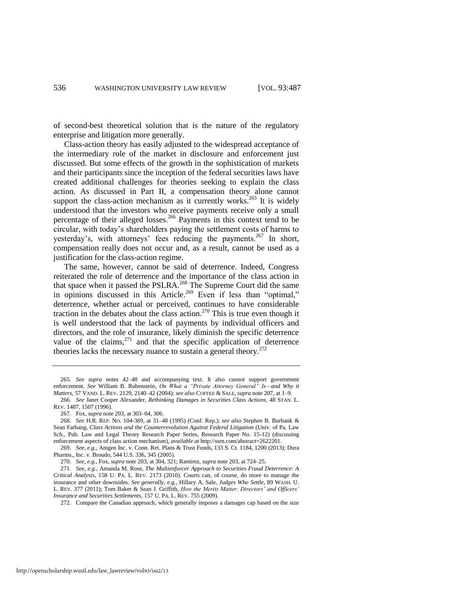of second-best theoretical solution that is the nature of the regulatory enterprise and litigation more generally.

Class-action theory has easily adjusted to the widespread acceptance of the intermediary role of the market in disclosure and enforcement just discussed. But some effects of the growth in the sophistication of markets and their participants since the inception of the federal securities laws have created additional challenges for theories seeking to explain the class action. As discussed in Part II, a compensation theory alone cannot support the class-action mechanism as it currently works.<sup>265</sup> It is widely understood that the investors who receive payments receive only a small percentage of their alleged losses.<sup>266</sup> Payments in this context tend to be circular, with today's shareholders paying the settlement costs of harms to yesterday's, with attorneys' fees reducing the payments.<sup>267</sup> In short, compensation really does not occur and, as a result, cannot be used as a justification for the class-action regime.

The same, however, cannot be said of deterrence. Indeed, Congress reiterated the role of deterrence and the importance of the class action in that space when it passed the PSLRA.<sup>268</sup> The Supreme Court did the same in opinions discussed in this Article.<sup>269</sup> Even if less than "optimal," deterrence, whether actual or perceived, continues to have considerable traction in the debates about the class action.<sup>270</sup> This is true even though it is well understood that the lack of payments by individual officers and directors, and the role of insurance, likely diminish the specific deterrence value of the claims, $2^{71}$  and that the specific application of deterrence theories lacks the necessary nuance to sustain a general theory.<sup>272</sup>

<sup>265.</sup> *See supra* notes [42](#page-14-1)[–48](#page-14-2) and accompanying text. It also cannot support government enforcement. *See* William B. Rubenstein, *On What a "Private Attorney General" Is—and Why it Matters*, 57 VAND. L. REV. 2129, 2140–42 (2004); *see also* COFFEE & SALE, *supra* not[e 207,](#page-42-0) at 1–9.

<sup>266.</sup> *See* Janet Cooper Alexander, *Rethinking Damages in Securities Class Actions*, 48 STAN. L. REV. 1487, 1507 (1996).

<sup>267.</sup> Fox, *supra* not[e 203,](#page-40-0) at 303–04, 306.

<sup>268.</sup> *See* H.R. REP. NO. 104-369, at 31–48 (1995) (Conf. Rep.); *see also* Stephen B. Burbank & Sean Farhang, *Class Actions and the Counterrevolution Against Federal Litigation* (Univ. of Pa. Law Sch., Pub. Law and Legal Theory Research Paper Series, Research Paper No. 15-12) (discussing enforcement aspects of class action mechanism), *available at* [http://ssrn.com/abstract=2622201.](http://ssrn.com/abstract=2622201) 

<sup>269.</sup> *See, e.g.*, Amgen Inc. v. Conn. Ret. Plans & Trust Funds, 133 S. Ct. 1184, 1200 (2013); Dura Pharms., Inc. v. Broudo, 544 U.S. 336, 345 (2005).

<sup>270.</sup> *See, e.g.*, Fox, *supra* not[e 203,](#page-40-0) at 304, 321; Ramirez, *supra* not[e 203,](#page-40-0) at 724–25.

<sup>271.</sup> *See, e.g.*, Amanda M. Rose, *The Multienforcer Approach to Securities Fraud Deterrence: A Critical Analysis*, 158 U. PA. L. REV. 2173 (2010). Courts can, of course, do more to manage the insurance and other downsides. *See generally, e.g.*, Hillary A. Sale, *Judges Who Settle*, 89 WASH. U. L. REV. 377 (2011); Tom Baker & Sean J. Griffith, *How the Merits Matter: Directors' and Officers' Insurance and Securities Settlements*, 157 U. PA. L. REV. 755 (2009).

<sup>272.</sup> Compare the Canadian approach, which generally imposes a damages cap based on the size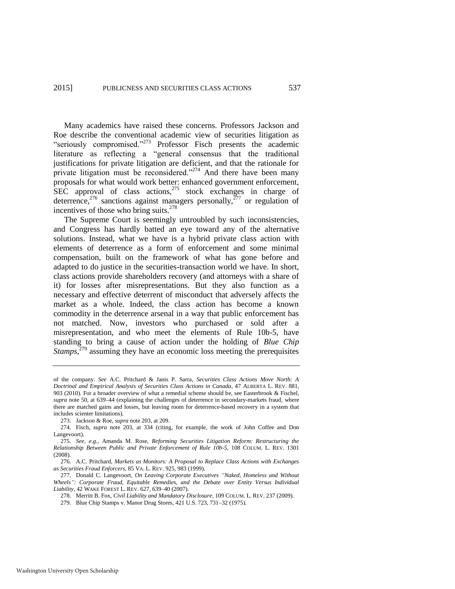Many academics have raised these concerns. Professors Jackson and Roe describe the conventional academic view of securities litigation as "seriously compromised."<sup>273</sup> Professor Fisch presents the academic literature as reflecting a "general consensus that the traditional justifications for private litigation are deficient, and that the rationale for private litigation must be reconsidered."<sup>274</sup> And there have been many proposals for what would work better: enhanced government enforcement, SEC approval of class actions,<sup>275</sup> stock exchanges in charge of deterrence,<sup>276</sup> sanctions against managers personally,<sup> $277$ </sup> or regulation of incentives of those who bring suits.<sup>278</sup>

The Supreme Court is seemingly untroubled by such inconsistencies, and Congress has hardly batted an eye toward any of the alternative solutions. Instead, what we have is a hybrid private class action with elements of deterrence as a form of enforcement and some minimal compensation, built on the framework of what has gone before and adapted to do justice in the securities-transaction world we have. In short, class actions provide shareholders recovery (and attorneys with a share of it) for losses after misrepresentations. But they also function as a necessary and effective deterrent of misconduct that adversely affects the market as a whole. Indeed, the class action has become a known commodity in the deterrence arsenal in a way that public enforcement has not matched. Now, investors who purchased or sold after a misrepresentation, and who meet the elements of Rule 10b-5, have standing to bring a cause of action under the holding of *Blue Chip Stamps*<sup>279</sup> assuming they have an economic loss meeting the prerequisites

278. Merritt B. Fox, *Civil Liability and Mandatory Disclosure*, 109 COLUM. L. REV. 237 (2009).

of the company. *See* A.C. Pritchard & Janis P. Sarra, *Securities Class Actions Move North: A Doctrinal and Empirical Analysis of Securities Class Actions in Canada*, 47 ALBERTA L. REV. 881, 903 (2010). For a broader overview of what a remedial scheme should be, see Easterbrook & Fischel, *supra* note [50,](#page-15-1) at 639–44 (explaining the challenges of deterrence in secondary-markets fraud, where there are matched gains and losses, but leaving room for deterrence-based recovery in a system that includes scienter limitations).

<sup>273.</sup> Jackson & Roe, *supra* not[e 203,](#page-40-0) at 209.

<sup>274.</sup> Fisch, *supra* note [203,](#page-40-0) at 334 (citing, for example, the work of John Coffee and Don Langevoort).

<sup>275.</sup> *See, e.g.*, Amanda M. Rose, *Reforming Securities Litigation Reform: Restructuring the Relationship Between Public and Private Enforcement of Rule 10b-5*, 108 COLUM. L. REV. 1301 (2008).

<sup>276.</sup> A.C. Pritchard, *Markets as Monitors: A Proposal to Replace Class Actions with Exchanges as Securities Fraud Enforcers*, 85 VA. L. REV. 925, 983 (1999).

<sup>277.</sup> Donald C. Langevoort, *On Leaving Corporate Executives "Naked, Homeless and Without Wheels": Corporate Fraud, Equitable Remedies, and the Debate over Entity Versus Individual Liability*, 42 WAKE FOREST L. REV. 627, 639–40 (2007).

<sup>279.</sup> Blue Chip Stamps v. Manor Drug Stores, 421 U.S. 723, 731–32 (1975).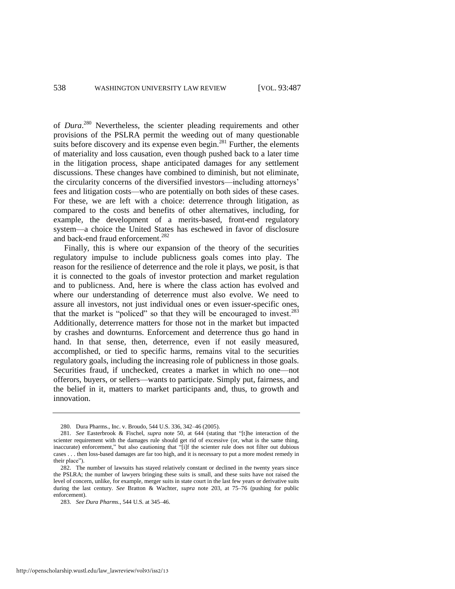of *Dura*. <sup>280</sup> Nevertheless, the scienter pleading requirements and other provisions of the PSLRA permit the weeding out of many questionable suits before discovery and its expense even begin.<sup>281</sup> Further, the elements of materiality and loss causation, even though pushed back to a later time in the litigation process, shape anticipated damages for any settlement discussions. These changes have combined to diminish, but not eliminate, the circularity concerns of the diversified investors—including attorneys' fees and litigation costs—who are potentially on both sides of these cases. For these, we are left with a choice: deterrence through litigation, as compared to the costs and benefits of other alternatives, including, for example, the development of a merits-based, front-end regulatory system—a choice the United States has eschewed in favor of disclosure and back-end fraud enforcement.<sup>282</sup>

<span id="page-52-0"></span>Finally, this is where our expansion of the theory of the securities regulatory impulse to include publicness goals comes into play. The reason for the resilience of deterrence and the role it plays, we posit, is that it is connected to the goals of investor protection and market regulation and to publicness. And, here is where the class action has evolved and where our understanding of deterrence must also evolve. We need to assure all investors, not just individual ones or even issuer-specific ones, that the market is "policed" so that they will be encouraged to invest. $283$ Additionally, deterrence matters for those not in the market but impacted by crashes and downturns. Enforcement and deterrence thus go hand in hand. In that sense, then, deterrence, even if not easily measured, accomplished, or tied to specific harms, remains vital to the securities regulatory goals, including the increasing role of publicness in those goals. Securities fraud, if unchecked, creates a market in which no one—not offerors, buyers, or sellers—wants to participate. Simply put, fairness, and the belief in it, matters to market participants and, thus, to growth and innovation.

<sup>280.</sup> Dura Pharms., Inc. v. Broudo, 544 U.S. 336, 342–46 (2005).

<sup>281.</sup> *See* Easterbrook & Fischel, *supra* note [50,](#page-15-1) at 644 (stating that "[t]he interaction of the scienter requirement with the damages rule should get rid of excessive (or, what is the same thing, inaccurate) enforcement," but also cautioning that "[i]f the scienter rule does not filter out dubious cases . . . then loss-based damages are far too high, and it is necessary to put a more modest remedy in their place").

<sup>282.</sup> The number of lawsuits has stayed relatively constant or declined in the twenty years since the PSLRA; the number of lawyers bringing these suits is small, and these suits have not raised the level of concern, unlike, for example, merger suits in state court in the last few years or derivative suits during the last century. *See* Bratton & Wachter, *supra* note [203,](#page-40-0) at 75–76 (pushing for public enforcement).

<sup>283.</sup> *See Dura Pharms.*, 544 U.S. at 345–46.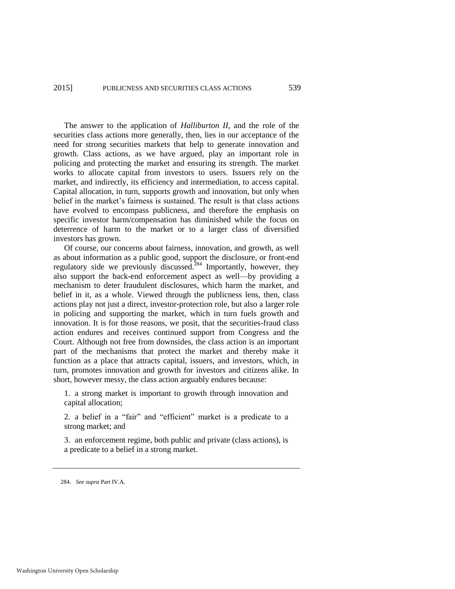The answer to the application of *Halliburton II*, and the role of the securities class actions more generally, then, lies in our acceptance of the need for strong securities markets that help to generate innovation and growth. Class actions, as we have argued, play an important role in policing and protecting the market and ensuring its strength. The market works to allocate capital from investors to users. Issuers rely on the market, and indirectly, its efficiency and intermediation, to access capital. Capital allocation, in turn, supports growth and innovation, but only when belief in the market's fairness is sustained. The result is that class actions have evolved to encompass publicness, and therefore the emphasis on specific investor harm/compensation has diminished while the focus on deterrence of harm to the market or to a larger class of diversified investors has grown.

Of course, our concerns about fairness, innovation, and growth, as well as about information as a public good, support the disclosure, or front-end regulatory side we previously discussed.<sup>284</sup> Importantly, however, they also support the back-end enforcement aspect as well—by providing a mechanism to deter fraudulent disclosures, which harm the market, and belief in it, as a whole. Viewed through the publicness lens, then, class actions play not just a direct, investor-protection role, but also a larger role in policing and supporting the market, which in turn fuels growth and innovation. It is for those reasons, we posit, that the securities-fraud class action endures and receives continued support from Congress and the Court. Although not free from downsides, the class action is an important part of the mechanisms that protect the market and thereby make it function as a place that attracts capital, issuers, and investors, which, in turn, promotes innovation and growth for investors and citizens alike. In short, however messy, the class action arguably endures because:

1. a strong market is important to growth through innovation and capital allocation;

2. a belief in a "fair" and "efficient" market is a predicate to a strong market; and

3. an enforcement regime, both public and private (class actions), is a predicate to a belief in a strong market.

<sup>284.</sup> *See supra* Part IV.A.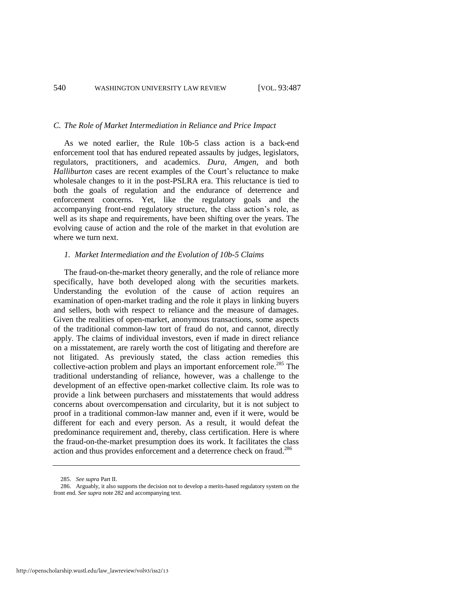#### *C. The Role of Market Intermediation in Reliance and Price Impact*

As we noted earlier, the Rule 10b-5 class action is a back-end enforcement tool that has endured repeated assaults by judges, legislators, regulators, practitioners, and academics. *Dura*, *Amgen*, and both *Halliburton* cases are recent examples of the Court's reluctance to make wholesale changes to it in the post-PSLRA era. This reluctance is tied to both the goals of regulation and the endurance of deterrence and enforcement concerns. Yet, like the regulatory goals and the accompanying front-end regulatory structure, the class action's role, as well as its shape and requirements, have been shifting over the years. The evolving cause of action and the role of the market in that evolution are where we turn next.

#### *1. Market Intermediation and the Evolution of 10b-5 Claims*

The fraud-on-the-market theory generally, and the role of reliance more specifically, have both developed along with the securities markets. Understanding the evolution of the cause of action requires an examination of open-market trading and the role it plays in linking buyers and sellers, both with respect to reliance and the measure of damages. Given the realities of open-market, anonymous transactions, some aspects of the traditional common-law tort of fraud do not, and cannot, directly apply. The claims of individual investors, even if made in direct reliance on a misstatement, are rarely worth the cost of litigating and therefore are not litigated. As previously stated, the class action remedies this collective-action problem and plays an important enforcement role.<sup>285</sup> The traditional understanding of reliance, however, was a challenge to the development of an effective open-market collective claim. Its role was to provide a link between purchasers and misstatements that would address concerns about overcompensation and circularity, but it is not subject to proof in a traditional common-law manner and, even if it were, would be different for each and every person. As a result, it would defeat the predominance requirement and, thereby, class certification. Here is where the fraud-on-the-market presumption does its work. It facilitates the class action and thus provides enforcement and a deterrence check on fraud.<sup>286</sup>

<sup>285.</sup> *See supra* Part II.

<sup>286.</sup> Arguably, it also supports the decision not to develop a merits-based regulatory system on the front end. *See supra* not[e 282](#page-52-0) and accompanying text.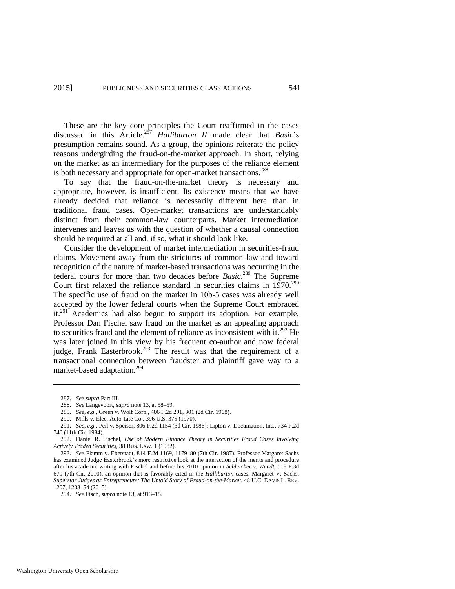These are the key core principles the Court reaffirmed in the cases discussed in this Article.<sup>287</sup> *Halliburton II* made clear that *Basic*'s presumption remains sound. As a group, the opinions reiterate the policy reasons undergirding the fraud-on-the-market approach. In short, relying on the market as an intermediary for the purposes of the reliance element is both necessary and appropriate for open-market transactions.<sup>288</sup>

To say that the fraud-on-the-market theory is necessary and appropriate, however, is insufficient. Its existence means that we have already decided that reliance is necessarily different here than in traditional fraud cases. Open-market transactions are understandably distinct from their common-law counterparts. Market intermediation intervenes and leaves us with the question of whether a causal connection should be required at all and, if so, what it should look like.

Consider the development of market intermediation in securities-fraud claims. Movement away from the strictures of common law and toward recognition of the nature of market-based transactions was occurring in the federal courts for more than two decades before *Basic*.<sup>289</sup> The Supreme Court first relaxed the reliance standard in securities claims in 1970.<sup>290</sup> The specific use of fraud on the market in 10b-5 cases was already well accepted by the lower federal courts when the Supreme Court embraced it.<sup>291</sup> Academics had also begun to support its adoption. For example, Professor Dan Fischel saw fraud on the market as an appealing approach to securities fraud and the element of reliance as inconsistent with  $it^{292}$  He was later joined in this view by his frequent co-author and now federal judge, Frank Easterbrook.<sup>293</sup> The result was that the requirement of a transactional connection between fraudster and plaintiff gave way to a market-based adaptation.<sup>294</sup>

<span id="page-55-0"></span><sup>287.</sup> *See supra* Part III.

<sup>288.</sup> *See* Langevoort, *supra* not[e 13,](#page-5-0) at 58–59.

<sup>289.</sup> *See, e.g.*, Green v. Wolf Corp., 406 F.2d 291, 301 (2d Cir. 1968).

<sup>290.</sup> Mills v. Elec. Auto-Lite Co., 396 U.S. 375 (1970).

<sup>291.</sup> *See, e.g.*, Peil v. Speiser, 806 F.2d 1154 (3d Cir. 1986); Lipton v. Documation, Inc*.*, 734 F.2d 740 (11th Cir. 1984).

<sup>292.</sup> Daniel R. Fischel, *Use of Modern Finance Theory in Securities Fraud Cases Involving Actively Traded Securities*, 38 BUS. LAW. 1 (1982).

<sup>293.</sup> *See* Flamm v. Eberstadt, 814 F.2d 1169, 1179–80 (7th Cir. 1987). Professor Margaret Sachs has examined Judge Easterbrook's more restrictive look at the interaction of the merits and procedure after his academic writing with Fischel and before his 2010 opinion in *Schleicher v. Wendt*, 618 F.3d 679 (7th Cir. 2010), an opinion that is favorably cited in the *Halliburton* cases. Margaret V. Sachs, *Superstar Judges as Entrepreneurs: The Untold Story of Fraud-on-the-Market*, 48 U.C. DAVIS L. REV. 1207, 1233–54 (2015).

<sup>294.</sup> *See* Fisch, *supra* not[e 13,](#page-5-0) at 913–15.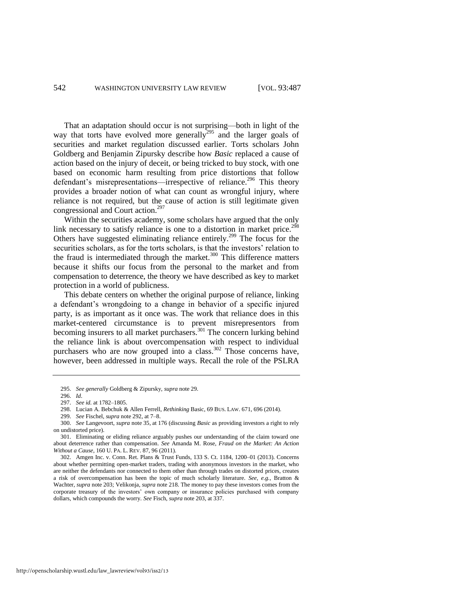That an adaptation should occur is not surprising—both in light of the way that torts have evolved more generally<sup>295</sup> and the larger goals of securities and market regulation discussed earlier. Torts scholars John Goldberg and Benjamin Zipursky describe how *Basic* replaced a cause of action based on the injury of deceit, or being tricked to buy stock, with one based on economic harm resulting from price distortions that follow defendant's misrepresentations—irrespective of reliance.<sup>296</sup> This theory provides a broader notion of what can count as wrongful injury, where reliance is not required, but the cause of action is still legitimate given congressional and Court action.<sup>297</sup>

Within the securities academy, some scholars have argued that the only link necessary to satisfy reliance is one to a distortion in market price.<sup>298</sup> Others have suggested eliminating reliance entirely.<sup>299</sup> The focus for the securities scholars, as for the torts scholars, is that the investors' relation to the fraud is intermediated through the market. $300$  This difference matters because it shifts our focus from the personal to the market and from compensation to deterrence, the theory we have described as key to market protection in a world of publicness.

This debate centers on whether the original purpose of reliance, linking a defendant's wrongdoing to a change in behavior of a specific injured party, is as important as it once was. The work that reliance does in this market-centered circumstance is to prevent misrepresentors from becoming insurers to all market purchasers.<sup>301</sup> The concern lurking behind the reliance link is about overcompensation with respect to individual purchasers who are now grouped into a class.<sup>302</sup> Those concerns have, however, been addressed in multiple ways. Recall the role of the PSLRA

<sup>295.</sup> *See generally* Goldberg & Zipursky, *supra* not[e 29.](#page-10-0) 

<sup>296.</sup> *Id*.

<sup>297.</sup> *See id.* at 1782–1805.

<sup>298.</sup> Lucian A. Bebchuk & Allen Ferrell, *Rethinking* Basic, 69 BUS. LAW. 671, 696 (2014).

<sup>299.</sup> *See* Fischel, *supra* not[e 292,](#page-55-0) at 7–8.

<sup>300.</sup> *See* Langevoort, *supra* not[e 35,](#page-12-0) at 176 (discussing *Basic* as providing investors a right to rely on undistorted price).

<sup>301.</sup> Eliminating or eliding reliance arguably pushes our understanding of the claim toward one about deterrence rather than compensation. *See* Amanda M. Rose, *Fraud on the Market: An Action Without a Cause*, 160 U. PA. L. REV. 87, 96 (2011).

<sup>302.</sup> Amgen Inc. v. Conn. Ret. Plans & Trust Funds, 133 S. Ct. 1184, 1200–01 (2013). Concerns about whether permitting open-market traders, trading with anonymous investors in the market, who are neither the defendants nor connected to them other than through trades on distorted prices, creates a risk of overcompensation has been the topic of much scholarly literature. *See, e.g.*, Bratton & Wachter, *supra* not[e 203;](#page-40-0) Velikonja, *supra* not[e 218.](#page-43-2) The money to pay these investors comes from the corporate treasury of the investors' own company or insurance policies purchased with company dollars, which compounds the worry. *See* Fisch, *supra* not[e 203](#page-40-0)*,* at 337.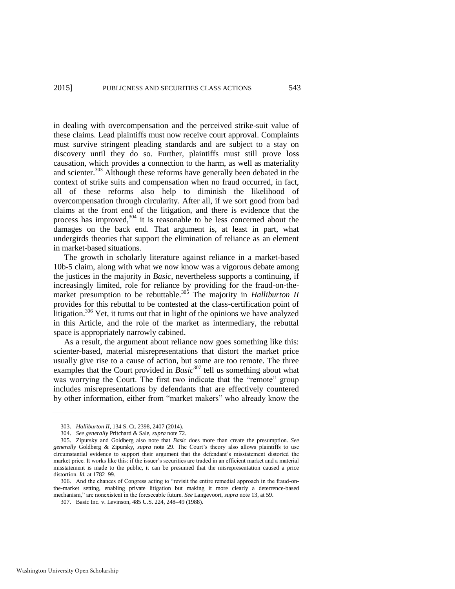in dealing with overcompensation and the perceived strike-suit value of these claims. Lead plaintiffs must now receive court approval. Complaints must survive stringent pleading standards and are subject to a stay on discovery until they do so. Further, plaintiffs must still prove loss causation, which provides a connection to the harm, as well as materiality and scienter.<sup>303</sup> Although these reforms have generally been debated in the context of strike suits and compensation when no fraud occurred, in fact, all of these reforms also help to diminish the likelihood of overcompensation through circularity. After all, if we sort good from bad claims at the front end of the litigation, and there is evidence that the process has improved, $304$  it is reasonable to be less concerned about the damages on the back end. That argument is, at least in part, what undergirds theories that support the elimination of reliance as an element in market-based situations.

The growth in scholarly literature against reliance in a market-based 10b-5 claim, along with what we now know was a vigorous debate among the justices in the majority in *Basic*, nevertheless supports a continuing, if increasingly limited, role for reliance by providing for the fraud-on-themarket presumption to be rebuttable.<sup>305</sup> The majority in *Halliburton II* provides for this rebuttal to be contested at the class-certification point of litigation.<sup>306</sup> Yet, it turns out that in light of the opinions we have analyzed in this Article, and the role of the market as intermediary, the rebuttal space is appropriately narrowly cabined.

As a result, the argument about reliance now goes something like this: scienter-based, material misrepresentations that distort the market price usually give rise to a cause of action, but some are too remote. The three examples that the Court provided in  $\hat{B}$ asic<sup>307</sup> tell us something about what was worrying the Court. The first two indicate that the "remote" group includes misrepresentations by defendants that are effectively countered by other information, either from "market makers" who already know the

<sup>303.</sup> *Halliburton II*, 134 S. Ct. 2398, 2407 (2014).

<sup>304.</sup> *See generally* Pritchard & Sale, *supra* not[e 72.](#page-19-1) 

<sup>305.</sup> Zipursky and Goldberg also note that *Basic* does more than create the presumption. *See generally* Goldberg & Zipursky, *supra* note [29.](#page-10-0) The Court's theory also allows plaintiffs to use circumstantial evidence to support their argument that the defendant's misstatement distorted the market price. It works like this: if the issuer's securities are traded in an efficient market and a material misstatement is made to the public, it can be presumed that the misrepresentation caused a price distortion. *Id.* at 1782–99.

<sup>306.</sup> And the chances of Congress acting to "revisit the entire remedial approach in the fraud-onthe-market setting, enabling private litigation but making it more clearly a deterrence-based mechanism," are nonexistent in the foreseeable future. *See* Langevoort, *supra* not[e 13,](#page-5-0) at 59.

<sup>307.</sup> Basic Inc. v. Levinson, 485 U.S. 224, 248–49 (1988).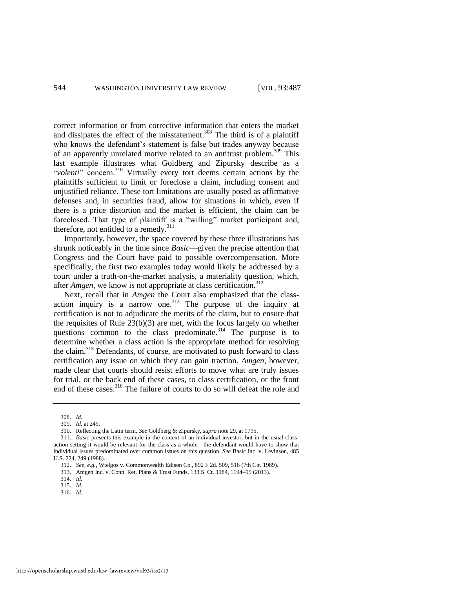correct information or from corrective information that enters the market and dissipates the effect of the misstatement.<sup>308</sup> The third is of a plaintiff who knows the defendant's statement is false but trades anyway because of an apparently unrelated motive related to an antitrust problem.<sup>309</sup> This last example illustrates what Goldberg and Zipursky describe as a "volenti" concern.<sup>310</sup> Virtually every tort deems certain actions by the plaintiffs sufficient to limit or foreclose a claim, including consent and unjustified reliance. These tort limitations are usually posed as affirmative defenses and, in securities fraud, allow for situations in which, even if there is a price distortion and the market is efficient, the claim can be foreclosed. That type of plaintiff is a "willing" market participant and, therefore, not entitled to a remedy.<sup>311</sup>

Importantly, however, the space covered by these three illustrations has shrunk noticeably in the time since *Basic*—given the precise attention that Congress and the Court have paid to possible overcompensation. More specifically, the first two examples today would likely be addressed by a court under a truth-on-the-market analysis, a materiality question, which, after *Amgen*, we know is not appropriate at class certification.<sup>312</sup>

Next, recall that in *Amgen* the Court also emphasized that the classaction inquiry is a narrow one. $313$  The purpose of the inquiry at certification is not to adjudicate the merits of the claim, but to ensure that the requisites of Rule  $23(b)(3)$  are met, with the focus largely on whether questions common to the class predominate.<sup>314</sup> The purpose is to determine whether a class action is the appropriate method for resolving the claim.<sup>315</sup> Defendants, of course, are motivated to push forward to class certification any issue on which they can gain traction. *Amgen*, however, made clear that courts should resist efforts to move what are truly issues for trial, or the back end of these cases, to class certification, or the front end of these cases.<sup>316</sup> The failure of courts to do so will defeat the role and

316. *Id.*

<sup>308.</sup> *Id.*

<sup>309.</sup> *Id.* at 249.

<sup>310.</sup> Reflecting the Latin term. *See* Goldberg & Zipursky, *supra* not[e 29,](#page-10-0) at 1795.

<sup>311.</sup> *Basic* presents this example in the context of an individual investor, but in the usual classaction setting it would be relevant for the class as a whole—the defendant would have to show that individual issues predominated over common issues on this question. *See* Basic Inc. v. Levinson, 485 U.S. 224, 249 (1988).

<sup>312.</sup> *See, e.g.*, Wielgos v. Commonwealth Edison Co., 892 F 2d. 509, 516 (7th Cir. 1989).

<sup>313.</sup> Amgen Inc. v. Conn. Ret. Plans & Trust Funds, 133 S. Ct. 1184, 1194–95 (2013).

<sup>314.</sup> *Id.*

<sup>315.</sup> *Id.*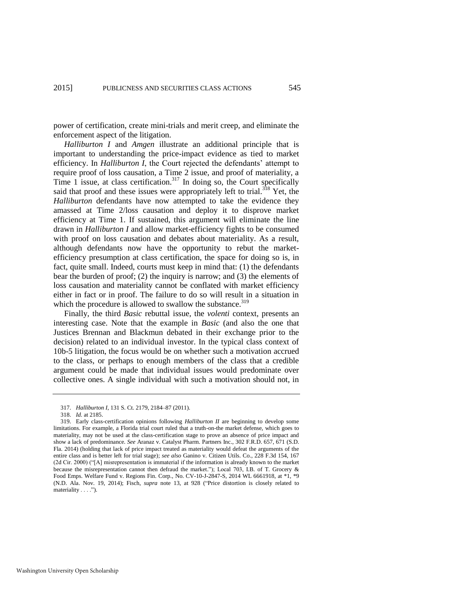power of certification, create mini-trials and merit creep, and eliminate the enforcement aspect of the litigation.

*Halliburton I* and *Amgen* illustrate an additional principle that is important to understanding the price-impact evidence as tied to market efficiency. In *Halliburton I*, the Court rejected the defendants' attempt to require proof of loss causation, a Time 2 issue, and proof of materiality, a Time 1 issue, at class certification.<sup>317</sup> In doing so, the Court specifically said that proof and these issues were appropriately left to trial.<sup>318</sup> Yet, the *Halliburton* defendants have now attempted to take the evidence they amassed at Time 2/loss causation and deploy it to disprove market efficiency at Time 1. If sustained, this argument will eliminate the line drawn in *Halliburton I* and allow market-efficiency fights to be consumed with proof on loss causation and debates about materiality. As a result, although defendants now have the opportunity to rebut the marketefficiency presumption at class certification, the space for doing so is, in fact, quite small. Indeed, courts must keep in mind that: (1) the defendants bear the burden of proof; (2) the inquiry is narrow; and (3) the elements of loss causation and materiality cannot be conflated with market efficiency either in fact or in proof. The failure to do so will result in a situation in which the procedure is allowed to swallow the substance.<sup>319</sup>

<span id="page-59-0"></span>Finally, the third *Basic* rebuttal issue, the *volenti* context, presents an interesting case. Note that the example in *Basic* (and also the one that Justices Brennan and Blackmun debated in their exchange prior to the decision) related to an individual investor. In the typical class context of 10b-5 litigation, the focus would be on whether such a motivation accrued to the class, or perhaps to enough members of the class that a credible argument could be made that individual issues would predominate over collective ones. A single individual with such a motivation should not, in

<sup>317.</sup> *Halliburton I*, 131 S. Ct. 2179, 2184–87 (2011).

<sup>318.</sup> *Id.* at 2185.

<sup>319.</sup> Early class-certification opinions following *Halliburton II* are beginning to develop some limitations. For example, a Florida trial court ruled that a truth-on-the market defense, which goes to materiality, may not be used at the class-certification stage to prove an absence of price impact and show a lack of predominance. *See* Aranaz v. Catalyst Pharm. Partners Inc., 302 F.R.D. 657, 671 (S.D. Fla. 2014) (holding that lack of price impact treated as materiality would defeat the arguments of the entire class and is better left for trial stage); *see also* Ganino v. Citizen Utils. Co., 228 F.3d 154, 167 (2d Cir. 2000) ("[A] misrepresentation is immaterial if the information is already known to the market because the misrepresentation cannot then defraud the market."); Local 703, I.B. of T. Grocery & Food Emps. Welfare Fund v. Regions Fin. Corp., No. CV-10-J-2847-S, 2014 WL 6661918, at \*1, \*9 (N.D. Ala. Nov. 19, 2014); Fisch, *supra* note [13,](#page-5-0) at 928 ("Price distortion is closely related to materiality . . . .").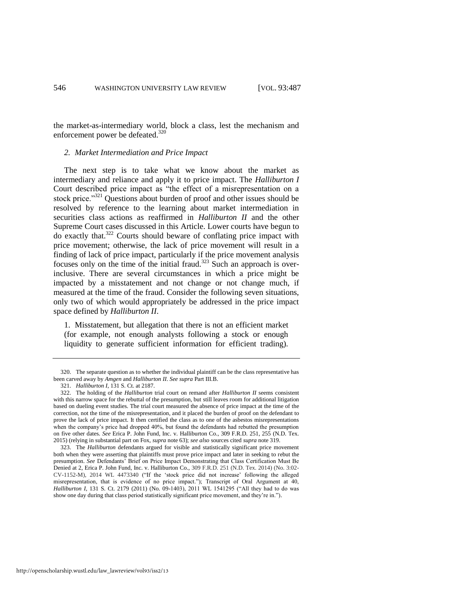the market-as-intermediary world, block a class, lest the mechanism and enforcement power be defeated.<sup>320</sup>

#### *2. Market Intermediation and Price Impact*

The next step is to take what we know about the market as intermediary and reliance and apply it to price impact. The *Halliburton I*  Court described price impact as "the effect of a misrepresentation on a stock price."<sup>321</sup> Questions about burden of proof and other issues should be resolved by reference to the learning about market intermediation in securities class actions as reaffirmed in *Halliburton II* and the other Supreme Court cases discussed in this Article. Lower courts have begun to do exactly that.<sup>322</sup> Courts should beware of conflating price impact with price movement; otherwise, the lack of price movement will result in a finding of lack of price impact, particularly if the price movement analysis focuses only on the time of the initial fraud.<sup>323</sup> Such an approach is overinclusive. There are several circumstances in which a price might be impacted by a misstatement and not change or not change much, if measured at the time of the fraud. Consider the following seven situations, only two of which would appropriately be addressed in the price impact space defined by *Halliburton II*.

1. Misstatement, but allegation that there is not an efficient market (for example, not enough analysts following a stock or enough liquidity to generate sufficient information for efficient trading).

<sup>320.</sup> The separate question as to whether the individual plaintiff can be the class representative has been carved away by *Amgen* and *Halliburton II*. *See supra* Part III.B.

<sup>321.</sup> *Halliburton I*, 131 S. Ct. at 2187.

<sup>322.</sup> The holding of the *Halliburton* trial court on remand after *Halliburton II* seems consistent with this narrow space for the rebuttal of the presumption, but still leaves room for additional litigation based on dueling event studies. The trial court measured the absence of price impact at the time of the correction, not the time of the misrepresentation, and it placed the burden of proof on the defendant to prove the lack of price impact. It then certified the class as to one of the asbestos misrepresentations when the company's price had dropped 40%, but found the defendants had rebutted the presumption on five other dates. *See* Erica P. John Fund, Inc. v. Halliburton Co., 309 F.R.D. 251, 255 (N.D. Tex. 2015) (relying in substantial part on Fox, *supra* not[e 63\)](#page-17-1); *see also* sources cited *supra* not[e 319.](#page-59-0) 

<sup>323.</sup> The *Halliburton* defendants argued for visible and statistically significant price movement both when they were asserting that plaintiffs must prove price impact and later in seeking to rebut the presumption. *See* Defendants' Brief on Price Impact Demonstrating that Class Certification Must Be Denied at 2, Erica P. John Fund, Inc. v. Halliburton Co., 309 F.R.D. 251 (N.D. Tex. 2014) (No. 3:02- CV-1152-M), 2014 WL 4473340 ("If the 'stock price did not increase' following the alleged misrepresentation, that is evidence of no price impact."); Transcript of Oral Argument at 40, *Halliburton I*, 131 S. Ct. 2179 (2011) (No. 09-1403), 2011 WL 1541295 ("All they had to do was show one day during that class period statistically significant price movement, and they're in.").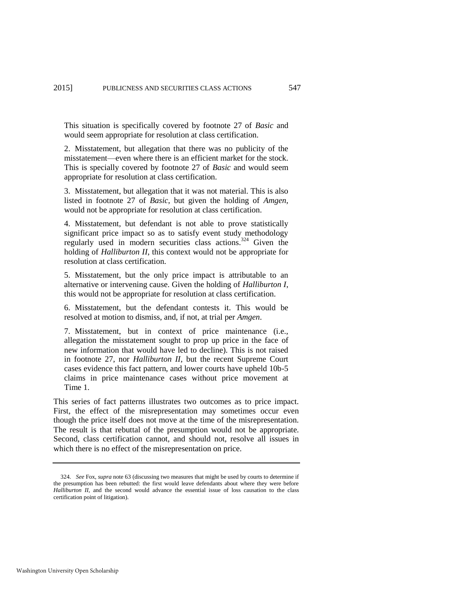This situation is specifically covered by footnote 27 of *Basic* and would seem appropriate for resolution at class certification.

2. Misstatement, but allegation that there was no publicity of the misstatement—even where there is an efficient market for the stock. This is specially covered by footnote 27 of *Basic* and would seem appropriate for resolution at class certification.

3. Misstatement, but allegation that it was not material. This is also listed in footnote 27 of *Basic*, but given the holding of *Amgen*, would not be appropriate for resolution at class certification.

4. Misstatement, but defendant is not able to prove statistically significant price impact so as to satisfy event study methodology regularly used in modern securities class actions.<sup>324</sup> Given the holding of *Halliburton II*, this context would not be appropriate for resolution at class certification.

5. Misstatement, but the only price impact is attributable to an alternative or intervening cause. Given the holding of *Halliburton I*, this would not be appropriate for resolution at class certification.

6. Misstatement, but the defendant contests it. This would be resolved at motion to dismiss, and, if not, at trial per *Amgen*.

7. Misstatement, but in context of price maintenance (i.e., allegation the misstatement sought to prop up price in the face of new information that would have led to decline). This is not raised in footnote 27, nor *Halliburton II*, but the recent Supreme Court cases evidence this fact pattern, and lower courts have upheld 10b-5 claims in price maintenance cases without price movement at Time 1.

This series of fact patterns illustrates two outcomes as to price impact. First, the effect of the misrepresentation may sometimes occur even though the price itself does not move at the time of the misrepresentation. The result is that rebuttal of the presumption would not be appropriate. Second, class certification cannot, and should not, resolve all issues in which there is no effect of the misrepresentation on price.

<sup>324</sup>*. See* Fox, *supra* not[e 63](#page-17-1) (discussing two measures that might be used by courts to determine if the presumption has been rebutted: the first would leave defendants about where they were before *Halliburton II*, and the second would advance the essential issue of loss causation to the class certification point of litigation).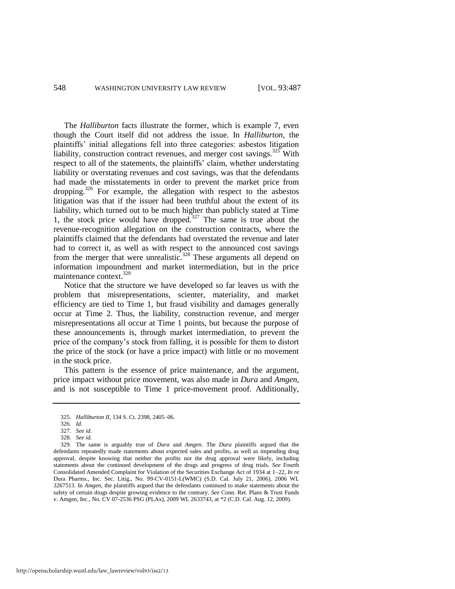The *Halliburton* facts illustrate the former, which is example 7, even though the Court itself did not address the issue. In *Halliburton*, the plaintiffs' initial allegations fell into three categories: asbestos litigation liability, construction contract revenues, and merger cost savings. $325$  With respect to all of the statements, the plaintiffs' claim, whether understating liability or overstating revenues and cost savings, was that the defendants had made the misstatements in order to prevent the market price from dropping.<sup>326</sup> For example, the allegation with respect to the asbestos litigation was that if the issuer had been truthful about the extent of its liability, which turned out to be much higher than publicly stated at Time 1, the stock price would have dropped.<sup>327</sup> The same is true about the revenue-recognition allegation on the construction contracts, where the plaintiffs claimed that the defendants had overstated the revenue and later had to correct it, as well as with respect to the announced cost savings from the merger that were unrealistic.<sup>328</sup> These arguments all depend on information impoundment and market intermediation, but in the price maintenance context.<sup>329</sup>

Notice that the structure we have developed so far leaves us with the problem that misrepresentations, scienter, materiality, and market efficiency are tied to Time 1, but fraud visibility and damages generally occur at Time 2. Thus, the liability, construction revenue, and merger misrepresentations all occur at Time 1 points, but because the purpose of these announcements is, through market intermediation, to prevent the price of the company's stock from falling, it is possible for them to distort the price of the stock (or have a price impact) with little or no movement in the stock price.

This pattern is the essence of price maintenance, and the argument, price impact without price movement, was also made in *Dura* and *Amgen*, and is not susceptible to Time 1 price-movement proof. Additionally,

<sup>325.</sup> *Halliburton II*, 134 S. Ct. 2398, 2405–06.

<sup>326.</sup> *Id.*

<sup>327.</sup> *See id.*

<sup>328.</sup> *See id.*

<sup>329.</sup> The same is arguably true of *Dura* and *Amgen*. The *Dura* plaintiffs argued that the defendants repeatedly made statements about expected sales and profits, as well as impending drug approval, despite knowing that neither the profits nor the drug approval were likely, including statements about the continued development of the drugs and progress of drug trials. *See* Fourth Consolidated Amended Complaint for Violation of the Securities Exchange Act of 1934 at 1–22, *In re* Dura Pharms., Inc. Sec. Litig., No. 99-CV-0151-L(WMC) (S.D. Cal. July 21, 2006), 2006 WL 3267513. In *Amgen*, the plaintiffs argued that the defendants continued to make statements about the safety of certain drugs despite growing evidence to the contrary. *See* Conn. Ret. Plans & Trust Funds v. Amgen, Inc., No. CV 07-2536 PSG (PLAx), 2009 WL 2633743, at \*2 (C.D. Cal. Aug. 12, 2009).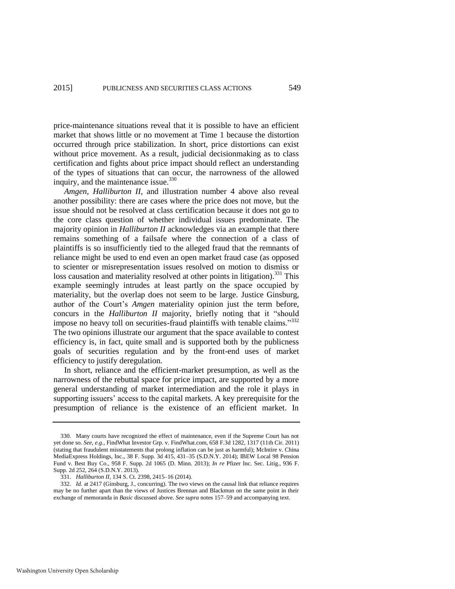price-maintenance situations reveal that it is possible to have an efficient market that shows little or no movement at Time 1 because the distortion occurred through price stabilization. In short, price distortions can exist without price movement. As a result, judicial decisionmaking as to class certification and fights about price impact should reflect an understanding of the types of situations that can occur, the narrowness of the allowed inquiry, and the maintenance issue.<sup>330</sup>

*Amgen*, *Halliburton II*, and illustration number 4 above also reveal another possibility: there are cases where the price does not move, but the issue should not be resolved at class certification because it does not go to the core class question of whether individual issues predominate. The majority opinion in *Halliburton II* acknowledges via an example that there remains something of a failsafe where the connection of a class of plaintiffs is so insufficiently tied to the alleged fraud that the remnants of reliance might be used to end even an open market fraud case (as opposed to scienter or misrepresentation issues resolved on motion to dismiss or loss causation and materiality resolved at other points in litigation).<sup>331</sup> This example seemingly intrudes at least partly on the space occupied by materiality, but the overlap does not seem to be large. Justice Ginsburg, author of the Court's *Amgen* materiality opinion just the term before, concurs in the *Halliburton II* majority, briefly noting that it "should impose no heavy toll on securities-fraud plaintiffs with tenable claims."<sup>332</sup> The two opinions illustrate our argument that the space available to contest efficiency is, in fact, quite small and is supported both by the publicness goals of securities regulation and by the front-end uses of market efficiency to justify deregulation.

In short, reliance and the efficient-market presumption, as well as the narrowness of the rebuttal space for price impact, are supported by a more general understanding of market intermediation and the role it plays in supporting issuers' access to the capital markets. A key prerequisite for the presumption of reliance is the existence of an efficient market. In

<sup>330.</sup> Many courts have recognized the effect of maintenance, even if the Supreme Court has not yet done so. *See, e.g.*, FindWhat Investor Grp. v. FindWhat.com, 658 F.3d 1282, 1317 (11th Cir. 2011) (stating that fraudulent misstatements that prolong inflation can be just as harmful); McIntire v. China MediaExpress Holdings, Inc., 38 F. Supp. 3d 415, 431–35 (S.D.N.Y. 2014); IBEW Local 98 Pension Fund v. Best Buy Co., 958 F. Supp. 2d 1065 (D. Minn. 2013); *In re* Pfizer Inc. Sec. Litig., 936 F. Supp. 2d 252, 264 (S.D.N.Y. 2013).

<sup>331.</sup> *Halliburton II*, 134 S. Ct. 2398, 2415–16 (2014).

<sup>332.</sup> *Id.* at 2417 (Ginsburg, J., concurring). The two views on the causal link that reliance requires may be no further apart than the views of Justices Brennan and Blackmun on the same point in their exchange of memoranda in *Basic* discussed above. *See supra* note[s 157–](#page-32-1)59 and accompanying text.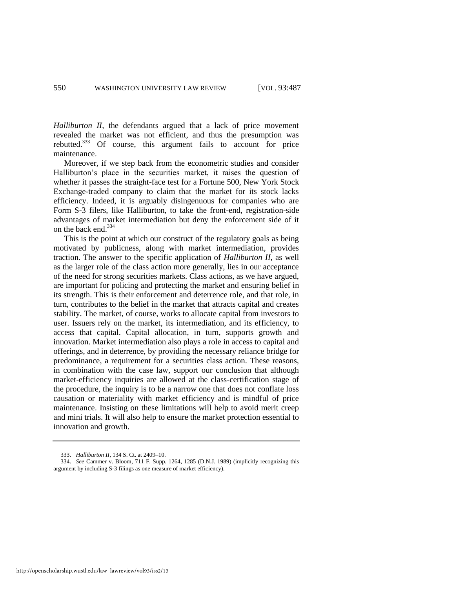*Halliburton II*, the defendants argued that a lack of price movement revealed the market was not efficient, and thus the presumption was rebutted.<sup>333</sup> Of course, this argument fails to account for price maintenance.

Moreover, if we step back from the econometric studies and consider Halliburton's place in the securities market, it raises the question of whether it passes the straight-face test for a Fortune 500, New York Stock Exchange-traded company to claim that the market for its stock lacks efficiency. Indeed, it is arguably disingenuous for companies who are Form S-3 filers, like Halliburton, to take the front-end, registration-side advantages of market intermediation but deny the enforcement side of it on the back end.<sup>334</sup>

This is the point at which our construct of the regulatory goals as being motivated by publicness, along with market intermediation, provides traction. The answer to the specific application of *Halliburton II*, as well as the larger role of the class action more generally, lies in our acceptance of the need for strong securities markets. Class actions, as we have argued, are important for policing and protecting the market and ensuring belief in its strength. This is their enforcement and deterrence role, and that role, in turn, contributes to the belief in the market that attracts capital and creates stability. The market, of course, works to allocate capital from investors to user. Issuers rely on the market, its intermediation, and its efficiency, to access that capital. Capital allocation, in turn, supports growth and innovation. Market intermediation also plays a role in access to capital and offerings, and in deterrence, by providing the necessary reliance bridge for predominance, a requirement for a securities class action. These reasons, in combination with the case law, support our conclusion that although market-efficiency inquiries are allowed at the class-certification stage of the procedure, the inquiry is to be a narrow one that does not conflate loss causation or materiality with market efficiency and is mindful of price maintenance. Insisting on these limitations will help to avoid merit creep and mini trials. It will also help to ensure the market protection essential to innovation and growth.

http://openscholarship.wustl.edu/law\_lawreview/vol93/iss2/13

<sup>333.</sup> *Halliburton II*, 134 S. Ct. at 2409–10.

<sup>334.</sup> *See* Cammer v. Bloom, 711 F. Supp. 1264, 1285 (D.N.J. 1989) (implicitly recognizing this argument by including S-3 filings as one measure of market efficiency).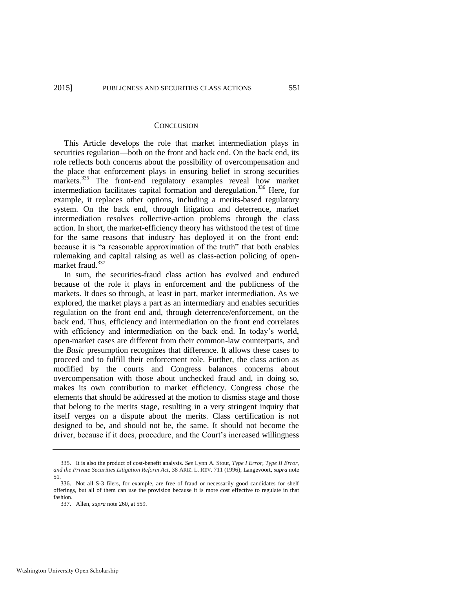#### **CONCLUSION**

This Article develops the role that market intermediation plays in securities regulation—both on the front and back end. On the back end, its role reflects both concerns about the possibility of overcompensation and the place that enforcement plays in ensuring belief in strong securities markets.<sup>335</sup> The front-end regulatory examples reveal how market intermediation facilitates capital formation and deregulation.<sup>336</sup> Here, for example, it replaces other options, including a merits-based regulatory system. On the back end, through litigation and deterrence, market intermediation resolves collective-action problems through the class action. In short, the market-efficiency theory has withstood the test of time for the same reasons that industry has deployed it on the front end: because it is "a reasonable approximation of the truth" that both enables rulemaking and capital raising as well as class-action policing of openmarket fraud.<sup>337</sup>

In sum, the securities-fraud class action has evolved and endured because of the role it plays in enforcement and the publicness of the markets. It does so through, at least in part, market intermediation. As we explored, the market plays a part as an intermediary and enables securities regulation on the front end and, through deterrence/enforcement, on the back end. Thus, efficiency and intermediation on the front end correlates with efficiency and intermediation on the back end. In today's world, open-market cases are different from their common-law counterparts, and the *Basic* presumption recognizes that difference. It allows these cases to proceed and to fulfill their enforcement role. Further, the class action as modified by the courts and Congress balances concerns about overcompensation with those about unchecked fraud and, in doing so, makes its own contribution to market efficiency. Congress chose the elements that should be addressed at the motion to dismiss stage and those that belong to the merits stage, resulting in a very stringent inquiry that itself verges on a dispute about the merits. Class certification is not designed to be, and should not be, the same. It should not become the driver, because if it does, procedure, and the Court's increased willingness

<sup>335.</sup> It is also the product of cost-benefit analysis. *See* Lynn A. Stout, *Type I Error, Type II Error, and the Private Securities Litigation Reform Act*, 38 ARIZ. L. REV. 711 (1996); Langevoort, *supra* note [51.](#page-15-0)

<sup>336.</sup> Not all S-3 filers, for example, are free of fraud or necessarily good candidates for shelf offerings, but all of them can use the provision because it is more cost effective to regulate in that fashion.

<sup>337.</sup> Allen, *supra* not[e 260,](#page-49-0) at 559.